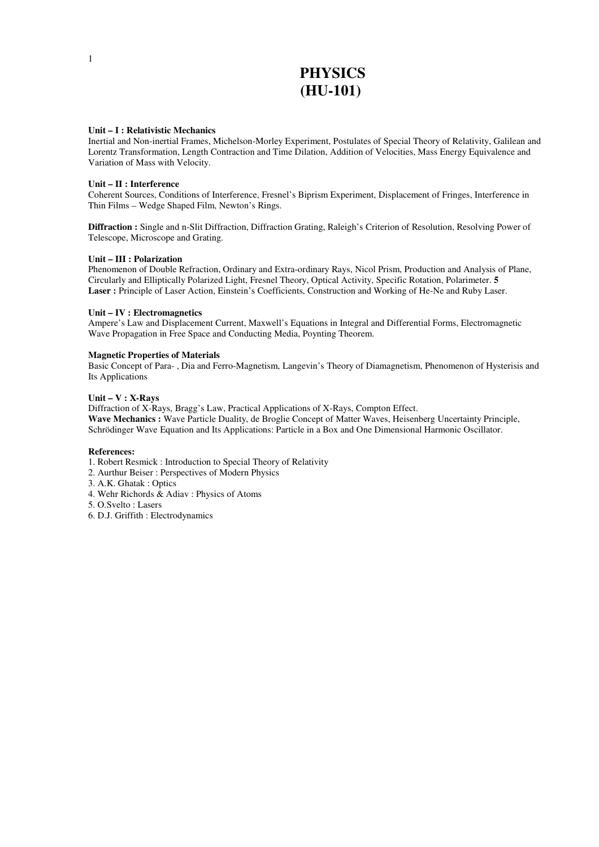# **PHYSICS (HU-101)**

### **Unit – I : Relativistic Mechanics**

Inertial and Non-inertial Frames, Michelson-Morley Experiment, Postulates of Special Theory of Relativity, Galilean and Lorentz Transformation, Length Contraction and Time Dilation, Addition of Velocities, Mass Energy Equivalence and Variation of Mass with Velocity.

### **Unit – II : Interference**

Coherent Sources, Conditions of Interference, Fresnel's Biprism Experiment, Displacement of Fringes, Interference in Thin Films – Wedge Shaped Film, Newton's Rings.

**Diffraction :** Single and n-Slit Diffraction, Diffraction Grating, Raleigh's Criterion of Resolution, Resolving Power of Telescope, Microscope and Grating.

### **Unit – III : Polarization**

Phenomenon of Double Refraction, Ordinary and Extra-ordinary Rays, Nicol Prism, Production and Analysis of Plane, Circularly and Elliptically Polarized Light, Fresnel Theory, Optical Activity, Specific Rotation, Polarimeter. **5 Laser :** Principle of Laser Action, Einstein's Coefficients, Construction and Working of He-Ne and Ruby Laser.

### **Unit – IV : Electromagnetics**

Ampere's Law and Displacement Current, Maxwell's Equations in Integral and Differential Forms, Electromagnetic Wave Propagation in Free Space and Conducting Media, Poynting Theorem.

### **Magnetic Properties of Materials**

Basic Concept of Para- , Dia and Ferro-Magnetism, Langevin's Theory of Diamagnetism, Phenomenon of Hysterisis and Its Applications

### **Unit – V : X-Rays**

Diffraction of X-Rays, Bragg's Law, Practical Applications of X-Rays, Compton Effect. **Wave Mechanics :** Wave Particle Duality, de Broglie Concept of Matter Waves, Heisenberg Uncertainty Principle, Schrödinger Wave Equation and Its Applications: Particle in a Box and One Dimensional Harmonic Oscillator.

#### **References:**

1. Robert Resmick : Introduction to Special Theory of Relativity

2. Aurthur Beiser : Perspectives of Modern Physics

3. A.K. Ghatak : Optics

4. Wehr Richords & Adiav : Physics of Atoms

5. O.Svelto : Lasers

6. D.J. Griffith : Electrodynamics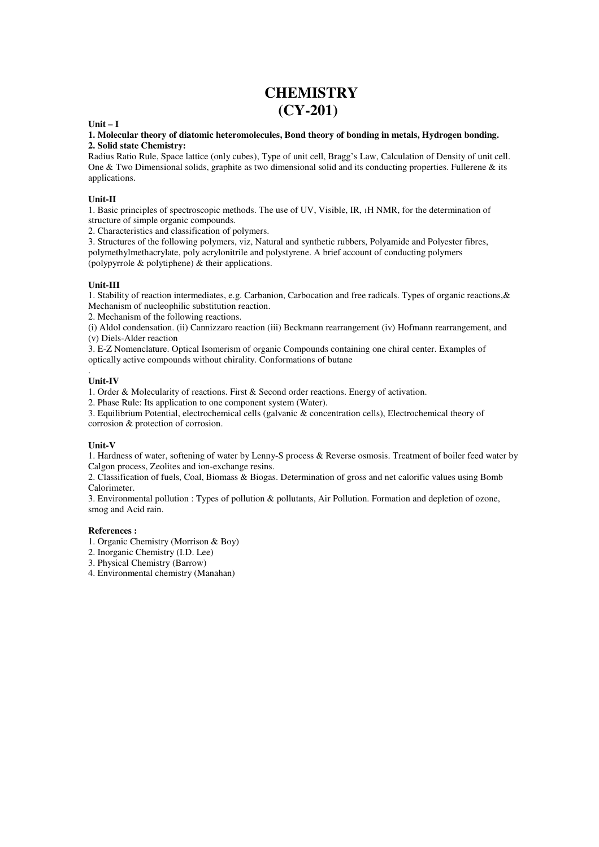# **CHEMISTRY (CY-201)**

### **Unit – I**

### **1. Molecular theory of diatomic heteromolecules, Bond theory of bonding in metals, Hydrogen bonding. 2. Solid state Chemistry:**

Radius Ratio Rule, Space lattice (only cubes), Type of unit cell, Bragg's Law, Calculation of Density of unit cell. One & Two Dimensional solids, graphite as two dimensional solid and its conducting properties. Fullerene & its applications.

### **Unit-II**

1. Basic principles of spectroscopic methods. The use of UV, Visible, IR, 1H NMR, for the determination of structure of simple organic compounds.

2. Characteristics and classification of polymers.

3. Structures of the following polymers, viz, Natural and synthetic rubbers, Polyamide and Polyester fibres, polymethylmethacrylate, poly acrylonitrile and polystyrene. A brief account of conducting polymers (polypyrrole & polytiphene) & their applications.

### **Unit-III**

1. Stability of reaction intermediates, e.g. Carbanion, Carbocation and free radicals. Types of organic reactions,& Mechanism of nucleophilic substitution reaction.

2. Mechanism of the following reactions.

(i) Aldol condensation. (ii) Cannizzaro reaction (iii) Beckmann rearrangement (iv) Hofmann rearrangement, and (v) Diels-Alder reaction

3. E-Z Nomenclature. Optical Isomerism of organic Compounds containing one chiral center. Examples of optically active compounds without chirality. Conformations of butane

#### . **Unit-IV**

1. Order & Molecularity of reactions. First & Second order reactions. Energy of activation.

2. Phase Rule: Its application to one component system (Water).

3. Equilibrium Potential, electrochemical cells (galvanic & concentration cells), Electrochemical theory of corrosion & protection of corrosion.

### **Unit-V**

1. Hardness of water, softening of water by Lenny-S process & Reverse osmosis. Treatment of boiler feed water by Calgon process, Zeolites and ion-exchange resins.

2. Classification of fuels, Coal, Biomass & Biogas. Determination of gross and net calorific values using Bomb Calorimeter.

3. Environmental pollution : Types of pollution & pollutants, Air Pollution. Formation and depletion of ozone, smog and Acid rain.

### **References :**

- 1. Organic Chemistry (Morrison & Boy)
- 2. Inorganic Chemistry (I.D. Lee)
- 3. Physical Chemistry (Barrow)
- 4. Environmental chemistry (Manahan)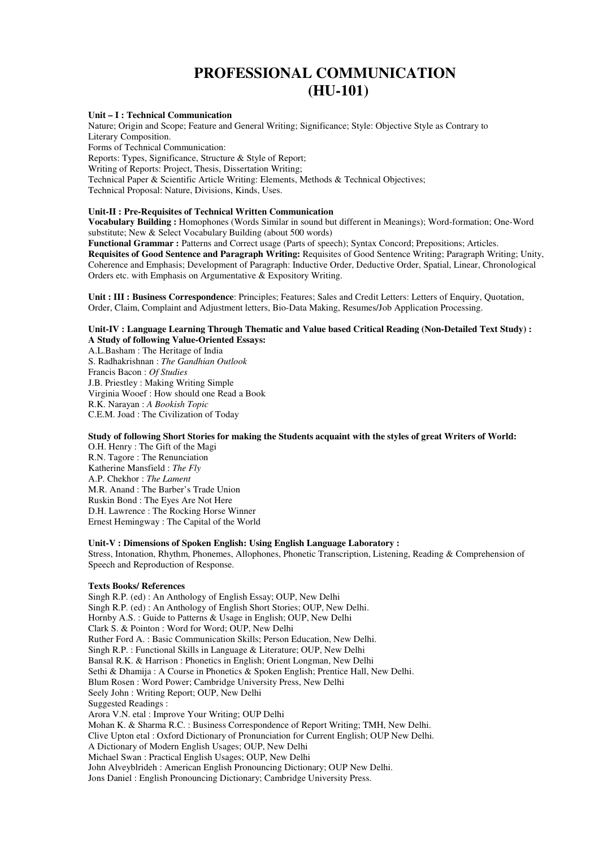# **PROFESSIONAL COMMUNICATION (HU-101)**

#### **Unit – I : Technical Communication**

Nature; Origin and Scope; Feature and General Writing; Significance; Style: Objective Style as Contrary to Literary Composition. Forms of Technical Communication: Reports: Types, Significance, Structure & Style of Report; Writing of Reports: Project, Thesis, Dissertation Writing;

Technical Paper & Scientific Article Writing: Elements, Methods & Technical Objectives; Technical Proposal: Nature, Divisions, Kinds, Uses.

### **Unit-II : Pre-Requisites of Technical Written Communication**

**Vocabulary Building :** Homophones (Words Similar in sound but different in Meanings); Word-formation; One-Word substitute; New & Select Vocabulary Building (about 500 words)

**Functional Grammar :** Patterns and Correct usage (Parts of speech); Syntax Concord; Prepositions; Articles. **Requisites of Good Sentence and Paragraph Writing:** Requisites of Good Sentence Writing; Paragraph Writing; Unity, Coherence and Emphasis; Development of Paragraph: Inductive Order, Deductive Order, Spatial, Linear, Chronological Orders etc. with Emphasis on Argumentative & Expository Writing.

**Unit : III : Business Correspondence**: Principles; Features; Sales and Credit Letters: Letters of Enquiry, Quotation, Order, Claim, Complaint and Adjustment letters, Bio-Data Making, Resumes/Job Application Processing.

### **Unit-IV : Language Learning Through Thematic and Value based Critical Reading (Non-Detailed Text Study) : A Study of following Value-Oriented Essays:**

A.L.Basham : The Heritage of India S. Radhakrishnan : *The Gandhian Outlook*  Francis Bacon : *Of Studies*  J.B. Priestley : Making Writing Simple Virginia Wooef : How should one Read a Book R.K. Narayan : *A Bookish Topic*  C.E.M. Joad : The Civilization of Today

### **Study of following Short Stories for making the Students acquaint with the styles of great Writers of World:**

O.H. Henry : The Gift of the Magi R.N. Tagore : The Renunciation Katherine Mansfield : *The Fly*  A.P. Chekhor : *The Lament*  M.R. Anand : The Barber's Trade Union Ruskin Bond : The Eyes Are Not Here D.H. Lawrence : The Rocking Horse Winner Ernest Hemingway : The Capital of the World

#### **Unit-V : Dimensions of Spoken English: Using English Language Laboratory :**

Stress, Intonation, Rhythm, Phonemes, Allophones, Phonetic Transcription, Listening, Reading & Comprehension of Speech and Reproduction of Response.

#### **Texts Books/ References**

Singh R.P. (ed) : An Anthology of English Essay; OUP, New Delhi Singh R.P. (ed) : An Anthology of English Short Stories; OUP, New Delhi. Hornby A.S. : Guide to Patterns & Usage in English; OUP, New Delhi Clark S. & Pointon : Word for Word; OUP, New Delhi Ruther Ford A. : Basic Communication Skills; Person Education, New Delhi. Singh R.P. : Functional Skills in Language & Literature; OUP, New Delhi Bansal R.K. & Harrison : Phonetics in English; Orient Longman, New Delhi Sethi & Dhamija : A Course in Phonetics & Spoken English; Prentice Hall, New Delhi. Blum Rosen : Word Power; Cambridge University Press, New Delhi Seely John : Writing Report; OUP, New Delhi Suggested Readings : Arora V.N. etal : Improve Your Writing; OUP Delhi Mohan K. & Sharma R.C. : Business Correspondence of Report Writing; TMH, New Delhi. Clive Upton etal : Oxford Dictionary of Pronunciation for Current English; OUP New Delhi. A Dictionary of Modern English Usages; OUP, New Delhi Michael Swan : Practical English Usages; OUP, New Delhi John Alveyblrideh : American English Pronouncing Dictionary; OUP New Delhi. Jons Daniel : English Pronouncing Dictionary; Cambridge University Press.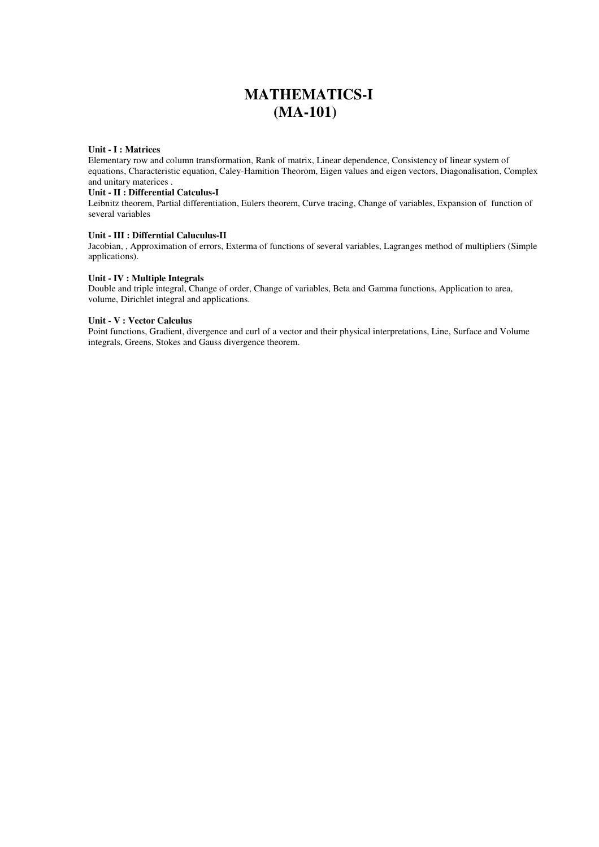# **MATHEMATICS-I (MA-101)**

### **Unit - I : Matrices**

Elementary row and column transformation, Rank of matrix, Linear dependence, Consistency of linear system of equations, Characteristic equation, Caley-Hamition Theorom, Eigen values and eigen vectors, Diagonalisation, Complex and unitary materices .

### **Unit - II : Differential Catculus-I**

Leibnitz theorem, Partial differentiation, Eulers theorem, Curve tracing, Change of variables, Expansion of function of several variables

### **Unit - III : Differntial Caluculus-II**

Jacobian, , Approximation of errors, Exterma of functions of several variables, Lagranges method of multipliers (Simple applications).

### **Unit - IV : Multiple Integrals**

Double and triple integral, Change of order, Change of variables, Beta and Gamma functions, Application to area, volume, Dirichlet integral and applications.

### **Unit - V : Vector Calculus**

Point functions, Gradient, divergence and curl of a vector and their physical interpretations, Line, Surface and Volume integrals, Greens, Stokes and Gauss divergence theorem.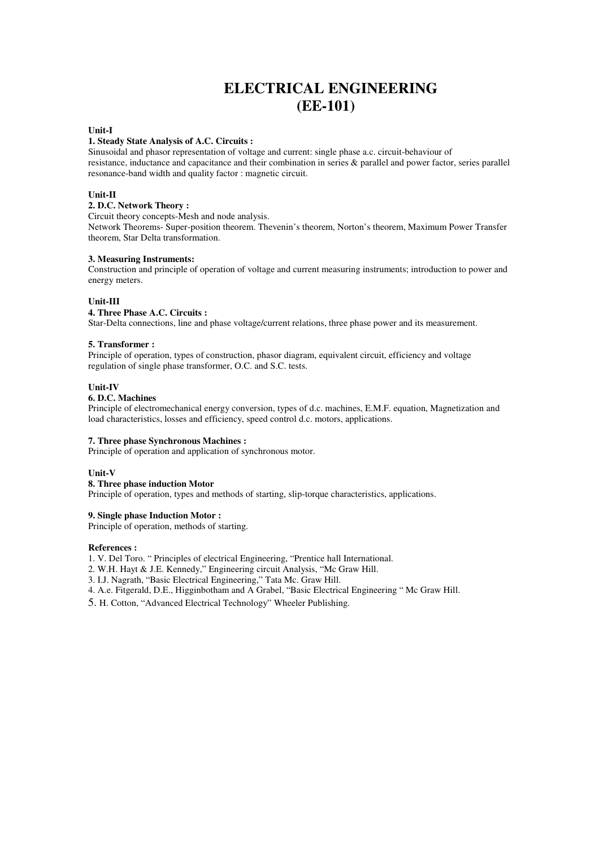# **ELECTRICAL ENGINEERING (EE-101)**

### **Unit-I**

#### **1. Steady State Analysis of A.C. Circuits :**

Sinusoidal and phasor representation of voltage and current: single phase a.c. circuit-behaviour of resistance, inductance and capacitance and their combination in series & parallel and power factor, series parallel resonance-band width and quality factor : magnetic circuit.

### **Unit-II**

### **2. D.C. Network Theory :**

Circuit theory concepts-Mesh and node analysis.

Network Theorems- Super-position theorem. Thevenin's theorem, Norton's theorem, Maximum Power Transfer theorem, Star Delta transformation.

### **3. Measuring Instruments:**

Construction and principle of operation of voltage and current measuring instruments; introduction to power and energy meters.

### **Unit-III**

### **4. Three Phase A.C. Circuits :**

Star-Delta connections, line and phase voltage/current relations, three phase power and its measurement.

### **5. Transformer :**

Principle of operation, types of construction, phasor diagram, equivalent circuit, efficiency and voltage regulation of single phase transformer, O.C. and S.C. tests.

### **Unit-IV**

### **6. D.C. Machines**

Principle of electromechanical energy conversion, types of d.c. machines, E.M.F. equation, Magnetization and load characteristics, losses and efficiency, speed control d.c. motors, applications.

### **7. Three phase Synchronous Machines :**

Principle of operation and application of synchronous motor.

### **Unit-V**

#### **8. Three phase induction Motor**

Principle of operation, types and methods of starting, slip-torque characteristics, applications.

### **9. Single phase Induction Motor :**

Principle of operation, methods of starting.

#### **References :**

1. V. Del Toro. " Principles of electrical Engineering, "Prentice hall International.

- 2. W.H. Hayt & J.E. Kennedy," Engineering circuit Analysis, "Mc Graw Hill.
- 3. I.J. Nagrath, "Basic Electrical Engineering," Tata Mc. Graw Hill.
- 4. A.e. Fitgerald, D.E., Higginbotham and A Grabel, "Basic Electrical Engineering " Mc Graw Hill.
- 5. H. Cotton, "Advanced Electrical Technology" Wheeler Publishing.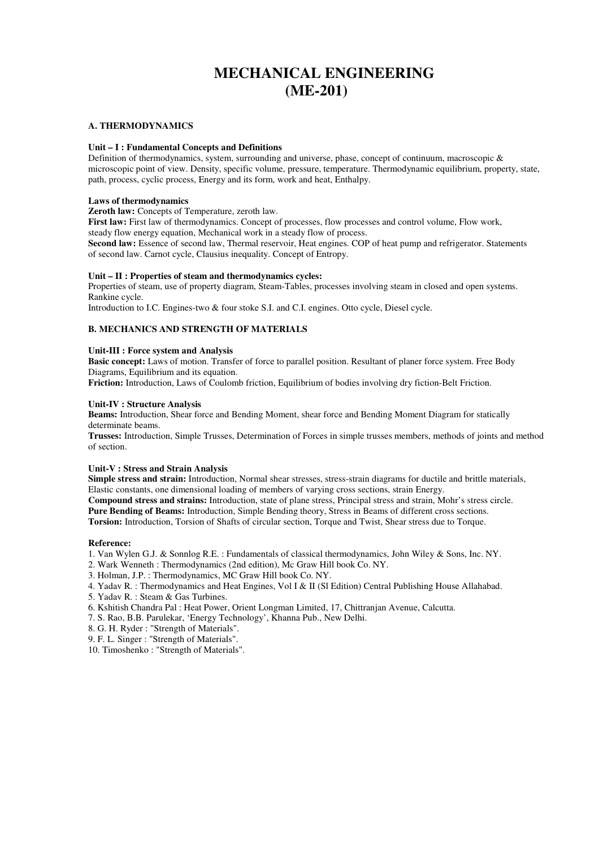# **MECHANICAL ENGINEERING (ME-201)**

### **A. THERMODYNAMICS**

### **Unit – I : Fundamental Concepts and Definitions**

Definition of thermodynamics, system, surrounding and universe, phase, concept of continuum, macroscopic & microscopic point of view. Density, specific volume, pressure, temperature. Thermodynamic equilibrium, property, state, path, process, cyclic process, Energy and its form, work and heat, Enthalpy.

### **Laws of thermodynamics**

**Zeroth law:** Concepts of Temperature, zeroth law.

**First law:** First law of thermodynamics. Concept of processes, flow processes and control volume, Flow work, steady flow energy equation, Mechanical work in a steady flow of process.

**Second law:** Essence of second law, Thermal reservoir, Heat engines. COP of heat pump and refrigerator. Statements of second law. Carnot cycle, Clausius inequality. Concept of Entropy.

### **Unit – II : Properties of steam and thermodynamics cycles:**

Properties of steam, use of property diagram, Steam-Tables, processes involving steam in closed and open systems. Rankine cycle.

Introduction to I.C. Engines-two & four stoke S.I. and C.I. engines. Otto cycle, Diesel cycle.

### **B. MECHANICS AND STRENGTH OF MATERIALS**

### **Unit-III : Force system and Analysis**

**Basic concept:** Laws of motion. Transfer of force to parallel position. Resultant of planer force system. Free Body Diagrams, Equilibrium and its equation.

**Friction:** Introduction, Laws of Coulomb friction, Equilibrium of bodies involving dry fiction-Belt Friction.

### **Unit-IV : Structure Analysis**

**Beams:** Introduction, Shear force and Bending Moment, shear force and Bending Moment Diagram for statically determinate beams.

**Trusses:** Introduction, Simple Trusses, Determination of Forces in simple trusses members, methods of joints and method of section.

### **Unit-V : Stress and Strain Analysis**

**Simple stress and strain:** Introduction, Normal shear stresses, stress-strain diagrams for ductile and brittle materials, Elastic constants, one dimensional loading of members of varying cross sections, strain Energy. **Compound stress and strains:** Introduction, state of plane stress, Principal stress and strain, Mohr's stress circle.

**Pure Bending of Beams:** Introduction, Simple Bending theory, Stress in Beams of different cross sections. **Torsion:** Introduction, Torsion of Shafts of circular section, Torque and Twist, Shear stress due to Torque.

#### **Reference:**

1. Van Wylen G.J. & Sonnlog R.E. : Fundamentals of classical thermodynamics, John Wiley & Sons, Inc. NY.

- 2. Wark Wenneth : Thermodynamics (2nd edition), Mc Graw Hill book Co. NY.
- 3. Holman, J.P. : Thermodynamics, MC Graw Hill book Co. NY.
- 4. Yadav R. : Thermodynamics and Heat Engines, Vol I & II (Sl Edition) Central Publishing House Allahabad.
- 5. Yadav R. : Steam & Gas Turbines.
- 6. Kshitish Chandra Pal : Heat Power, Orient Longman Limited, 17, Chittranjan Avenue, Calcutta.
- 7. S. Rao, B.B. Parulekar, 'Energy Technology', Khanna Pub., New Delhi.
- 8. G. H. Ryder : "Strength of Materials".
- 9. F. L. Singer : "Strength of Materials".
- 10. Timoshenko : "Strength of Materials".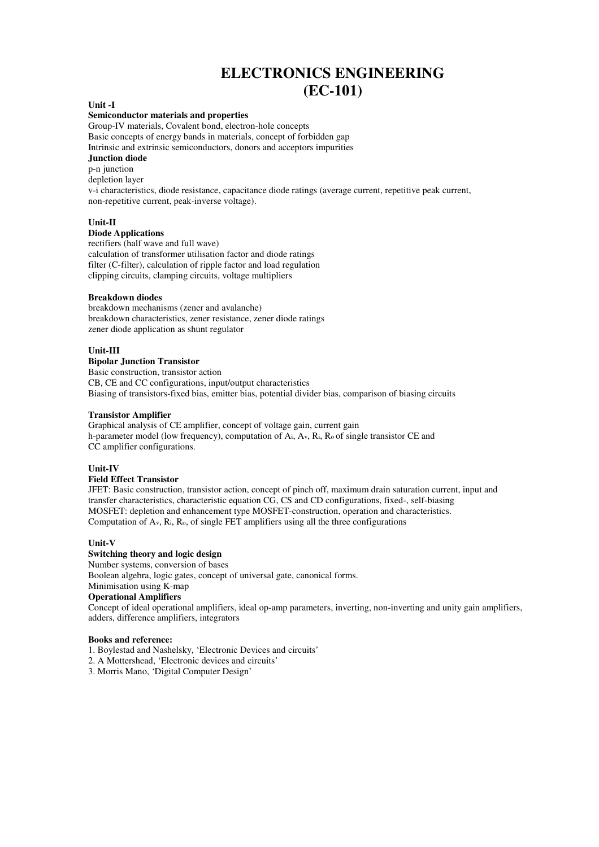# **ELECTRONICS ENGINEERING (EC-101)**

#### **Unit -I**

#### **Semiconductor materials and properties**

Group-IV materials, Covalent bond, electron-hole concepts Basic concepts of energy bands in materials, concept of forbidden gap Intrinsic and extrinsic semiconductors, donors and acceptors impurities **Junction diode** 

p-n junction

depletion layer

v-i characteristics, diode resistance, capacitance diode ratings (average current, repetitive peak current, non-repetitive current, peak-inverse voltage).

### **Unit-II**

### **Diode Applications**

rectifiers (half wave and full wave) calculation of transformer utilisation factor and diode ratings filter (C-filter), calculation of ripple factor and load regulation clipping circuits, clamping circuits, voltage multipliers

### **Breakdown diodes**

breakdown mechanisms (zener and avalanche) breakdown characteristics, zener resistance, zener diode ratings zener diode application as shunt regulator

### **Unit-III**

**Bipolar Junction Transistor**  Basic construction, transistor action CB, CE and CC configurations, input/output characteristics Biasing of transistors-fixed bias, emitter bias, potential divider bias, comparison of biasing circuits

### **Transistor Amplifier**

Graphical analysis of CE amplifier, concept of voltage gain, current gain h-parameter model (low frequency), computation of Ai, Av, Ri, Ro of single transistor CE and CC amplifier configurations.

### **Unit-IV**

### **Field Effect Transistor**

JFET: Basic construction, transistor action, concept of pinch off, maximum drain saturation current, input and transfer characteristics, characteristic equation CG, CS and CD configurations, fixed-, self-biasing MOSFET: depletion and enhancement type MOSFET-construction, operation and characteristics. Computation of Av, Ri, Ro, of single FET amplifiers using all the three configurations

### **Unit-V**

### **Switching theory and logic design**

Number systems, conversion of bases

Boolean algebra, logic gates, concept of universal gate, canonical forms.

# Minimisation using K-map

### **Operational Amplifiers**

Concept of ideal operational amplifiers, ideal op-amp parameters, inverting, non-inverting and unity gain amplifiers, adders, difference amplifiers, integrators

#### **Books and reference:**

- 1. Boylestad and Nashelsky, 'Electronic Devices and circuits'
- 2. A Mottershead, 'Electronic devices and circuits'
- 3. Morris Mano, 'Digital Computer Design'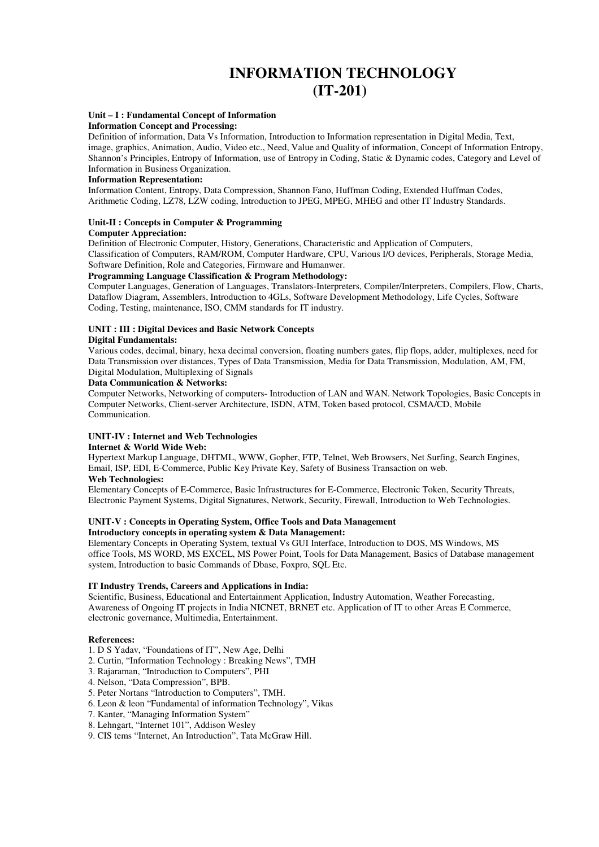# **INFORMATION TECHNOLOGY (IT-201)**

### **Unit – I : Fundamental Concept of Information**

### **Information Concept and Processing:**

Definition of information, Data Vs Information, Introduction to Information representation in Digital Media, Text, image, graphics, Animation, Audio, Video etc., Need, Value and Quality of information, Concept of Information Entropy, Shannon's Principles, Entropy of Information, use of Entropy in Coding, Static & Dynamic codes, Category and Level of Information in Business Organization.

### **Information Representation:**

Information Content, Entropy, Data Compression, Shannon Fano, Huffman Coding, Extended Huffman Codes, Arithmetic Coding, LZ78, LZW coding, Introduction to JPEG, MPEG, MHEG and other IT Industry Standards.

#### **Unit-II : Concepts in Computer & Programming Computer Appreciation:**

Definition of Electronic Computer, History, Generations, Characteristic and Application of Computers,

Classification of Computers, RAM/ROM, Computer Hardware, CPU, Various I/O devices, Peripherals, Storage Media, Software Definition, Role and Categories, Firmware and Humanwer.

### **Programming Language Classification & Program Methodology:**

Computer Languages, Generation of Languages, Translators-Interpreters, Compiler/Interpreters, Compilers, Flow, Charts, Dataflow Diagram, Assemblers, Introduction to 4GLs, Software Development Methodology, Life Cycles, Software Coding, Testing, maintenance, ISO, CMM standards for IT industry.

#### **UNIT : III : Digital Devices and Basic Network Concepts Digital Fundamentals:**

Various codes, decimal, binary, hexa decimal conversion, floating numbers gates, flip flops, adder, multiplexes, need for Data Transmission over distances, Types of Data Transmission, Media for Data Transmission, Modulation, AM, FM, Digital Modulation, Multiplexing of Signals

### **Data Communication & Networks:**

Computer Networks, Networking of computers- Introduction of LAN and WAN. Network Topologies, Basic Concepts in Computer Networks, Client-server Architecture, ISDN, ATM, Token based protocol, CSMA/CD, Mobile Communication.

### **UNIT-IV : Internet and Web Technologies**

### **Internet & World Wide Web:**

Hypertext Markup Language, DHTML, WWW, Gopher, FTP, Telnet, Web Browsers, Net Surfing, Search Engines, Email, ISP, EDI, E-Commerce, Public Key Private Key, Safety of Business Transaction on web. **Web Technologies:** 

Elementary Concepts of E-Commerce, Basic Infrastructures for E-Commerce, Electronic Token, Security Threats, Electronic Payment Systems, Digital Signatures, Network, Security, Firewall, Introduction to Web Technologies.

### **UNIT-V : Concepts in Operating System, Office Tools and Data Management**

**Introductory concepts in operating system & Data Management:** 

Elementary Concepts in Operating System, textual Vs GUI Interface, Introduction to DOS, MS Windows, MS office Tools, MS WORD, MS EXCEL, MS Power Point, Tools for Data Management, Basics of Database management system, Introduction to basic Commands of Dbase, Foxpro, SQL Etc.

### **IT Industry Trends, Careers and Applications in India:**

Scientific, Business, Educational and Entertainment Application, Industry Automation, Weather Forecasting, Awareness of Ongoing IT projects in India NICNET, BRNET etc. Application of IT to other Areas E Commerce, electronic governance, Multimedia, Entertainment.

### **References:**

- 1. D S Yadav, "Foundations of IT", New Age, Delhi
- 2. Curtin, "Information Technology : Breaking News", TMH
- 3. Rajaraman, "Introduction to Computers", PHI
- 4. Nelson, "Data Compression", BPB.
- 5. Peter Nortans "Introduction to Computers", TMH.
- 6. Leon & leon "Fundamental of information Technology", Vikas
- 7. Kanter, "Managing Information System"
- 8. Lehngart, "Internet 101", Addison Wesley
- 9. CIS tems "Internet, An Introduction", Tata McGraw Hill.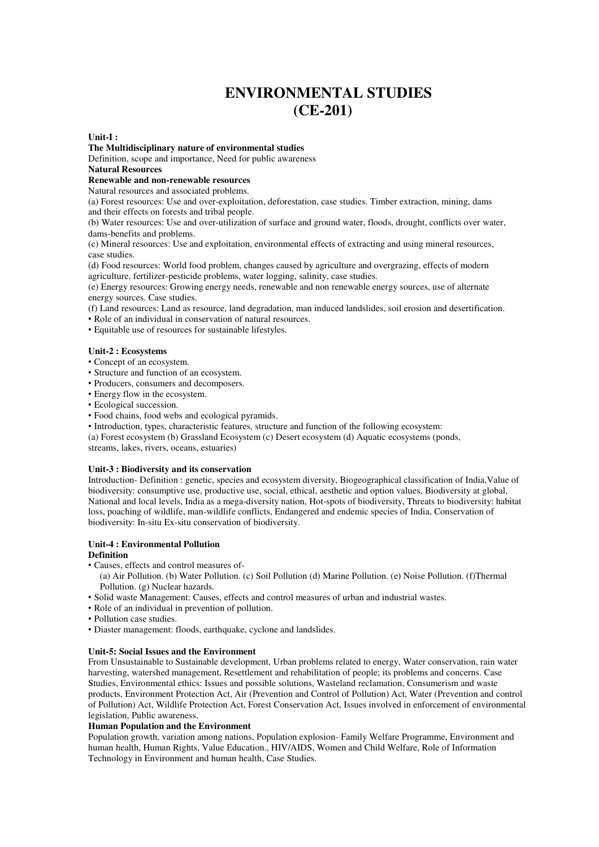# **ENVIRONMENTAL STUDIES (CE-201)**

#### **Unit-I :**

**The Multidisciplinary nature of environmental studies** 

Definition, scope and importance, Need for public awareness

# **Natural Resources**

**Renewable and non-renewable resources** 

Natural resources and associated problems.

(a) Forest resources: Use and over-exploitation, deforestation, case studies. Timber extraction, mining, dams and their effects on forests and tribal people.

(b) Water resources: Use and over-utilization of surface and ground water, floods, drought, conflicts over water, dams-benefits and problems.

(c) Mineral resources: Use and exploitation, environmental effects of extracting and using mineral resources, case studies.

(d) Food resources: World food problem, changes caused by agriculture and overgrazing, effects of modern agriculture, fertilizer-pesticide problems, water logging, salinity, case studies.

(e) Energy resources: Growing energy needs, renewable and non renewable energy sources, use of alternate energy sources. Case studies.

(f) Land resources: Land as resource, land degradation, man induced landslides, soil erosion and desertification.

- Role of an individual in conservation of natural resources.
- Equitable use of resources for sustainable lifestyles.

### **Unit-2 : Ecosystems**

- Concept of an ecosystem.
- Structure and function of an ecosystem.
- Producers, consumers and decomposers.
- Energy flow in the ecosystem.
- Ecological succession.
- Food chains, food webs and ecological pyramids.
- Introduction, types, characteristic features, structure and function of the following ecosystem:
- (a) Forest ecosystem (b) Grassland Ecosystem (c) Desert ecosystem (d) Aquatic ecosystems (ponds, streams, lakes, rivers, oceans, estuaries)

### **Unit-3 : Biodiversity and its conservation**

Introduction- Definition : genetic, species and ecosystem diversity, Biogeographical classification of India,Value of biodiversity: consumptive use, productive use, social, ethical, aesthetic and option values, Biodiversity at global, National and local levels, India as a mega-diversity nation, Hot-spots of biodiversity, Threats to biodiversity: habitat loss, poaching of wildlife, man-wildlife conflicts, Endangered and endemic species of India, Conservation of biodiversity: In-situ Ex-situ conservation of biodiversity.

# **Unit-4 : Environmental Pollution**

### **Definition**

- Causes, effects and control measures of-
- (a) Air Pollution. (b) Water Pollution. (c) Soil Pollution (d) Marine Pollution. (e) Noise Pollution. (f)Thermal Pollution. (g) Nuclear hazards.
- Solid waste Management: Causes, effects and control measures of urban and industrial wastes.
- Role of an individual in prevention of pollution.
- Pollution case studies.
- Diaster management: floods, earthquake, cyclone and landslides.

#### **Unit-5: Social Issues and the Environment**

From Unsustainable to Sustainable development, Urban problems related to energy, Water conservation, rain water harvesting, watershed management, Resettlement and rehabilitation of people; its problems and concerns. Case Studies, Environmental ethics: Issues and possible solutions, Wasteland reclamation, Consumerism and waste products, Environment Protection Act, Air (Prevention and Control of Pollution) Act, Water (Prevention and control of Pollution) Act, Wildlife Protection Act, Forest Conservation Act, Issues involved in enforcement of environmental legislation, Public awareness.

### **Human Population and the Environment**

Population growth, variation among nations, Population explosion- Family Welfare Programme, Environment and human health, Human Rights, Value Education., HIV/AIDS, Women and Child Welfare, Role of Information Technology in Environment and human health, Case Studies.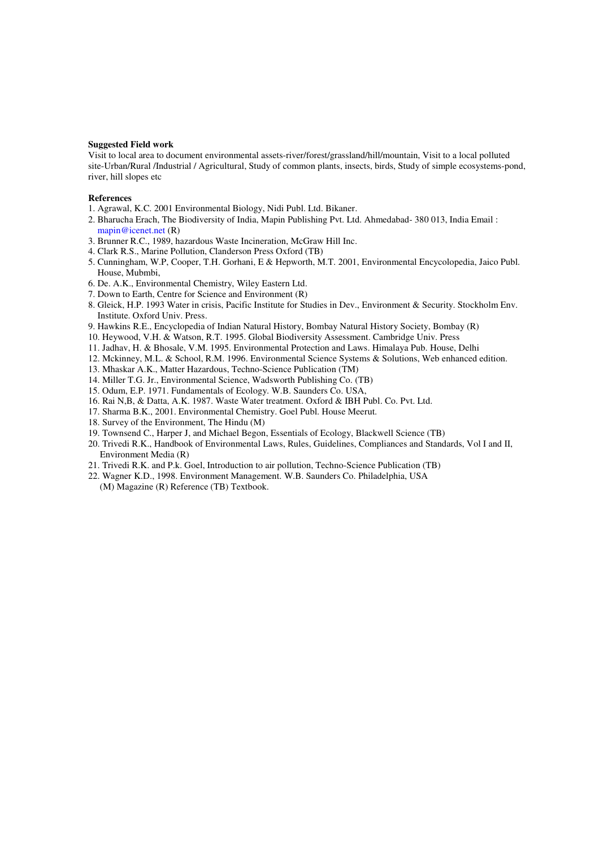#### **Suggested Field work**

Visit to local area to document environmental assets-river/forest/grassland/hill/mountain, Visit to a local polluted site-Urban/Rural /Industrial / Agricultural, Study of common plants, insects, birds, Study of simple ecosystems-pond, river, hill slopes etc

#### **References**

- 1. Agrawal, K.C. 2001 Environmental Biology, Nidi Publ. Ltd. Bikaner.
- 2. Bharucha Erach, The Biodiversity of India, Mapin Publishing Pvt. Ltd. Ahmedabad- 380 013, India Email : mapin@icenet.net (R)
- 3. Brunner R.C., 1989, hazardous Waste Incineration, McGraw Hill Inc.
- 4. Clark R.S., Marine Pollution, Clanderson Press Oxford (TB)
- 5. Cunningham, W.P, Cooper, T.H. Gorhani, E & Hepworth, M.T. 2001, Environmental Encycolopedia, Jaico Publ. House, Mubmbi,
- 6. De. A.K., Environmental Chemistry, Wiley Eastern Ltd.
- 7. Down to Earth, Centre for Science and Environment (R)
- 8. Gleick, H.P. 1993 Water in crisis, Pacific Institute for Studies in Dev., Environment & Security. Stockholm Env. Institute. Oxford Univ. Press.
- 9. Hawkins R.E., Encyclopedia of Indian Natural History, Bombay Natural History Society, Bombay (R)
- 10. Heywood, V.H. & Watson, R.T. 1995. Global Biodiversity Assessment. Cambridge Univ. Press
- 11. Jadhav, H. & Bhosale, V.M. 1995. Environmental Protection and Laws. Himalaya Pub. House, Delhi
- 12. Mckinney, M.L. & School, R.M. 1996. Environmental Science Systems & Solutions, Web enhanced edition.
- 13. Mhaskar A.K., Matter Hazardous, Techno-Science Publication (TM)
- 14. Miller T.G. Jr., Environmental Science, Wadsworth Publishing Co. (TB)
- 15. Odum, E.P. 1971. Fundamentals of Ecology. W.B. Saunders Co. USA,
- 16. Rai N,B, & Datta, A.K. 1987. Waste Water treatment. Oxford & IBH Publ. Co. Pvt. Ltd.
- 17. Sharma B.K., 2001. Environmental Chemistry. Goel Publ. House Meerut.
- 18. Survey of the Environment, The Hindu (M)
- 19. Townsend C., Harper J, and Michael Begon, Essentials of Ecology, Blackwell Science (TB)
- 20. Trivedi R.K., Handbook of Environmental Laws, Rules, Guidelines, Compliances and Standards, Vol I and II, Environment Media (R)
- 21. Trivedi R.K. and P.k. Goel, Introduction to air pollution, Techno-Science Publication (TB)
- 22. Wagner K.D., 1998. Environment Management. W.B. Saunders Co. Philadelphia, USA (M) Magazine (R) Reference (TB) Textbook.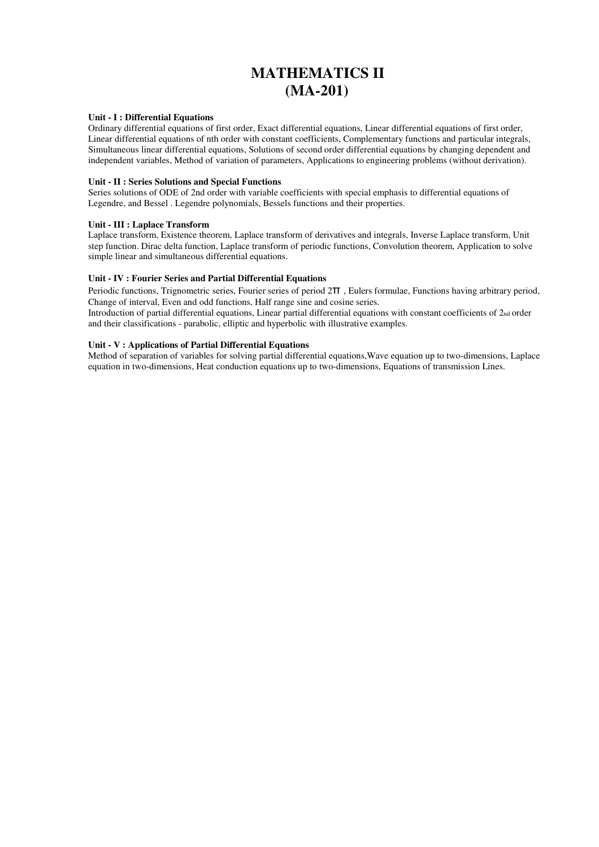# **MATHEMATICS II (MA-201)**

### **Unit - I : Differential Equations**

Ordinary differential equations of first order, Exact differential equations, Linear differential equations of first order, Linear differential equations of nth order with constant coefficients, Complementary functions and particular integrals, Simultaneous linear differential equations, Solutions of second order differential equations by changing dependent and independent variables, Method of variation of parameters, Applications to engineering problems (without derivation).

### **Unit - II : Series Solutions and Special Functions**

Series solutions of ODE of 2nd order with variable coefficients with special emphasis to differential equations of Legendre, and Bessel . Legendre polynomials, Bessels functions and their properties.

### **Unit - III : Laplace Transform**

Laplace transform, Existence theorem, Laplace transform of derivatives and integrals, Inverse Laplace transform, Unit step function. Dirac delta function, Laplace transform of periodic functions, Convolution theorem, Application to solve simple linear and simultaneous differential equations.

### **Unit - IV : Fourier Series and Partial Differential Equations**

Periodic functions, Trignometric series, Fourier series of period 2π , Eulers formulae, Functions having arbitrary period, Change of interval, Even and odd functions, Half range sine and cosine series.

Introduction of partial differential equations, Linear partial differential equations with constant coefficients of 2<sub>nd</sub> order and their classifications - parabolic, elliptic and hyperbolic with illustrative examples.

### **Unit - V : Applications of Partial Differential Equations**

Method of separation of variables for solving partial differential equations,Wave equation up to two-dimensions, Laplace equation in two-dimensions, Heat conduction equations up to two-dimensions, Equations of transmission Lines.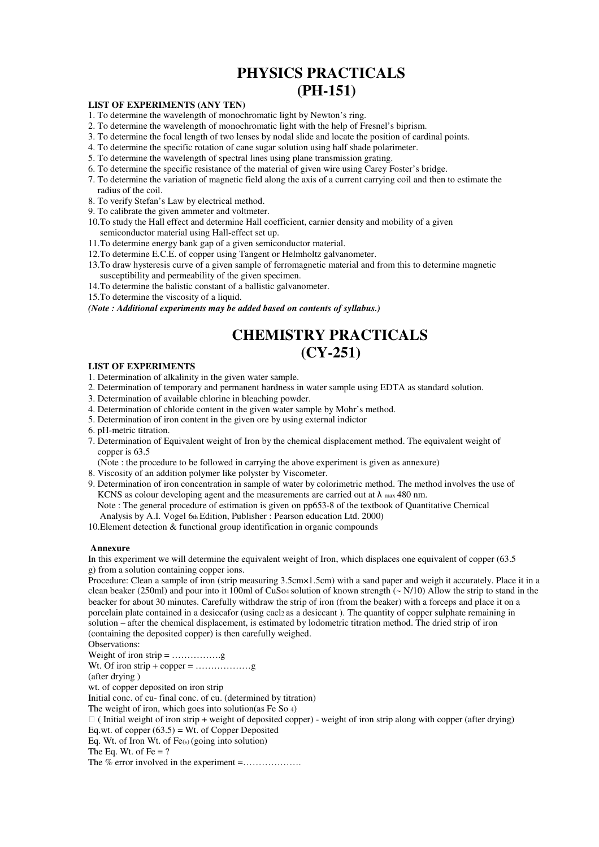# **PHYSICS PRACTICALS (PH-151)**

### **LIST OF EXPERIMENTS (ANY TEN)**

- 1. To determine the wavelength of monochromatic light by Newton's ring.
- 2. To determine the wavelength of monochromatic light with the help of Fresnel's biprism.
- 3. To determine the focal length of two lenses by nodal slide and locate the position of cardinal points.
- 4. To determine the specific rotation of cane sugar solution using half shade polarimeter.
- 5. To determine the wavelength of spectral lines using plane transmission grating.
- 6. To determine the specific resistance of the material of given wire using Carey Foster's bridge.
- 7. To determine the variation of magnetic field along the axis of a current carrying coil and then to estimate the radius of the coil.
- 8. To verify Stefan's Law by electrical method.
- 9. To calibrate the given ammeter and voltmeter.
- 10.To study the Hall effect and determine Hall coefficient, carnier density and mobility of a given semiconductor material using Hall-effect set up.
- 11.To determine energy bank gap of a given semiconductor material.
- 12.To determine E.C.E. of copper using Tangent or Helmholtz galvanometer.
- 13.To draw hysteresis curve of a given sample of ferromagnetic material and from this to determine magnetic susceptibility and permeability of the given specimen.
- 14.To determine the balistic constant of a ballistic galvanometer.
- 15.To determine the viscosity of a liquid.

*(Note : Additional experiments may be added based on contents of syllabus.)* 

# **CHEMISTRY PRACTICALS (CY-251)**

#### **LIST OF EXPERIMENTS**

- 1. Determination of alkalinity in the given water sample.
- 2. Determination of temporary and permanent hardness in water sample using EDTA as standard solution.
- 3. Determination of available chlorine in bleaching powder.
- 4. Determination of chloride content in the given water sample by Mohr's method.
- 5. Determination of iron content in the given ore by using external indictor
- 6. pH-metric titration.
- 7. Determination of Equivalent weight of Iron by the chemical displacement method. The equivalent weight of copper is 63.5

(Note : the procedure to be followed in carrying the above experiment is given as annexure)

- 8. Viscosity of an addition polymer like polyster by Viscometer.
- 9. Determination of iron concentration in sample of water by colorimetric method. The method involves the use of KCNS as colour developing agent and the measurements are carried out at  $\lambda$  max 480 nm.
	- Note : The general procedure of estimation is given on pp653-8 of the textbook of Quantitative Chemical Analysis by A.I. Vogel 6th Edition, Publisher : Pearson education Ltd. 2000)

10.Element detection & functional group identification in organic compounds

#### **Annexure**

In this experiment we will determine the equivalent weight of Iron, which displaces one equivalent of copper (63.5 g) from a solution containing copper ions.

Procedure: Clean a sample of iron (strip measuring 3.5cm×1.5cm) with a sand paper and weigh it accurately. Place it in a clean beaker (250ml) and pour into it 100ml of CuSo4 solution of known strength  $\sim N/10$ ) Allow the strip to stand in the beacker for about 30 minutes. Carefully withdraw the strip of iron (from the beaker) with a forceps and place it on a porcelain plate contained in a desiccafor (using cacl2 as a desiccant ). The quantity of copper sulphate remaining in solution – after the chemical displacement, is estimated by lodometric titration method. The dried strip of iron (containing the deposited copper) is then carefully weighed.

Observations: Weight of iron strip = …………….g Wt. Of iron strip + copper = ………………g (after drying ) wt. of copper deposited on iron strip Initial conc. of cu- final conc. of cu. (determined by titration) The weight of iron, which goes into solution(as Fe So 4) ⇒ ( Initial weight of iron strip + weight of deposited copper) - weight of iron strip along with copper (after drying) Eq.wt. of copper  $(63.5)$  = Wt. of Copper Deposited Eq. Wt. of Iron Wt. of Fe(s) (going into solution) The Eq. Wt. of Fe  $= ?$ The % error involved in the experiment =……………….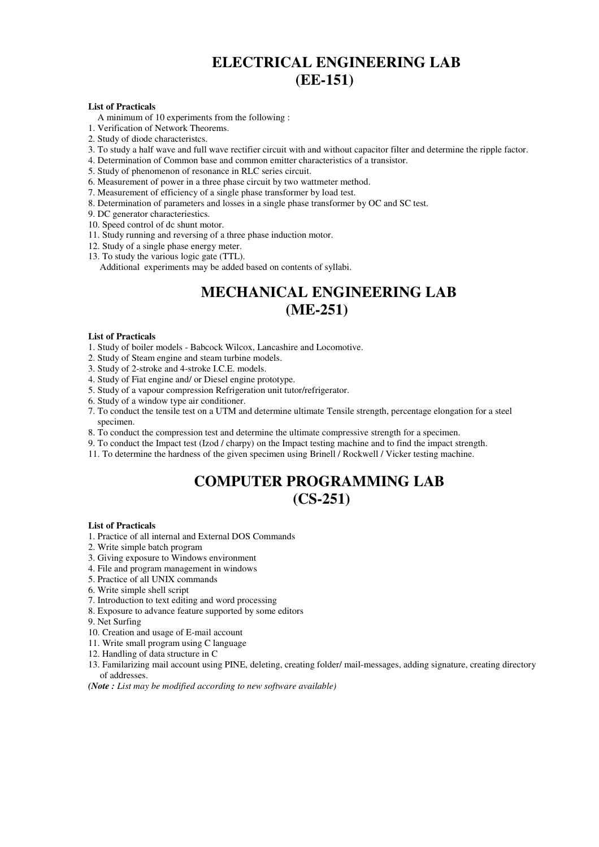# **ELECTRICAL ENGINEERING LAB (EE-151)**

### **List of Practicals**

A minimum of 10 experiments from the following :

- 1. Verification of Network Theorems.
- 2. Study of diode characteristcs.
- 3. To study a half wave and full wave rectifier circuit with and without capacitor filter and determine the ripple factor.
- 4. Determination of Common base and common emitter characteristics of a transistor.
- 5. Study of phenomenon of resonance in RLC series circuit.
- 6. Measurement of power in a three phase circuit by two wattmeter method.
- 7. Measurement of efficiency of a single phase transformer by load test.
- 8. Determination of parameters and losses in a single phase transformer by OC and SC test.
- 9. DC generator characteriestics.
- 10. Speed control of dc shunt motor.
- 11. Study running and reversing of a three phase induction motor.
- 12. Study of a single phase energy meter.
- 13. To study the various logic gate (TTL).

Additional experiments may be added based on contents of syllabi.

# **MECHANICAL ENGINEERING LAB (ME-251)**

### **List of Practicals**

- 1. Study of boiler models Babcock Wilcox, Lancashire and Locomotive.
- 2. Study of Steam engine and steam turbine models.
- 3. Study of 2-stroke and 4-stroke I.C.E. models.
- 4. Study of Fiat engine and/ or Diesel engine prototype.
- 5. Study of a vapour compression Refrigeration unit tutor/refrigerator.
- 6. Study of a window type air conditioner.
- 7. To conduct the tensile test on a UTM and determine ultimate Tensile strength, percentage elongation for a steel specimen.
- 8. To conduct the compression test and determine the ultimate compressive strength for a specimen.
- 9. To conduct the Impact test (Izod / charpy) on the Impact testing machine and to find the impact strength.
- 11. To determine the hardness of the given specimen using Brinell / Rockwell / Vicker testing machine.

# **COMPUTER PROGRAMMING LAB**

# **(CS-251)**

#### **List of Practicals**

- 1. Practice of all internal and External DOS Commands
- 2. Write simple batch program
- 3. Giving exposure to Windows environment
- 4. File and program management in windows
- 5. Practice of all UNIX commands
- 6. Write simple shell script
- 7. Introduction to text editing and word processing
- 8. Exposure to advance feature supported by some editors

9. Net Surfing

- 10. Creation and usage of E-mail account
- 11. Write small program using C language
- 12. Handling of data structure in C
- 13. Familarizing mail account using PINE, deleting, creating folder/ mail-messages, adding signature, creating directory of addresses.

*(Note : List may be modified according to new software available)*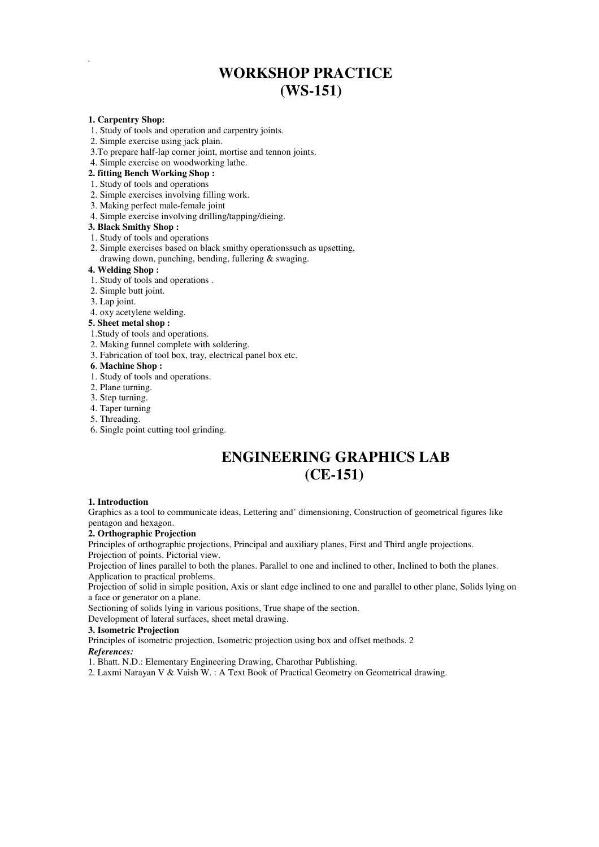# **WORKSHOP PRACTICE (WS-151)**

### **1. Carpentry Shop:**

*.* 

- 1. Study of tools and operation and carpentry joints.
- 2. Simple exercise using jack plain.
- 3.To prepare half-lap corner joint, mortise and tennon joints.
- 4. Simple exercise on woodworking lathe.

### **2. fitting Bench Working Shop :**

#### 1. Study of tools and operations

- 2. Simple exercises involving filling work.
- 3. Making perfect male-female joint
- 4. Simple exercise involving drilling/tapping/dieing.

### **3. Black Smithy Shop :**

- 1. Study of tools and operations
- 2. Simple exercises based on black smithy operationssuch as upsetting, drawing down, punching, bending, fullering & swaging.

### **4. Welding Shop :**

- 1. Study of tools and operations .
- 2. Simple butt joint.
- 3. Lap joint.

#### 4. oxy acetylene welding.

### **5. Sheet metal shop :**

- 1.Study of tools and operations.
- 2. Making funnel complete with soldering.
- 3. Fabrication of tool box, tray, electrical panel box etc.

#### **6**. **Machine Shop :**

- 1. Study of tools and operations.
- 2. Plane turning.
- 3. Step turning.
- 4. Taper turning
- 5. Threading.
- 6. Single point cutting tool grinding.

# **ENGINEERING GRAPHICS LAB (CE-151)**

### **1. Introduction**

Graphics as a tool to communicate ideas, Lettering and' dimensioning, Construction of geometrical figures like pentagon and hexagon.

### **2. Orthographic Projection**

Principles of orthographic projections, Principal and auxiliary planes, First and Third angle projections. Projection of points. Pictorial view.

Projection of lines parallel to both the planes. Parallel to one and inclined to other, Inclined to both the planes. Application to practical problems.

Projection of solid in simple position, Axis or slant edge inclined to one and parallel to other plane, Solids lying on a face or generator on a plane.

Sectioning of solids lying in various positions, True shape of the section.

Development of lateral surfaces, sheet metal drawing.

#### **3. Isometric Projection**

Principles of isometric projection, Isometric projection using box and offset methods. 2

# *References:*

1. Bhatt. N.D.: Elementary Engineering Drawing, Charothar Publishing.

2. Laxmi Narayan V & Vaish W. : A Text Book of Practical Geometry on Geometrical drawing.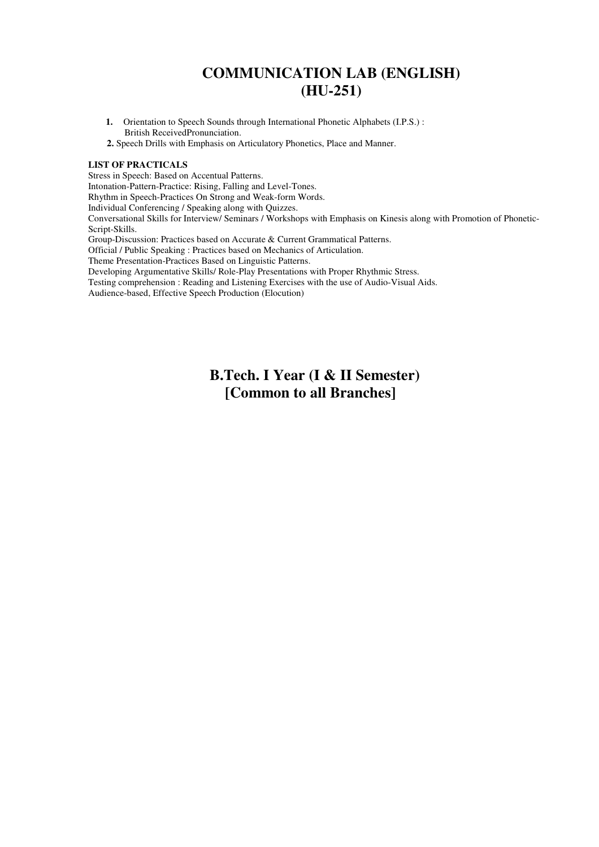# **COMMUNICATION LAB (ENGLISH) (HU-251)**

- **1.** Orientation to Speech Sounds through International Phonetic Alphabets (I.P.S.) : British ReceivedPronunciation.
- **2.** Speech Drills with Emphasis on Articulatory Phonetics, Place and Manner.

### **LIST OF PRACTICALS**

Stress in Speech: Based on Accentual Patterns.

Intonation-Pattern-Practice: Rising, Falling and Level-Tones.

Rhythm in Speech-Practices On Strong and Weak-form Words.

Individual Conferencing / Speaking along with Quizzes.

Conversational Skills for Interview/ Seminars / Workshops with Emphasis on Kinesis along with Promotion of Phonetic-Script-Skills.

Group-Discussion: Practices based on Accurate & Current Grammatical Patterns.

Official / Public Speaking : Practices based on Mechanics of Articulation.

Theme Presentation-Practices Based on Linguistic Patterns.

Developing Argumentative Skills/ Role-Play Presentations with Proper Rhythmic Stress.

Testing comprehension : Reading and Listening Exercises with the use of Audio-Visual Aids.

Audience-based, Effective Speech Production (Elocution)

# **B.Tech. I Year (I & II Semester) [Common to all Branches]**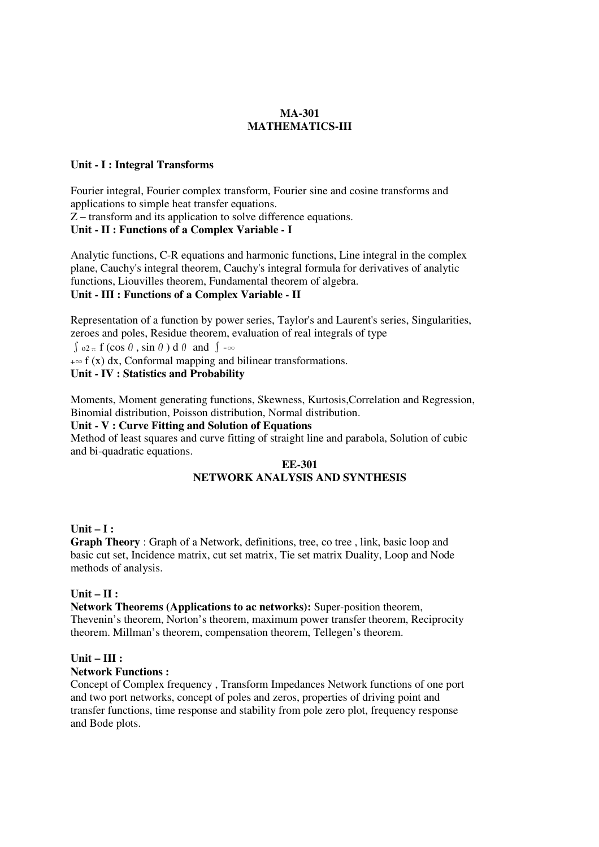# **MA-301 MATHEMATICS-III**

# **Unit - I : Integral Transforms**

Fourier integral, Fourier complex transform, Fourier sine and cosine transforms and applications to simple heat transfer equations.  $\overline{Z}$  – transform and its application to solve difference equations.

# **Unit - II : Functions of a Complex Variable - I**

Analytic functions, C-R equations and harmonic functions, Line integral in the complex plane, Cauchy's integral theorem, Cauchy's integral formula for derivatives of analytic functions, Liouvilles theorem, Fundamental theorem of algebra. **Unit - III : Functions of a Complex Variable - II** 

Representation of a function by power series, Taylor's and Laurent's series, Singularities, zeroes and poles, Residue theorem, evaluation of real integrals of type

 $\int \rho_2 \pi f(\cos \theta, \sin \theta) d\theta$  and  $\int -\infty$ 

 $+\infty$  f (x) dx, Conformal mapping and bilinear transformations.

# **Unit - IV : Statistics and Probability**

Moments, Moment generating functions, Skewness, Kurtosis,Correlation and Regression, Binomial distribution, Poisson distribution, Normal distribution.

# **Unit - V : Curve Fitting and Solution of Equations**

Method of least squares and curve fitting of straight line and parabola, Solution of cubic and bi-quadratic equations.

# **EE-301 NETWORK ANALYSIS AND SYNTHESIS**

# **Unit – I :**

**Graph Theory** : Graph of a Network, definitions, tree, co tree, link, basic loop and basic cut set, Incidence matrix, cut set matrix, Tie set matrix Duality, Loop and Node methods of analysis.

# **Unit – II :**

**Network Theorems (Applications to ac networks):** Super-position theorem, Thevenin's theorem, Norton's theorem, maximum power transfer theorem, Reciprocity theorem. Millman's theorem, compensation theorem, Tellegen's theorem.

# **Unit – III :**

# **Network Functions :**

Concept of Complex frequency , Transform Impedances Network functions of one port and two port networks, concept of poles and zeros, properties of driving point and transfer functions, time response and stability from pole zero plot, frequency response and Bode plots.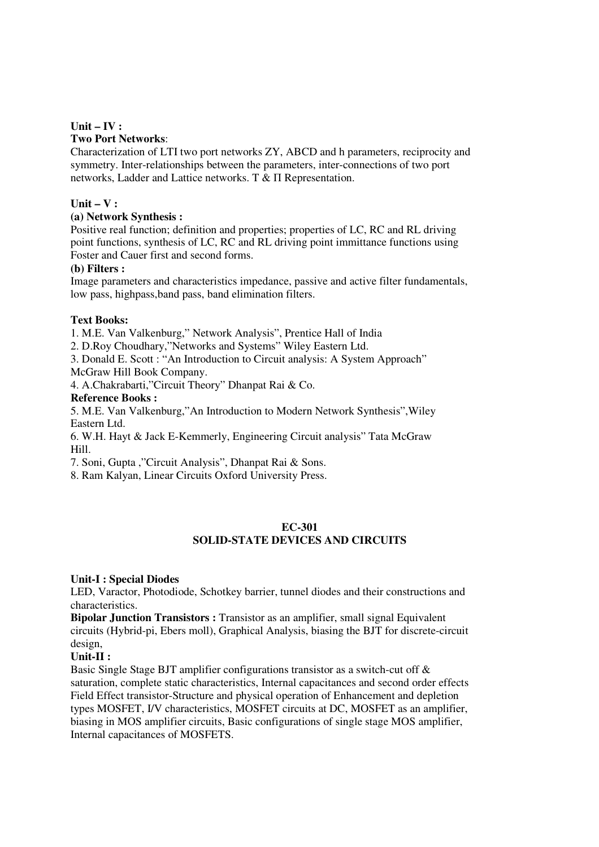# **Unit – IV :**

# **Two Port Networks**:

Characterization of LTI two port networks ZY, ABCD and h parameters, reciprocity and symmetry. Inter-relationships between the parameters, inter-connections of two port networks, Ladder and Lattice networks. T & Π Representation.

# **Unit – V :**

# **(a) Network Synthesis :**

Positive real function; definition and properties; properties of LC, RC and RL driving point functions, synthesis of LC, RC and RL driving point immittance functions using Foster and Cauer first and second forms.

### **(b) Filters :**

Image parameters and characteristics impedance, passive and active filter fundamentals, low pass, highpass,band pass, band elimination filters.

### **Text Books:**

1. M.E. Van Valkenburg," Network Analysis", Prentice Hall of India

2. D.Roy Choudhary,"Networks and Systems" Wiley Eastern Ltd.

3. Donald E. Scott : "An Introduction to Circuit analysis: A System Approach"

McGraw Hill Book Company.

4. A.Chakrabarti,"Circuit Theory" Dhanpat Rai & Co.

### **Reference Books :**

5. M.E. Van Valkenburg,"An Introduction to Modern Network Synthesis",Wiley Eastern Ltd.

6. W.H. Hayt & Jack E-Kemmerly, Engineering Circuit analysis" Tata McGraw Hill.

7. Soni, Gupta ,"Circuit Analysis", Dhanpat Rai & Sons.

8. Ram Kalyan, Linear Circuits Oxford University Press.

### **EC-301**

# **SOLID-STATE DEVICES AND CIRCUITS**

# **Unit-I : Special Diodes**

LED, Varactor, Photodiode, Schotkey barrier, tunnel diodes and their constructions and characteristics.

**Bipolar Junction Transistors :** Transistor as an amplifier, small signal Equivalent circuits (Hybrid-pi, Ebers moll), Graphical Analysis, biasing the BJT for discrete-circuit design,

# **Unit-II :**

Basic Single Stage BJT amplifier configurations transistor as a switch-cut off & saturation, complete static characteristics, Internal capacitances and second order effects Field Effect transistor-Structure and physical operation of Enhancement and depletion types MOSFET, I/V characteristics, MOSFET circuits at DC, MOSFET as an amplifier, biasing in MOS amplifier circuits, Basic configurations of single stage MOS amplifier, Internal capacitances of MOSFETS.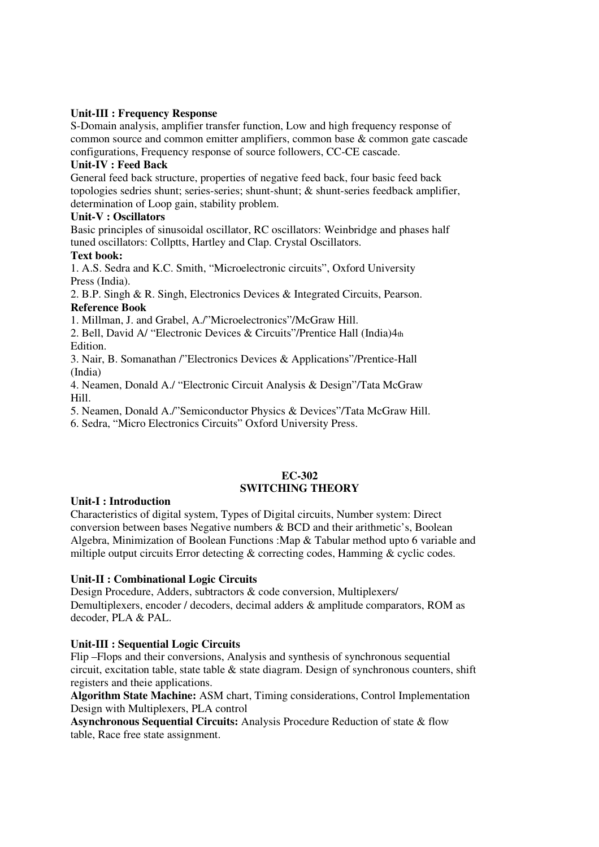# **Unit-III : Frequency Response**

S-Domain analysis, amplifier transfer function, Low and high frequency response of common source and common emitter amplifiers, common base & common gate cascade configurations, Frequency response of source followers, CC-CE cascade.

# **Unit-IV : Feed Back**

General feed back structure, properties of negative feed back, four basic feed back topologies sedries shunt; series-series; shunt-shunt; & shunt-series feedback amplifier, determination of Loop gain, stability problem.

# **Unit-V : Oscillators**

Basic principles of sinusoidal oscillator, RC oscillators: Weinbridge and phases half tuned oscillators: Collptts, Hartley and Clap. Crystal Oscillators.

# **Text book:**

1. A.S. Sedra and K.C. Smith, "Microelectronic circuits", Oxford University Press (India).

2. B.P. Singh & R. Singh, Electronics Devices & Integrated Circuits, Pearson. **Reference Book** 

1. Millman, J. and Grabel, A./"Microelectronics"/McGraw Hill.

2. Bell, David A/ "Electronic Devices & Circuits"/Prentice Hall (India)4th Edition.

3. Nair, B. Somanathan /"Electronics Devices & Applications"/Prentice-Hall (India)

4. Neamen, Donald A./ "Electronic Circuit Analysis & Design"/Tata McGraw Hill.

5. Neamen, Donald A./"Semiconductor Physics & Devices"/Tata McGraw Hill.

6. Sedra, "Micro Electronics Circuits" Oxford University Press.

# **EC-302 SWITCHING THEORY**

# **Unit-I : Introduction**

Characteristics of digital system, Types of Digital circuits, Number system: Direct conversion between bases Negative numbers & BCD and their arithmetic's, Boolean Algebra, Minimization of Boolean Functions :Map & Tabular method upto 6 variable and miltiple output circuits Error detecting & correcting codes, Hamming & cyclic codes.

# **Unit-II : Combinational Logic Circuits**

Design Procedure, Adders, subtractors & code conversion, Multiplexers/ Demultiplexers, encoder / decoders, decimal adders & amplitude comparators, ROM as decoder, PLA & PAL.

# **Unit-III : Sequential Logic Circuits**

Flip –Flops and their conversions, Analysis and synthesis of synchronous sequential circuit, excitation table, state table & state diagram. Design of synchronous counters, shift registers and theie applications.

**Algorithm State Machine:** ASM chart, Timing considerations, Control Implementation Design with Multiplexers, PLA control

**Asynchronous Sequential Circuits:** Analysis Procedure Reduction of state & flow table, Race free state assignment.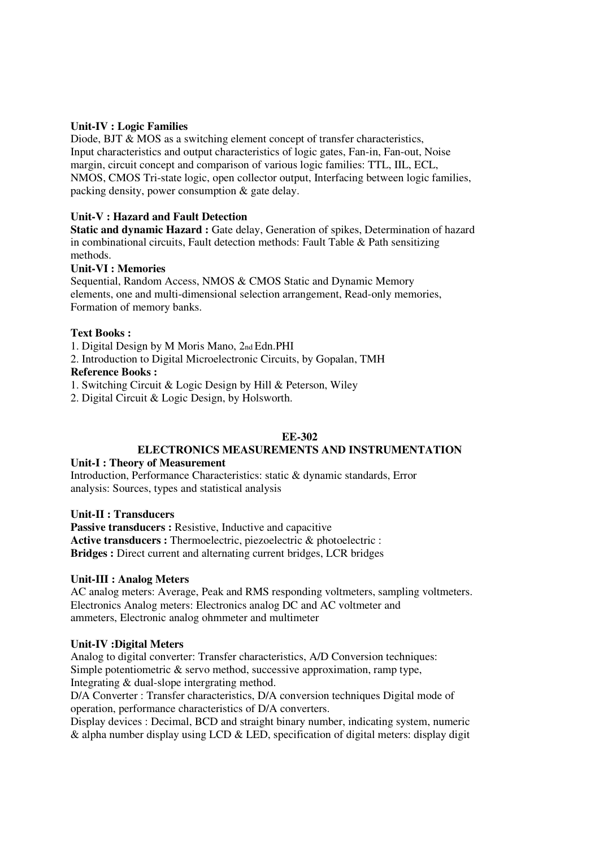# **Unit-IV : Logic Families**

Diode, BJT & MOS as a switching element concept of transfer characteristics, Input characteristics and output characteristics of logic gates, Fan-in, Fan-out, Noise margin, circuit concept and comparison of various logic families: TTL, IIL, ECL, NMOS, CMOS Tri-state logic, open collector output, Interfacing between logic families, packing density, power consumption & gate delay.

# **Unit-V : Hazard and Fault Detection**

**Static and dynamic Hazard :** Gate delay, Generation of spikes, Determination of hazard in combinational circuits, Fault detection methods: Fault Table & Path sensitizing methods.

# **Unit-VI : Memories**

Sequential, Random Access, NMOS & CMOS Static and Dynamic Memory elements, one and multi-dimensional selection arrangement, Read-only memories, Formation of memory banks.

# **Text Books :**

- 1. Digital Design by M Moris Mano, 2nd Edn.PHI
- 2. Introduction to Digital Microelectronic Circuits, by Gopalan, TMH

# **Reference Books :**

- 1. Switching Circuit & Logic Design by Hill & Peterson, Wiley
- 2. Digital Circuit & Logic Design, by Holsworth.

# **EE-302**

# **ELECTRONICS MEASUREMENTS AND INSTRUMENTATION**

# **Unit-I : Theory of Measurement**

Introduction, Performance Characteristics: static & dynamic standards, Error analysis: Sources, types and statistical analysis

# **Unit-II : Transducers**

**Passive transducers :** Resistive, Inductive and capacitive Active transducers : Thermoelectric, piezoelectric & photoelectric : **Bridges :** Direct current and alternating current bridges, LCR bridges

# **Unit-III : Analog Meters**

AC analog meters: Average, Peak and RMS responding voltmeters, sampling voltmeters. Electronics Analog meters: Electronics analog DC and AC voltmeter and ammeters, Electronic analog ohmmeter and multimeter

# **Unit-IV :Digital Meters**

Analog to digital converter: Transfer characteristics, A/D Conversion techniques: Simple potentiometric & servo method, successive approximation, ramp type, Integrating & dual-slope intergrating method.

D/A Converter : Transfer characteristics, D/A conversion techniques Digital mode of operation, performance characteristics of D/A converters.

Display devices : Decimal, BCD and straight binary number, indicating system, numeric & alpha number display using LCD & LED, specification of digital meters: display digit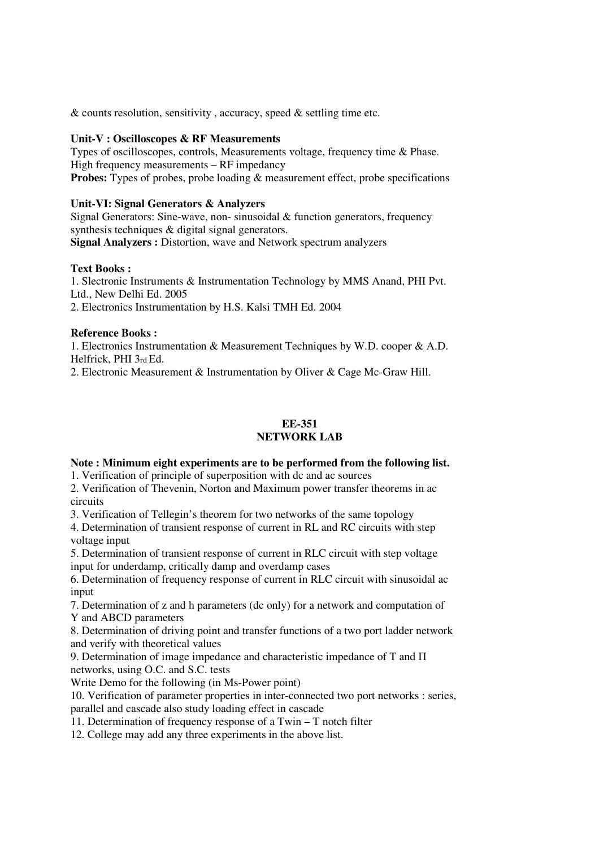$&$  counts resolution, sensitivity, accuracy, speed  $&$  settling time etc.

### **Unit-V : Oscilloscopes & RF Measurements**

Types of oscilloscopes, controls, Measurements voltage, frequency time & Phase. High frequency measurements – RF impedancy **Probes:** Types of probes, probe loading & measurement effect, probe specifications

### **Unit-VI: Signal Generators & Analyzers**

Signal Generators: Sine-wave, non- sinusoidal & function generators, frequency synthesis techniques & digital signal generators. **Signal Analyzers :** Distortion, wave and Network spectrum analyzers

### **Text Books :**

1. Slectronic Instruments & Instrumentation Technology by MMS Anand, PHI Pvt. Ltd., New Delhi Ed. 2005

2. Electronics Instrumentation by H.S. Kalsi TMH Ed. 2004

### **Reference Books :**

1. Electronics Instrumentation & Measurement Techniques by W.D. cooper & A.D. Helfrick, PHI 3rd Ed.

2. Electronic Measurement & Instrumentation by Oliver & Cage Mc-Graw Hill.

### **EE-351 NETWORK LAB**

## **Note : Minimum eight experiments are to be performed from the following list.**

1. Verification of principle of superposition with dc and ac sources

2. Verification of Thevenin, Norton and Maximum power transfer theorems in ac circuits

3. Verification of Tellegin's theorem for two networks of the same topology

4. Determination of transient response of current in RL and RC circuits with step voltage input

5. Determination of transient response of current in RLC circuit with step voltage input for underdamp, critically damp and overdamp cases

6. Determination of frequency response of current in RLC circuit with sinusoidal ac input

7. Determination of z and h parameters (dc only) for a network and computation of Y and ABCD parameters

8. Determination of driving point and transfer functions of a two port ladder network and verify with theoretical values

9. Determination of image impedance and characteristic impedance of T and Π networks, using O.C. and S.C. tests

Write Demo for the following (in Ms-Power point)

10. Verification of parameter properties in inter-connected two port networks : series, parallel and cascade also study loading effect in cascade

11. Determination of frequency response of a Twin – T notch filter

12. College may add any three experiments in the above list.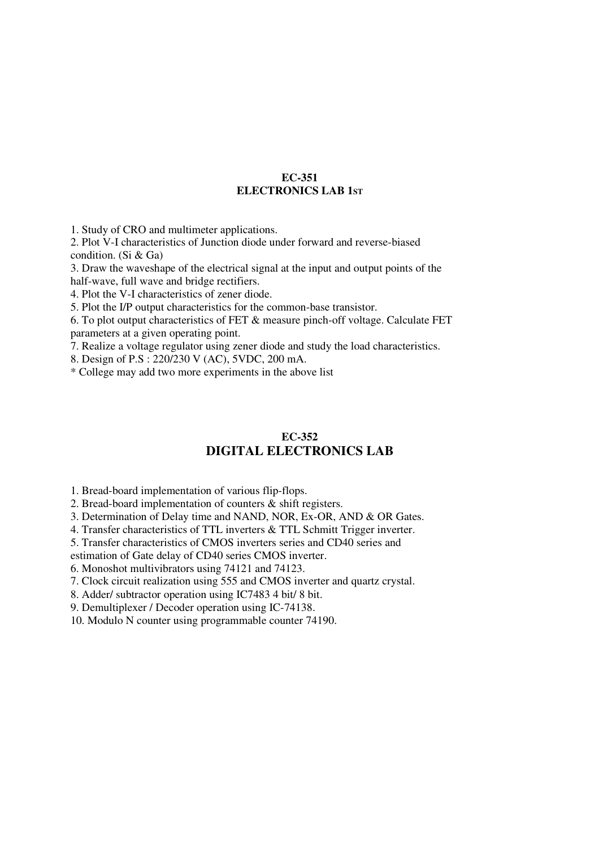### **EC-351 ELECTRONICS LAB 1ST**

1. Study of CRO and multimeter applications.

2. Plot V-I characteristics of Junction diode under forward and reverse-biased condition. (Si & Ga)

3. Draw the waveshape of the electrical signal at the input and output points of the half-wave, full wave and bridge rectifiers.

4. Plot the V-I characteristics of zener diode.

5. Plot the I/P output characteristics for the common-base transistor.

6. To plot output characteristics of FET & measure pinch-off voltage. Calculate FET parameters at a given operating point.

7. Realize a voltage regulator using zener diode and study the load characteristics.

8. Design of P.S : 220/230 V (AC), 5VDC, 200 mA.

\* College may add two more experiments in the above list

# **EC-352 DIGITAL ELECTRONICS LAB**

1. Bread-board implementation of various flip-flops.

2. Bread-board implementation of counters & shift registers.

3. Determination of Delay time and NAND, NOR, Ex-OR, AND & OR Gates.

4. Transfer characteristics of TTL inverters & TTL Schmitt Trigger inverter.

5. Transfer characteristics of CMOS inverters series and CD40 series and

estimation of Gate delay of CD40 series CMOS inverter.

6. Monoshot multivibrators using 74121 and 74123.

7. Clock circuit realization using 555 and CMOS inverter and quartz crystal.

8. Adder/ subtractor operation using IC7483 4 bit/ 8 bit.

9. Demultiplexer / Decoder operation using IC-74138.

10. Modulo N counter using programmable counter 74190.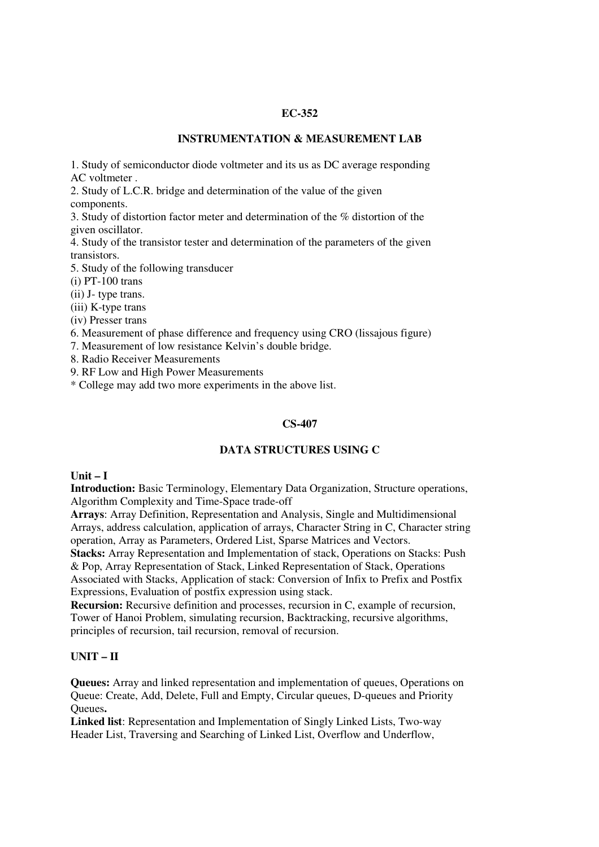### **EC-352**

### **INSTRUMENTATION & MEASUREMENT LAB**

1. Study of semiconductor diode voltmeter and its us as DC average responding AC voltmeter .

2. Study of L.C.R. bridge and determination of the value of the given components.

3. Study of distortion factor meter and determination of the % distortion of the given oscillator.

4. Study of the transistor tester and determination of the parameters of the given transistors.

5. Study of the following transducer

 $(i)$  PT-100 trans

(ii) J- type trans.

(iii) K-type trans

(iv) Presser trans

6. Measurement of phase difference and frequency using CRO (lissajous figure)

7. Measurement of low resistance Kelvin's double bridge.

8. Radio Receiver Measurements

9. RF Low and High Power Measurements

\* College may add two more experiments in the above list.

# **CS-407**

# **DATA STRUCTURES USING C**

# **Unit – I**

**Introduction:** Basic Terminology, Elementary Data Organization, Structure operations, Algorithm Complexity and Time-Space trade-off

**Arrays**: Array Definition, Representation and Analysis, Single and Multidimensional Arrays, address calculation, application of arrays, Character String in C, Character string operation, Array as Parameters, Ordered List, Sparse Matrices and Vectors.

**Stacks:** Array Representation and Implementation of stack, Operations on Stacks: Push & Pop, Array Representation of Stack, Linked Representation of Stack, Operations Associated with Stacks, Application of stack: Conversion of Infix to Prefix and Postfix Expressions, Evaluation of postfix expression using stack.

**Recursion:** Recursive definition and processes, recursion in C, example of recursion, Tower of Hanoi Problem, simulating recursion, Backtracking, recursive algorithms, principles of recursion, tail recursion, removal of recursion.

# **UNIT – II**

**Queues:** Array and linked representation and implementation of queues, Operations on Queue: Create, Add, Delete, Full and Empty, Circular queues, D-queues and Priority Queues**.** 

**Linked list**: Representation and Implementation of Singly Linked Lists, Two-way Header List, Traversing and Searching of Linked List, Overflow and Underflow,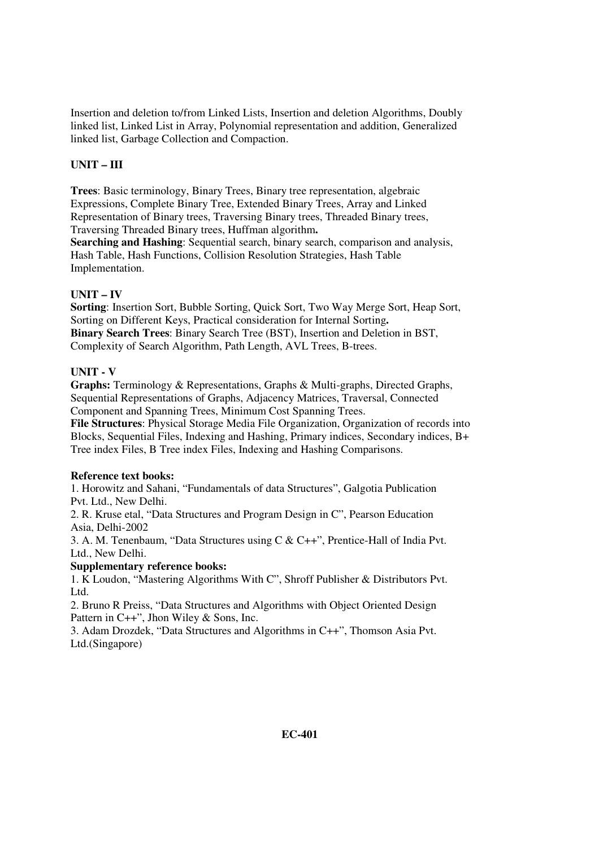Insertion and deletion to/from Linked Lists, Insertion and deletion Algorithms, Doubly linked list, Linked List in Array, Polynomial representation and addition, Generalized linked list, Garbage Collection and Compaction.

# **UNIT – III**

**Trees**: Basic terminology, Binary Trees, Binary tree representation, algebraic Expressions, Complete Binary Tree, Extended Binary Trees, Array and Linked Representation of Binary trees, Traversing Binary trees, Threaded Binary trees, Traversing Threaded Binary trees, Huffman algorithm**.** 

**Searching and Hashing**: Sequential search, binary search, comparison and analysis, Hash Table, Hash Functions, Collision Resolution Strategies, Hash Table Implementation.

# **UNIT – IV**

**Sorting**: Insertion Sort, Bubble Sorting, Quick Sort, Two Way Merge Sort, Heap Sort, Sorting on Different Keys, Practical consideration for Internal Sorting**. Binary Search Trees**: Binary Search Tree (BST), Insertion and Deletion in BST, Complexity of Search Algorithm, Path Length, AVL Trees, B-trees.

# **UNIT - V**

**Graphs:** Terminology & Representations, Graphs & Multi-graphs, Directed Graphs, Sequential Representations of Graphs, Adjacency Matrices, Traversal, Connected Component and Spanning Trees, Minimum Cost Spanning Trees.

**File Structures**: Physical Storage Media File Organization, Organization of records into Blocks, Sequential Files, Indexing and Hashing, Primary indices, Secondary indices, B+ Tree index Files, B Tree index Files, Indexing and Hashing Comparisons.

# **Reference text books:**

1. Horowitz and Sahani, "Fundamentals of data Structures", Galgotia Publication Pvt. Ltd., New Delhi.

2. R. Kruse etal, "Data Structures and Program Design in C", Pearson Education Asia, Delhi-2002

3. A. M. Tenenbaum, "Data Structures using C & C++", Prentice-Hall of India Pvt. Ltd., New Delhi.

# **Supplementary reference books:**

1. K Loudon, "Mastering Algorithms With C", Shroff Publisher & Distributors Pvt. Ltd.

2. Bruno R Preiss, "Data Structures and Algorithms with Object Oriented Design Pattern in C++", Jhon Wiley & Sons, Inc.

3. Adam Drozdek, "Data Structures and Algorithms in C++", Thomson Asia Pvt. Ltd.(Singapore)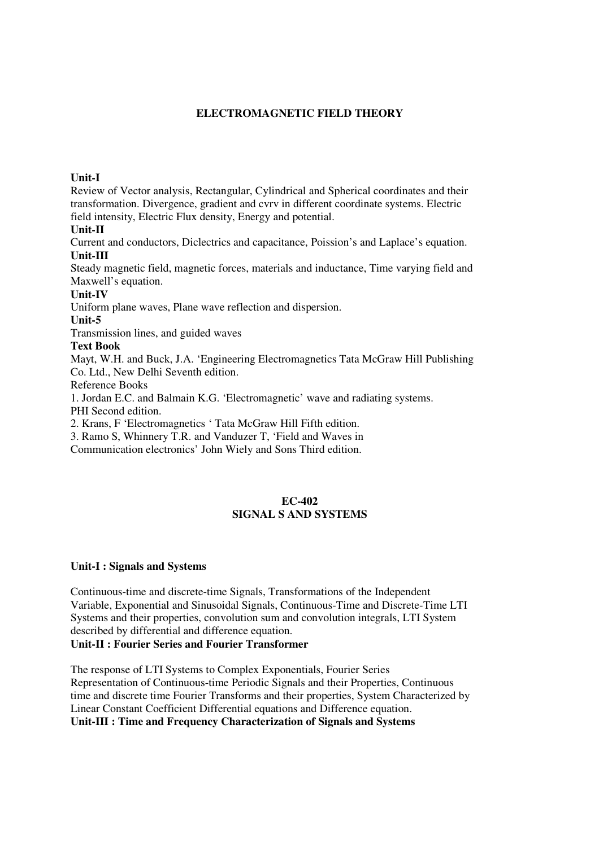# **ELECTROMAGNETIC FIELD THEORY**

# **Unit-I**

Review of Vector analysis, Rectangular, Cylindrical and Spherical coordinates and their transformation. Divergence, gradient and cvrv in different coordinate systems. Electric field intensity, Electric Flux density, Energy and potential.

### **Unit-II**

Current and conductors, Diclectrics and capacitance, Poission's and Laplace's equation. **Unit-III** 

Steady magnetic field, magnetic forces, materials and inductance, Time varying field and Maxwell's equation.

### **Unit-IV**

Uniform plane waves, Plane wave reflection and dispersion.

### **Unit-5**

Transmission lines, and guided waves

# **Text Book**

Mayt, W.H. and Buck, J.A. 'Engineering Electromagnetics Tata McGraw Hill Publishing Co. Ltd., New Delhi Seventh edition.

Reference Books

1. Jordan E.C. and Balmain K.G. 'Electromagnetic' wave and radiating systems. PHI Second edition.

2. Krans, F 'Electromagnetics ' Tata McGraw Hill Fifth edition.

3. Ramo S, Whinnery T.R. and Vanduzer T, 'Field and Waves in

Communication electronics' John Wiely and Sons Third edition.

# **EC-402 SIGNAL S AND SYSTEMS**

# **Unit-I : Signals and Systems**

Continuous-time and discrete-time Signals, Transformations of the Independent Variable, Exponential and Sinusoidal Signals, Continuous-Time and Discrete-Time LTI Systems and their properties, convolution sum and convolution integrals, LTI System described by differential and difference equation. **Unit-II : Fourier Series and Fourier Transformer** 

The response of LTI Systems to Complex Exponentials, Fourier Series Representation of Continuous-time Periodic Signals and their Properties, Continuous time and discrete time Fourier Transforms and their properties, System Characterized by Linear Constant Coefficient Differential equations and Difference equation. **Unit-III : Time and Frequency Characterization of Signals and Systems**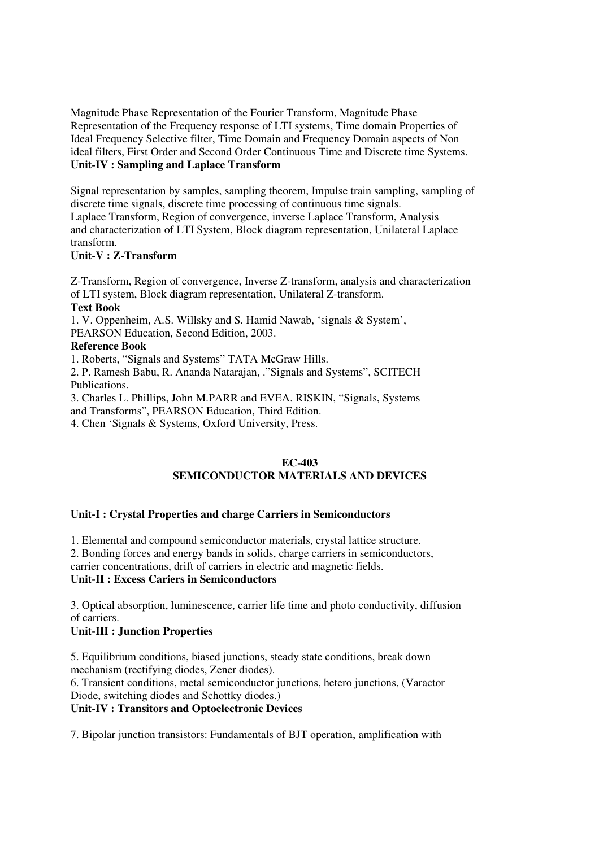Magnitude Phase Representation of the Fourier Transform, Magnitude Phase Representation of the Frequency response of LTI systems, Time domain Properties of Ideal Frequency Selective filter, Time Domain and Frequency Domain aspects of Non ideal filters, First Order and Second Order Continuous Time and Discrete time Systems. **Unit-IV : Sampling and Laplace Transform** 

Signal representation by samples, sampling theorem, Impulse train sampling, sampling of discrete time signals, discrete time processing of continuous time signals. Laplace Transform, Region of convergence, inverse Laplace Transform, Analysis and characterization of LTI System, Block diagram representation, Unilateral Laplace transform.

# **Unit-V : Z-Transform**

Z-Transform, Region of convergence, Inverse Z-transform, analysis and characterization of LTI system, Block diagram representation, Unilateral Z-transform. **Text Book**  1. V. Oppenheim, A.S. Willsky and S. Hamid Nawab, 'signals & System', PEARSON Education, Second Edition, 2003. **Reference Book**  1. Roberts, "Signals and Systems" TATA McGraw Hills. 2. P. Ramesh Babu, R. Ananda Natarajan, ."Signals and Systems", SCITECH Publications. 3. Charles L. Phillips, John M.PARR and EVEA. RISKIN, "Signals, Systems

and Transforms", PEARSON Education, Third Edition.

4. Chen 'Signals & Systems, Oxford University, Press.

# **EC-403 SEMICONDUCTOR MATERIALS AND DEVICES**

# **Unit-I : Crystal Properties and charge Carriers in Semiconductors**

1. Elemental and compound semiconductor materials, crystal lattice structure.

2. Bonding forces and energy bands in solids, charge carriers in semiconductors,

carrier concentrations, drift of carriers in electric and magnetic fields.

# **Unit-II : Excess Cariers in Semiconductors**

3. Optical absorption, luminescence, carrier life time and photo conductivity, diffusion of carriers.

# **Unit-III : Junction Properties**

5. Equilibrium conditions, biased junctions, steady state conditions, break down mechanism (rectifying diodes, Zener diodes).

6. Transient conditions, metal semiconductor junctions, hetero junctions, (Varactor Diode, switching diodes and Schottky diodes.)

# **Unit-IV : Transitors and Optoelectronic Devices**

7. Bipolar junction transistors: Fundamentals of BJT operation, amplification with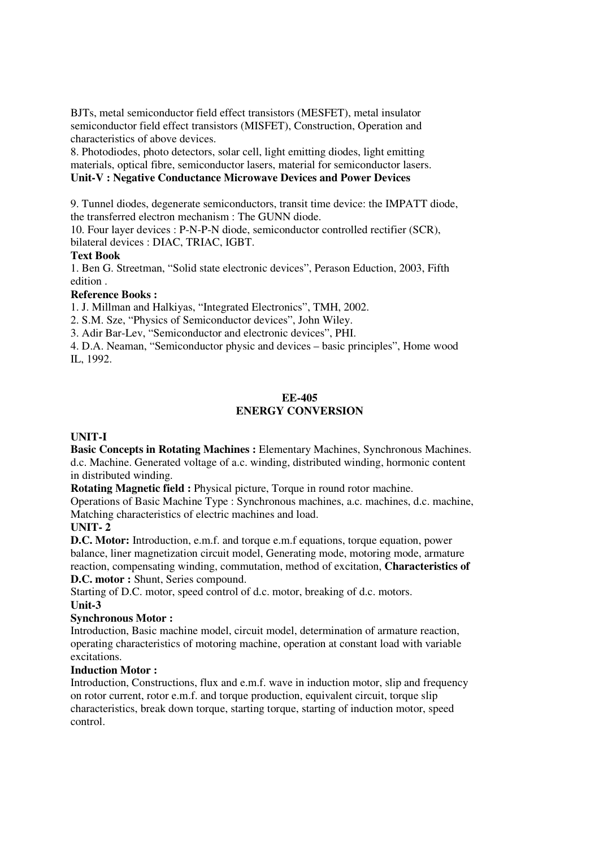BJTs, metal semiconductor field effect transistors (MESFET), metal insulator semiconductor field effect transistors (MISFET), Construction, Operation and characteristics of above devices.

8. Photodiodes, photo detectors, solar cell, light emitting diodes, light emitting materials, optical fibre, semiconductor lasers, material for semiconductor lasers. **Unit-V : Negative Conductance Microwave Devices and Power Devices** 

9. Tunnel diodes, degenerate semiconductors, transit time device: the IMPATT diode, the transferred electron mechanism : The GUNN diode.

10. Four layer devices : P-N-P-N diode, semiconductor controlled rectifier (SCR), bilateral devices : DIAC, TRIAC, IGBT.

# **Text Book**

1. Ben G. Streetman, "Solid state electronic devices", Perason Eduction, 2003, Fifth edition .

# **Reference Books :**

1. J. Millman and Halkiyas, "Integrated Electronics", TMH, 2002.

2. S.M. Sze, "Physics of Semiconductor devices", John Wiley.

3. Adir Bar-Lev, "Semiconductor and electronic devices", PHI.

4. D.A. Neaman, "Semiconductor physic and devices – basic principles", Home wood IL, 1992.

# **EE-405**

# **ENERGY CONVERSION**

# **UNIT-I**

**Basic Concepts in Rotating Machines :** Elementary Machines, Synchronous Machines. d.c. Machine. Generated voltage of a.c. winding, distributed winding, hormonic content in distributed winding.

**Rotating Magnetic field : Physical picture, Torque in round rotor machine.** 

Operations of Basic Machine Type : Synchronous machines, a.c. machines, d.c. machine, Matching characteristics of electric machines and load.

# **UNIT- 2**

**D.C. Motor:** Introduction, e.m.f. and torque e.m.f equations, torque equation, power balance, liner magnetization circuit model, Generating mode, motoring mode, armature reaction, compensating winding, commutation, method of excitation, **Characteristics of D.C. motor :** Shunt, Series compound.

Starting of D.C. motor, speed control of d.c. motor, breaking of d.c. motors. **Unit-3** 

# **Synchronous Motor :**

Introduction, Basic machine model, circuit model, determination of armature reaction, operating characteristics of motoring machine, operation at constant load with variable excitations.

# **Induction Motor :**

Introduction, Constructions, flux and e.m.f. wave in induction motor, slip and frequency on rotor current, rotor e.m.f. and torque production, equivalent circuit, torque slip characteristics, break down torque, starting torque, starting of induction motor, speed control.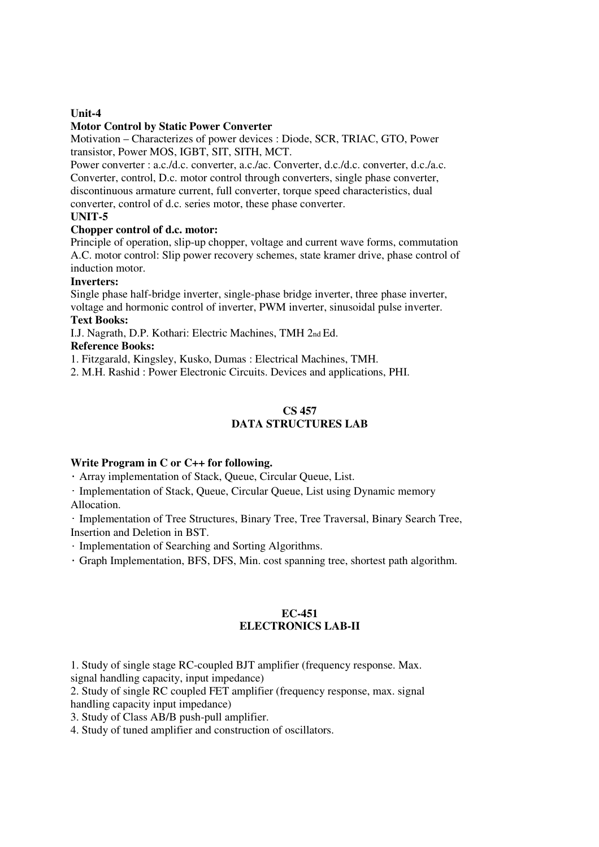# **Unit-4**

### **Motor Control by Static Power Converter**

Motivation – Characterizes of power devices : Diode, SCR, TRIAC, GTO, Power transistor, Power MOS, IGBT, SIT, SITH, MCT.

Power converter : a.c./d.c. converter, a.c./ac. Converter, d.c./d.c. converter, d.c./a.c. Converter, control, D.c. motor control through converters, single phase converter, discontinuous armature current, full converter, torque speed characteristics, dual converter, control of d.c. series motor, these phase converter.

# **UNIT-5**

# **Chopper control of d.c. motor:**

Principle of operation, slip-up chopper, voltage and current wave forms, commutation A.C. motor control: Slip power recovery schemes, state kramer drive, phase control of induction motor.

### **Inverters:**

Single phase half-bridge inverter, single-phase bridge inverter, three phase inverter, voltage and hormonic control of inverter, PWM inverter, sinusoidal pulse inverter.

# **Text Books:**

I.J. Nagrath, D.P. Kothari: Electric Machines, TMH 2nd Ed.

# **Reference Books:**

1. Fitzgarald, Kingsley, Kusko, Dumas : Electrical Machines, TMH.

2. M.H. Rashid : Power Electronic Circuits. Devices and applications, PHI.

# **CS 457 DATA STRUCTURES LAB**

# **Write Program in C or C++ for following.**

• Array implementation of Stack, Queue, Circular Queue, List.

• Implementation of Stack, Queue, Circular Queue, List using Dynamic memory Allocation.

• Implementation of Tree Structures, Binary Tree, Tree Traversal, Binary Search Tree, Insertion and Deletion in BST.

• Implementation of Searching and Sorting Algorithms.

• Graph Implementation, BFS, DFS, Min. cost spanning tree, shortest path algorithm.

# **EC-451 ELECTRONICS LAB-II**

1. Study of single stage RC-coupled BJT amplifier (frequency response. Max. signal handling capacity, input impedance)

2. Study of single RC coupled FET amplifier (frequency response, max. signal handling capacity input impedance)

3. Study of Class AB/B push-pull amplifier.

4. Study of tuned amplifier and construction of oscillators.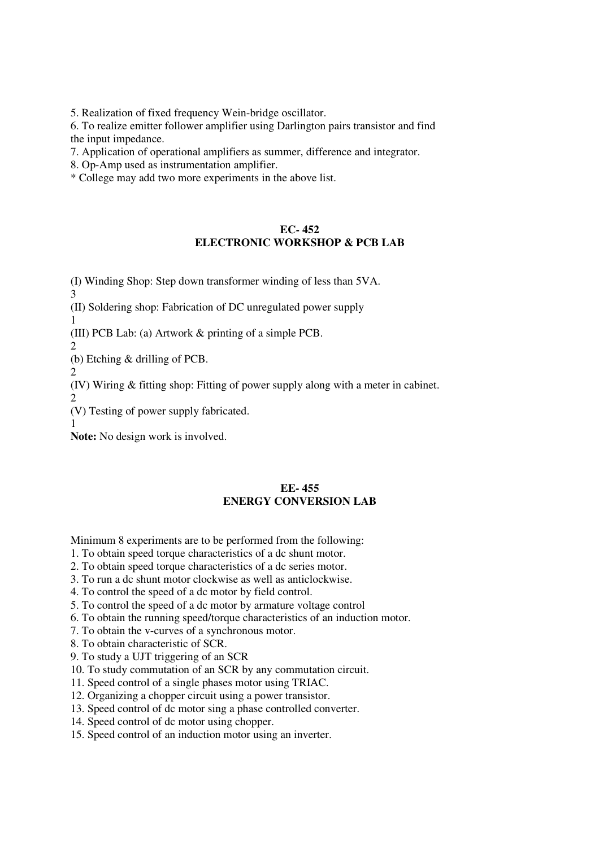5. Realization of fixed frequency Wein-bridge oscillator.

6. To realize emitter follower amplifier using Darlington pairs transistor and find the input impedance.

7. Application of operational amplifiers as summer, difference and integrator.

8. Op-Amp used as instrumentation amplifier.

\* College may add two more experiments in the above list.

# **EC- 452 ELECTRONIC WORKSHOP & PCB LAB**

(I) Winding Shop: Step down transformer winding of less than 5VA.

(II) Soldering shop: Fabrication of DC unregulated power supply

1

3

(III) PCB Lab: (a) Artwork & printing of a simple PCB.

2

(b) Etching & drilling of PCB.

2 (IV) Wiring & fitting shop: Fitting of power supply along with a meter in cabinet.

 $\mathcal{D}$ 

(V) Testing of power supply fabricated.

1

**Note:** No design work is involved.

# **EE- 455 ENERGY CONVERSION LAB**

Minimum 8 experiments are to be performed from the following:

- 1. To obtain speed torque characteristics of a dc shunt motor.
- 2. To obtain speed torque characteristics of a dc series motor.
- 3. To run a dc shunt motor clockwise as well as anticlockwise.
- 4. To control the speed of a dc motor by field control.
- 5. To control the speed of a dc motor by armature voltage control
- 6. To obtain the running speed/torque characteristics of an induction motor.
- 7. To obtain the v-curves of a synchronous motor.
- 8. To obtain characteristic of SCR.
- 9. To study a UJT triggering of an SCR
- 10. To study commutation of an SCR by any commutation circuit.
- 11. Speed control of a single phases motor using TRIAC.
- 12. Organizing a chopper circuit using a power transistor.
- 13. Speed control of dc motor sing a phase controlled converter.
- 14. Speed control of dc motor using chopper.
- 15. Speed control of an induction motor using an inverter.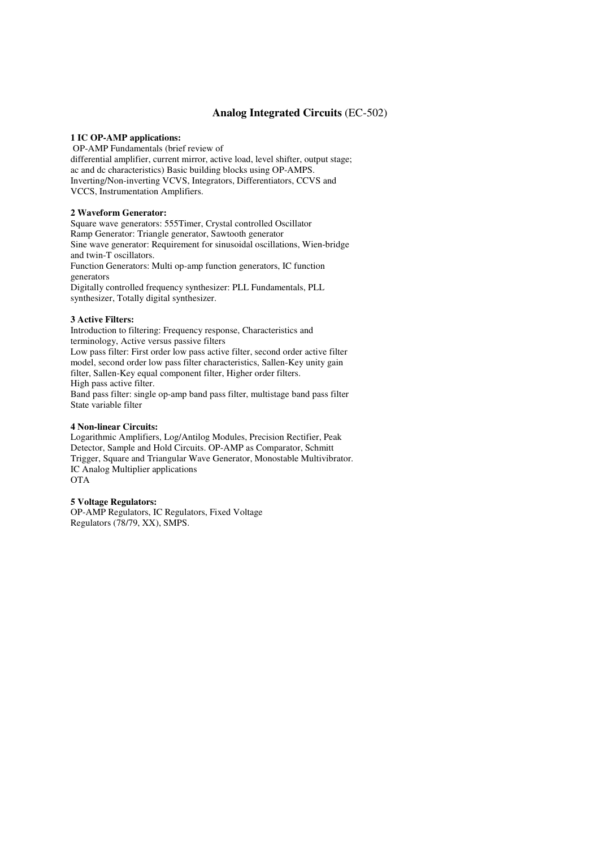### **Analog Integrated Circuits** (EC-502)

### **1 IC OP-AMP applications:**

 OP-AMP Fundamentals (brief review of differential amplifier, current mirror, active load, level shifter, output stage; ac and dc characteristics) Basic building blocks using OP-AMPS. Inverting/Non-inverting VCVS, Integrators, Differentiators, CCVS and VCCS, Instrumentation Amplifiers.

### **2 Waveform Generator:**

Square wave generators: 555Timer, Crystal controlled Oscillator Ramp Generator: Triangle generator, Sawtooth generator Sine wave generator: Requirement for sinusoidal oscillations, Wien-bridge and twin-T oscillators. Function Generators: Multi op-amp function generators, IC function generators Digitally controlled frequency synthesizer: PLL Fundamentals, PLL synthesizer, Totally digital synthesizer.

### **3 Active Filters:**

Introduction to filtering: Frequency response, Characteristics and terminology, Active versus passive filters Low pass filter: First order low pass active filter, second order active filter model, second order low pass filter characteristics, Sallen-Key unity gain filter, Sallen-Key equal component filter, Higher order filters. High pass active filter. Band pass filter: single op-amp band pass filter, multistage band pass filter State variable filter

### **4 Non-linear Circuits:**

Logarithmic Amplifiers, Log/Antilog Modules, Precision Rectifier, Peak Detector, Sample and Hold Circuits. OP-AMP as Comparator, Schmitt Trigger, Square and Triangular Wave Generator, Monostable Multivibrator. IC Analog Multiplier applications OTA

### **5 Voltage Regulators:**

OP-AMP Regulators, IC Regulators, Fixed Voltage Regulators (78/79, XX), SMPS.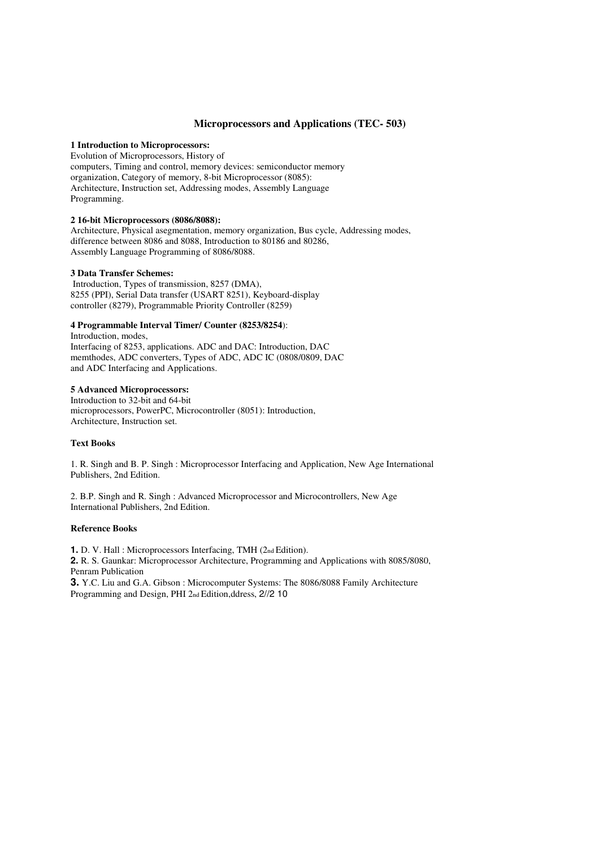### **Microprocessors and Applications (TEC- 503)**

### **1 Introduction to Microprocessors:**

Evolution of Microprocessors, History of computers, Timing and control, memory devices: semiconductor memory organization, Category of memory, 8-bit Microprocessor (8085): Architecture, Instruction set, Addressing modes, Assembly Language Programming.

### **2 16-bit Microprocessors (8086/8088):**

Architecture, Physical asegmentation, memory organization, Bus cycle, Addressing modes, difference between 8086 and 8088, Introduction to 80186 and 80286, Assembly Language Programming of 8086/8088.

### **3 Data Transfer Schemes:**

 Introduction, Types of transmission, 8257 (DMA), 8255 (PPI), Serial Data transfer (USART 8251), Keyboard-display controller (8279), Programmable Priority Controller (8259)

### **4 Programmable Interval Timer/ Counter (8253/8254**):

Introduction, modes, Interfacing of 8253, applications. ADC and DAC: Introduction, DAC memthodes, ADC converters, Types of ADC, ADC IC (0808/0809, DAC and ADC Interfacing and Applications.

### **5 Advanced Microprocessors:**

Introduction to 32-bit and 64-bit microprocessors, PowerPC, Microcontroller (8051): Introduction, Architecture, Instruction set.

### **Text Books**

1. R. Singh and B. P. Singh : Microprocessor Interfacing and Application, New Age International Publishers, 2nd Edition.

2. B.P. Singh and R. Singh : Advanced Microprocessor and Microcontrollers, New Age International Publishers, 2nd Edition.

### **Reference Books**

**1.** D. V. Hall : Microprocessors Interfacing, TMH (2nd Edition).

**2.** R. S. Gaunkar: Microprocessor Architecture, Programming and Applications with 8085/8080, Penram Publication

**3.** Y.C. Liu and G.A. Gibson : Microcomputer Systems: The 8086/8088 Family Architecture Programming and Design, PHI 2nd Edition,ddress, 2//2 10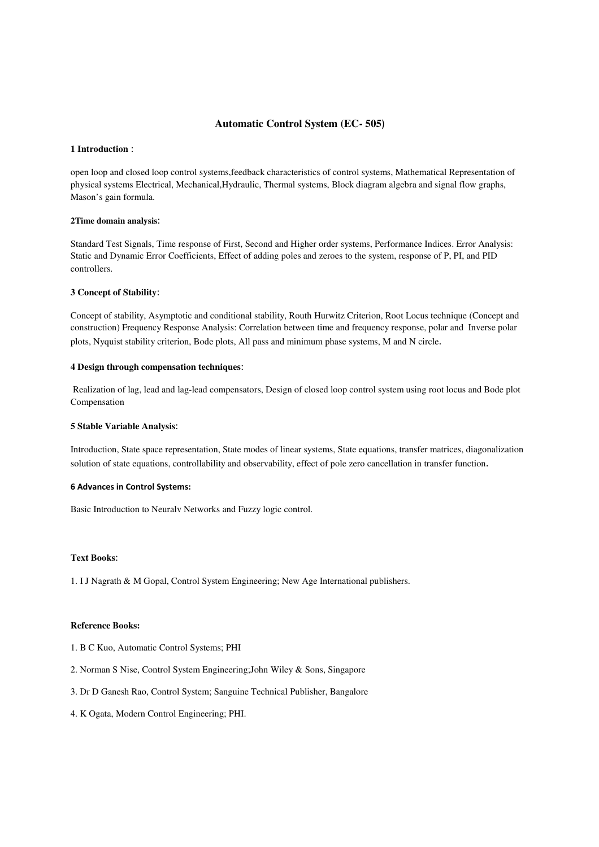### **Automatic Control System (EC- 505**)

### **1 Introduction** :

open loop and closed loop control systems,feedback characteristics of control systems, Mathematical Representation of physical systems Electrical, Mechanical,Hydraulic, Thermal systems, Block diagram algebra and signal flow graphs, Mason's gain formula.

### **2Time domain analysis**:

Standard Test Signals, Time response of First, Second and Higher order systems, Performance Indices. Error Analysis: Static and Dynamic Error Coefficients, Effect of adding poles and zeroes to the system, response of P, PI, and PID controllers.

### **3 Concept of Stability**:

Concept of stability, Asymptotic and conditional stability, Routh Hurwitz Criterion, Root Locus technique (Concept and construction) Frequency Response Analysis: Correlation between time and frequency response, polar and Inverse polar plots, Nyquist stability criterion, Bode plots, All pass and minimum phase systems, M and N circle.

### **4 Design through compensation techniques**:

Realization of lag, lead and lag-lead compensators, Design of closed loop control system using root locus and Bode plot Compensation

#### **5 Stable Variable Analysis**:

Introduction, State space representation, State modes of linear systems, State equations, transfer matrices, diagonalization solution of state equations, controllability and observability, effect of pole zero cancellation in transfer function.

#### 6 Advances in Control Systems:

Basic Introduction to Neuralv Networks and Fuzzy logic control.

### **Text Books**:

1. I J Nagrath & M Gopal, Control System Engineering; New Age International publishers.

### **Reference Books:**

- 1. B C Kuo, Automatic Control Systems; PHI
- 2. Norman S Nise, Control System Engineering;John Wiley & Sons, Singapore
- 3. Dr D Ganesh Rao, Control System; Sanguine Technical Publisher, Bangalore
- 4. K Ogata, Modern Control Engineering; PHI.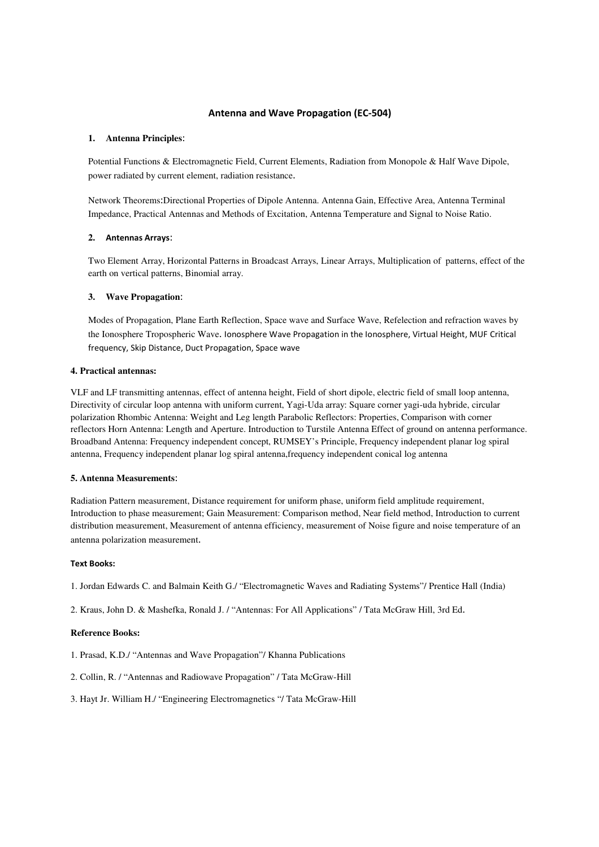### Antenna and Wave Propagation (EC-504)

### **1. Antenna Principles**:

Potential Functions & Electromagnetic Field, Current Elements, Radiation from Monopole & Half Wave Dipole, power radiated by current element, radiation resistance.

Network Theorems:Directional Properties of Dipole Antenna. Antenna Gain, Effective Area, Antenna Terminal Impedance, Practical Antennas and Methods of Excitation, Antenna Temperature and Signal to Noise Ratio.

### **2.** Antennas Arrays:

Two Element Array, Horizontal Patterns in Broadcast Arrays, Linear Arrays, Multiplication of patterns, effect of the earth on vertical patterns, Binomial array.

### **3. Wave Propagation**:

Modes of Propagation, Plane Earth Reflection, Space wave and Surface Wave, Refelection and refraction waves by the Ionosphere Tropospheric Wave. Ionosphere Wave Propagation in the Ionosphere, Virtual Height, MUF Critical frequency, Skip Distance, Duct Propagation, Space wave

### **4. Practical antennas:**

VLF and LF transmitting antennas, effect of antenna height, Field of short dipole, electric field of small loop antenna, Directivity of circular loop antenna with uniform current, Yagi-Uda array: Square corner yagi-uda hybride, circular polarization Rhombic Antenna: Weight and Leg length Parabolic Reflectors: Properties, Comparison with corner reflectors Horn Antenna: Length and Aperture. Introduction to Turstile Antenna Effect of ground on antenna performance. Broadband Antenna: Frequency independent concept, RUMSEY's Principle, Frequency independent planar log spiral antenna, Frequency independent planar log spiral antenna,frequency independent conical log antenna

### **5. Antenna Measurements**:

Radiation Pattern measurement, Distance requirement for uniform phase, uniform field amplitude requirement, Introduction to phase measurement; Gain Measurement: Comparison method, Near field method, Introduction to current distribution measurement, Measurement of antenna efficiency, measurement of Noise figure and noise temperature of an antenna polarization measurement.

#### Text Books:

1. Jordan Edwards C. and Balmain Keith G./ "Electromagnetic Waves and Radiating Systems"/ Prentice Hall (India)

2. Kraus, John D. & Mashefka, Ronald J. / "Antennas: For All Applications" / Tata McGraw Hill, 3rd Ed.

### **Reference Books:**

1. Prasad, K.D./ "Antennas and Wave Propagation"/ Khanna Publications

- 2. Collin, R. / "Antennas and Radiowave Propagation" / Tata McGraw-Hill
- 3. Hayt Jr. William H./ "Engineering Electromagnetics "/ Tata McGraw-Hill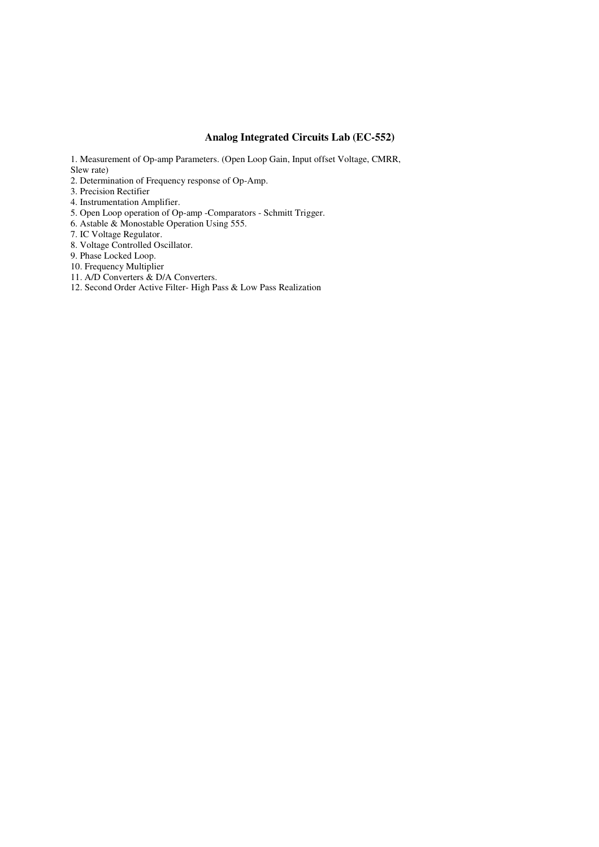# **Analog Integrated Circuits Lab (EC-552)**

- 1. Measurement of Op-amp Parameters. (Open Loop Gain, Input offset Voltage, CMRR, Slew rate)
- 2. Determination of Frequency response of Op-Amp.
- 3. Precision Rectifier
- 4. Instrumentation Amplifier.
- 5. Open Loop operation of Op-amp -Comparators Schmitt Trigger.
- 6. Astable & Monostable Operation Using 555.
- 7. IC Voltage Regulator.
- 8. Voltage Controlled Oscillator.
- 9. Phase Locked Loop.
- 10. Frequency Multiplier
- 11. A/D Converters & D/A Converters.
- 12. Second Order Active Filter- High Pass & Low Pass Realization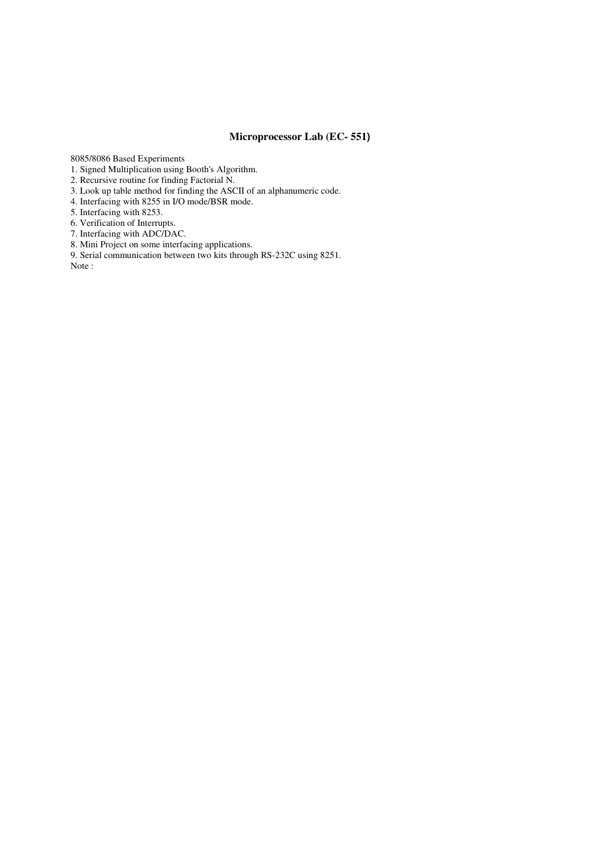### **Microprocessor Lab (EC- 551)**

8085/8086 Based Experiments

- 1. Signed Multiplication using Booth's Algorithm.
- 2. Recursive routine for finding Factorial N.
- 3. Look up table method for finding the ASCII of an alphanumeric code.
- 4. Interfacing with 8255 in I/O mode/BSR mode.
- 5. Interfacing with 8253.
- 6. Verification of Interrupts.

7. Interfacing with ADC/DAC.

8. Mini Project on some interfacing applications.

9. Serial communication between two kits through RS-232C using 8251. Note :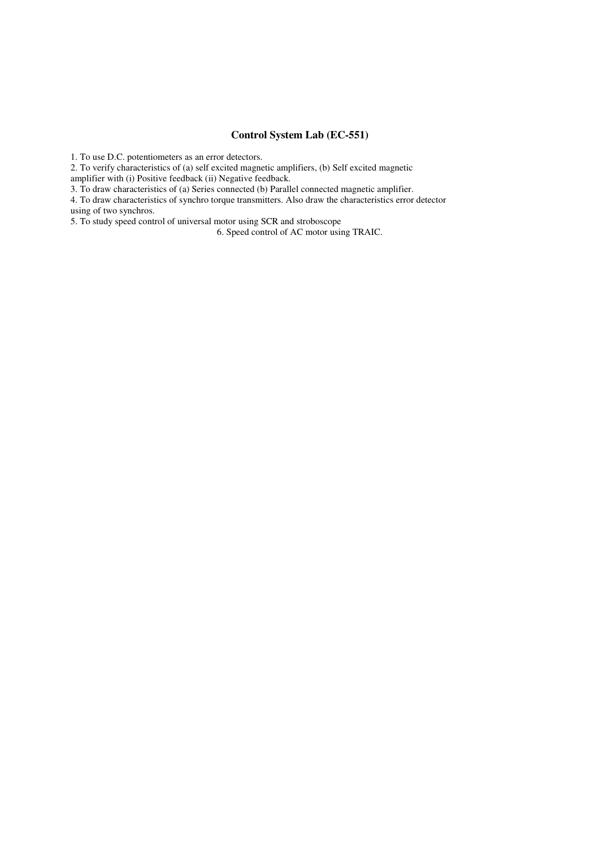### **Control System Lab (EC-551)**

1. To use D.C. potentiometers as an error detectors.

2. To verify characteristics of (a) self excited magnetic amplifiers, (b) Self excited magnetic

amplifier with (i) Positive feedback (ii) Negative feedback.

3. To draw characteristics of (a) Series connected (b) Parallel connected magnetic amplifier.

4. To draw characteristics of synchro torque transmitters. Also draw the characteristics error detector using of two synchros.

5. To study speed control of universal motor using SCR and stroboscope

6. Speed control of AC motor using TRAIC.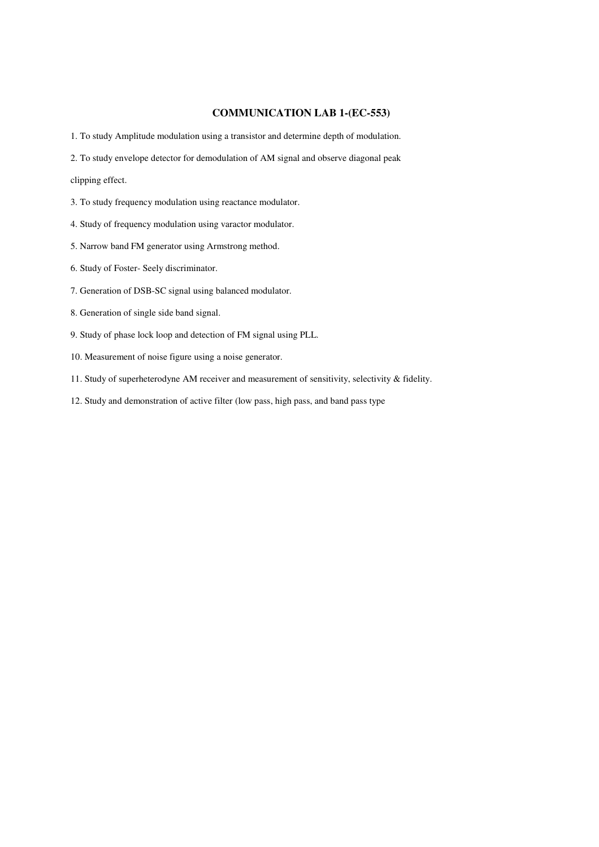### **COMMUNICATION LAB 1-(EC-553)**

1. To study Amplitude modulation using a transistor and determine depth of modulation.

2. To study envelope detector for demodulation of AM signal and observe diagonal peak

clipping effect.

- 3. To study frequency modulation using reactance modulator.
- 4. Study of frequency modulation using varactor modulator.
- 5. Narrow band FM generator using Armstrong method.
- 6. Study of Foster- Seely discriminator.
- 7. Generation of DSB-SC signal using balanced modulator.
- 8. Generation of single side band signal.
- 9. Study of phase lock loop and detection of FM signal using PLL.
- 10. Measurement of noise figure using a noise generator.
- 11. Study of superheterodyne AM receiver and measurement of sensitivity, selectivity & fidelity.
- 12. Study and demonstration of active filter (low pass, high pass, and band pass type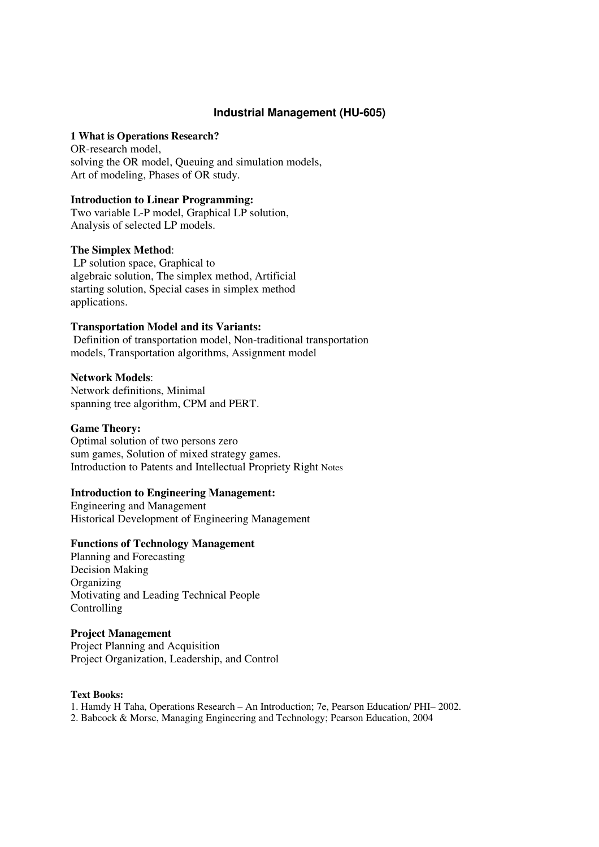# **Industrial Management (HU-605)**

### **1 What is Operations Research?**

OR-research model, solving the OR model, Queuing and simulation models, Art of modeling, Phases of OR study.

### **Introduction to Linear Programming:**

Two variable L-P model, Graphical LP solution, Analysis of selected LP models.

### **The Simplex Method**:

 LP solution space, Graphical to algebraic solution, The simplex method, Artificial starting solution, Special cases in simplex method applications.

### **Transportation Model and its Variants:**

Definition of transportation model, Non-traditional transportation models, Transportation algorithms, Assignment model

### **Network Models**:

Network definitions, Minimal spanning tree algorithm, CPM and PERT.

### **Game Theory:**

Optimal solution of two persons zero sum games, Solution of mixed strategy games. Introduction to Patents and Intellectual Propriety Right Notes

### **Introduction to Engineering Management:**

Engineering and Management Historical Development of Engineering Management

# **Functions of Technology Management**

Planning and Forecasting Decision Making **Organizing** Motivating and Leading Technical People Controlling

## **Project Management**

Project Planning and Acquisition Project Organization, Leadership, and Control

### **Text Books:**

1. Hamdy H Taha, Operations Research – An Introduction; 7e, Pearson Education/ PHI– 2002.

2. Babcock & Morse, Managing Engineering and Technology; Pearson Education, 2004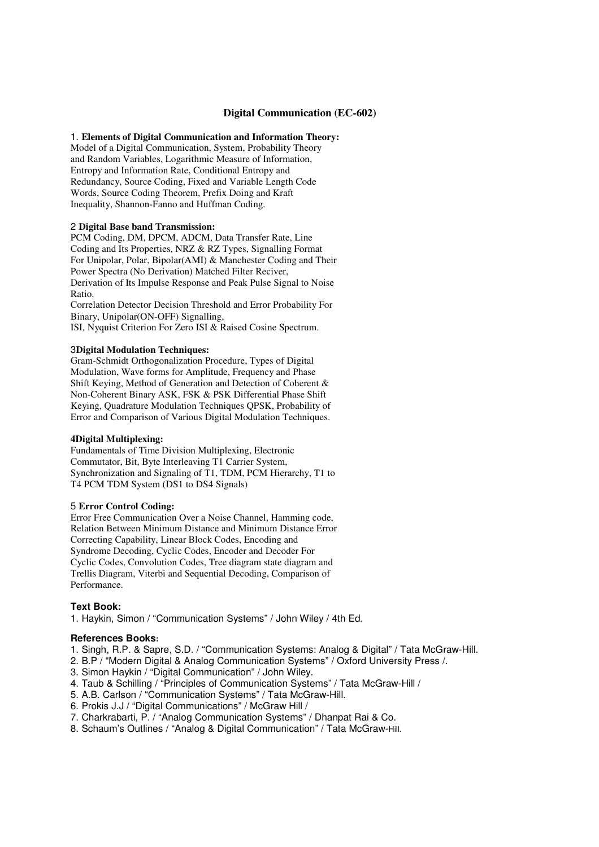### **Digital Communication (EC-602)**

### 1. **Elements of Digital Communication and Information Theory:**

Model of a Digital Communication, System, Probability Theory and Random Variables, Logarithmic Measure of Information, Entropy and Information Rate, Conditional Entropy and Redundancy, Source Coding, Fixed and Variable Length Code Words, Source Coding Theorem, Prefix Doing and Kraft Inequality, Shannon-Fanno and Huffman Coding.

### 2 **Digital Base band Transmission:**

PCM Coding, DM, DPCM, ADCM, Data Transfer Rate, Line Coding and Its Properties, NRZ & RZ Types, Signalling Format For Unipolar, Polar, Bipolar(AMI) & Manchester Coding and Their Power Spectra (No Derivation) Matched Filter Reciver, Derivation of Its Impulse Response and Peak Pulse Signal to Noise Ratio.

Correlation Detector Decision Threshold and Error Probability For Binary, Unipolar(ON-OFF) Signalling, ISI, Nyquist Criterion For Zero ISI & Raised Cosine Spectrum.

#### 3**Digital Modulation Techniques:**

Gram-Schmidt Orthogonalization Procedure, Types of Digital Modulation, Wave forms for Amplitude, Frequency and Phase Shift Keying, Method of Generation and Detection of Coherent & Non-Coherent Binary ASK, FSK & PSK Differential Phase Shift Keying, Quadrature Modulation Techniques QPSK, Probability of Error and Comparison of Various Digital Modulation Techniques.

#### **4Digital Multiplexing:**

Fundamentals of Time Division Multiplexing, Electronic Commutator, Bit, Byte Interleaving T1 Carrier System, Synchronization and Signaling of T1, TDM, PCM Hierarchy, T1 to T4 PCM TDM System (DS1 to DS4 Signals)

### 5 **Error Control Coding:**

Error Free Communication Over a Noise Channel, Hamming code, Relation Between Minimum Distance and Minimum Distance Error Correcting Capability, Linear Block Codes, Encoding and Syndrome Decoding, Cyclic Codes, Encoder and Decoder For Cyclic Codes, Convolution Codes, Tree diagram state diagram and Trellis Diagram, Viterbi and Sequential Decoding, Comparison of Performance.

### **Text Book:**

1. Haykin, Simon / "Communication Systems" / John Wiley / 4th Ed.

### **References Books:**

- 1. Singh, R.P. & Sapre, S.D. / "Communication Systems: Analog & Digital" / Tata McGraw-Hill.
- 2. B.P / "Modern Digital & Analog Communication Systems" / Oxford University Press /.
- 3. Simon Haykin / "Digital Communication" / John Wiley.
- 4. Taub & Schilling / "Principles of Communication Systems" / Tata McGraw-Hill /
- 5. A.B. Carlson / "Communication Systems" / Tata McGraw-Hill.
- 6. Prokis J.J / "Digital Communications" / McGraw Hill /
- 7. Charkrabarti, P. / "Analog Communication Systems" / Dhanpat Rai & Co.
- 8. Schaum's Outlines / "Analog & Digital Communication" / Tata McGraw-Hill.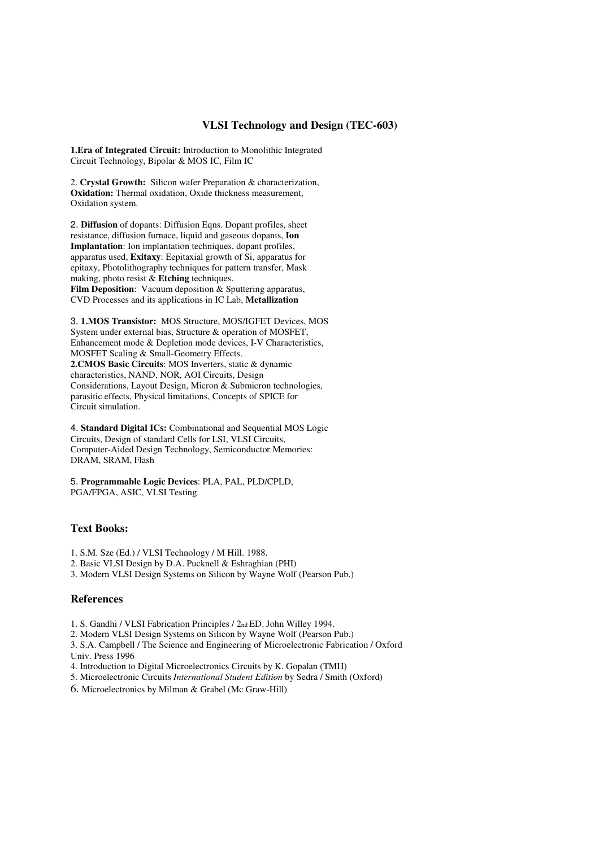### **VLSI Technology and Design (TEC-603)**

**1.Era of Integrated Circuit:** Introduction to Monolithic Integrated Circuit Technology, Bipolar & MOS IC, Film IC

2. **Crystal Growth:** Silicon wafer Preparation & characterization, **Oxidation:** Thermal oxidation, Oxide thickness measurement, Oxidation system.

2. **Diffusion** of dopants: Diffusion Eqns. Dopant profiles, sheet resistance, diffusion furnace, liquid and gaseous dopants, **Ion Implantation**: Ion implantation techniques, dopant profiles, apparatus used, **Exitaxy**: Eepitaxial growth of Si, apparatus for epitaxy, Photolithography techniques for pattern transfer, Mask making, photo resist & **Etching** techniques. Film Deposition: Vacuum deposition & Sputtering apparatus, CVD Processes and its applications in IC Lab, **Metallization** 

3. **1.MOS Transistor:** MOS Structure, MOS/IGFET Devices, MOS System under external bias, Structure & operation of MOSFET, Enhancement mode & Depletion mode devices, I-V Characteristics, MOSFET Scaling & Small-Geometry Effects. **2.CMOS Basic Circuits**: MOS Inverters, static & dynamic characteristics, NAND, NOR, AOI Circuits, Design Considerations, Layout Design, Micron & Submicron technologies, parasitic effects, Physical limitations, Concepts of SPICE for Circuit simulation.

4. **Standard Digital ICs:** Combinational and Sequential MOS Logic Circuits, Design of standard Cells for LSI, VLSI Circuits, Computer-Aided Design Technology, Semiconductor Memories: DRAM, SRAM, Flash

5. **Programmable Logic Devices**: PLA, PAL, PLD/CPLD, PGA/FPGA, ASIC, VLSI Testing.

### **Text Books:**

- 1. S.M. Sze (Ed.) / VLSI Technology / M Hill. 1988.
- 2. Basic VLSI Design by D.A. Pucknell & Eshraghian (PHI)
- 3. Modern VLSI Design Systems on Silicon by Wayne Wolf (Pearson Pub.)

### **References**

- 1. S. Gandhi / VLSI Fabrication Principles / 2nd ED. John Willey 1994.
- 2. Modern VLSI Design Systems on Silicon by Wayne Wolf (Pearson Pub.)

3. S.A. Campbell / The Science and Engineering of Microelectronic Fabrication / Oxford Univ. Press 1996

- 4. Introduction to Digital Microelectronics Circuits by K. Gopalan (TMH)
- 5. Microelectronic Circuits *International Student Edition* by Sedra / Smith (Oxford)
- 6. Microelectronics by Milman & Grabel (Mc Graw-Hill)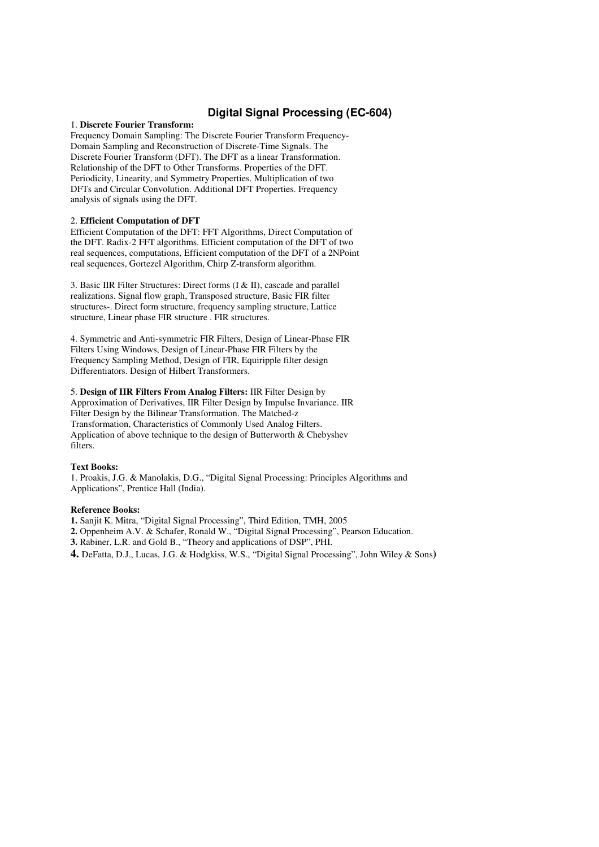### **Digital Signal Processing (EC-604)**

### 1. **Discrete Fourier Transform:**

Frequency Domain Sampling: The Discrete Fourier Transform Frequency-Domain Sampling and Reconstruction of Discrete-Time Signals. The Discrete Fourier Transform (DFT). The DFT as a linear Transformation. Relationship of the DFT to Other Transforms. Properties of the DFT. Periodicity, Linearity, and Symmetry Properties. Multiplication of two DFTs and Circular Convolution. Additional DFT Properties. Frequency analysis of signals using the DFT.

### 2. **Efficient Computation of DFT**

Efficient Computation of the DFT: FFT Algorithms, Direct Computation of the DFT. Radix-2 FFT algorithms. Efficient computation of the DFT of two real sequences, computations, Efficient computation of the DFT of a 2NPoint real sequences, Gortezel Algorithm, Chirp Z-transform algorithm.

3. Basic IIR Filter Structures: Direct forms (I & II), cascade and parallel realizations. Signal flow graph, Transposed structure, Basic FIR filter structures-. Direct form structure, frequency sampling structure, Lattice structure, Linear phase FIR structure . FIR structures.

4. Symmetric and Anti-symmetric FIR Filters, Design of Linear-Phase FIR Filters Using Windows, Design of Linear-Phase FIR Filters by the Frequency Sampling Method, Design of FIR, Equiripple filter design Differentiators. Design of Hilbert Transformers.

5. **Design of IIR Filters From Analog Filters:** IIR Filter Design by Approximation of Derivatives, IIR Filter Design by Impulse Invariance. IIR Filter Design by the Bilinear Transformation. The Matched-z Transformation, Characteristics of Commonly Used Analog Filters. Application of above technique to the design of Butterworth & Chebyshev filters.

#### **Text Books:**

1. Proakis, J.G. & Manolakis, D.G., "Digital Signal Processing: Principles Algorithms and Applications", Prentice Hall (India).

#### **Reference Books:**

**1.** Sanjit K. Mitra, "Digital Signal Processing", Third Edition, TMH, 2005

**2.** Oppenheim A.V. & Schafer, Ronald W., "Digital Signal Processing", Pearson Education.

**3.** Rabiner, L.R. and Gold B., "Theory and applications of DSP", PHI.

**4.** DeFatta, D.J., Lucas, J.G. & Hodgkiss, W.S., "Digital Signal Processing", John Wiley & Sons**)**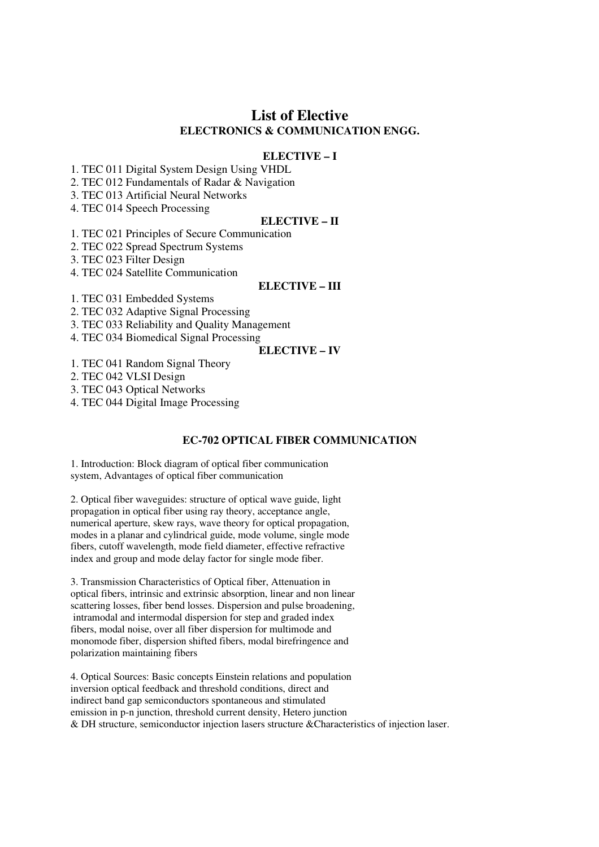# **List of Elective ELECTRONICS & COMMUNICATION ENGG.**

### **ELECTIVE – I**

1. TEC 011 Digital System Design Using VHDL

2. TEC 012 Fundamentals of Radar & Navigation

3. TEC 013 Artificial Neural Networks

4. TEC 014 Speech Processing

### **ELECTIVE – II**

1. TEC 021 Principles of Secure Communication

2. TEC 022 Spread Spectrum Systems

3. TEC 023 Filter Design

4. TEC 024 Satellite Communication

### **ELECTIVE – III**

1. TEC 031 Embedded Systems

2. TEC 032 Adaptive Signal Processing

3. TEC 033 Reliability and Quality Management

4. TEC 034 Biomedical Signal Processing

# **ELECTIVE – IV**

1. TEC 041 Random Signal Theory

2. TEC 042 VLSI Design

3. TEC 043 Optical Networks

4. TEC 044 Digital Image Processing

### **EC-702 OPTICAL FIBER COMMUNICATION**

1. Introduction: Block diagram of optical fiber communication system, Advantages of optical fiber communication

2. Optical fiber waveguides: structure of optical wave guide, light propagation in optical fiber using ray theory, acceptance angle, numerical aperture, skew rays, wave theory for optical propagation, modes in a planar and cylindrical guide, mode volume, single mode fibers, cutoff wavelength, mode field diameter, effective refractive index and group and mode delay factor for single mode fiber.

3. Transmission Characteristics of Optical fiber, Attenuation in optical fibers, intrinsic and extrinsic absorption, linear and non linear scattering losses, fiber bend losses. Dispersion and pulse broadening, intramodal and intermodal dispersion for step and graded index fibers, modal noise, over all fiber dispersion for multimode and monomode fiber, dispersion shifted fibers, modal birefringence and polarization maintaining fibers

4. Optical Sources: Basic concepts Einstein relations and population inversion optical feedback and threshold conditions, direct and indirect band gap semiconductors spontaneous and stimulated emission in p-n junction, threshold current density, Hetero junction & DH structure, semiconductor injection lasers structure &Characteristics of injection laser.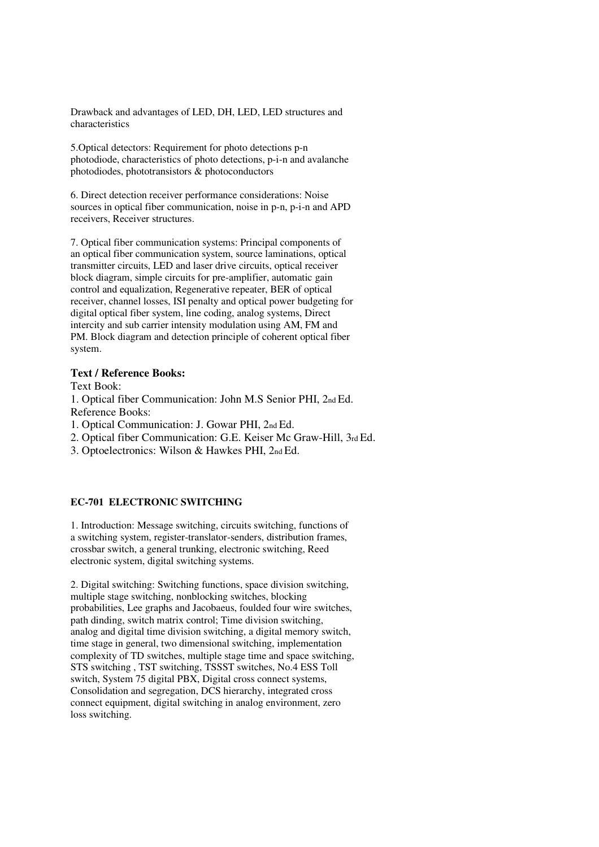Drawback and advantages of LED, DH, LED, LED structures and characteristics

5.Optical detectors: Requirement for photo detections p-n photodiode, characteristics of photo detections, p-i-n and avalanche photodiodes, phototransistors & photoconductors

6. Direct detection receiver performance considerations: Noise sources in optical fiber communication, noise in p-n, p-i-n and APD receivers, Receiver structures.

7. Optical fiber communication systems: Principal components of an optical fiber communication system, source laminations, optical transmitter circuits, LED and laser drive circuits, optical receiver block diagram, simple circuits for pre-amplifier, automatic gain control and equalization, Regenerative repeater, BER of optical receiver, channel losses, ISI penalty and optical power budgeting for digital optical fiber system, line coding, analog systems, Direct intercity and sub carrier intensity modulation using AM, FM and PM. Block diagram and detection principle of coherent optical fiber system.

### **Text / Reference Books:**

Text Book:

1. Optical fiber Communication: John M.S Senior PHI, 2nd Ed. Reference Books:

1. Optical Communication: J. Gowar PHI, 2nd Ed.

2. Optical fiber Communication: G.E. Keiser Mc Graw-Hill, 3rd Ed.

3. Optoelectronics: Wilson & Hawkes PHI, 2nd Ed.

# **EC-701 ELECTRONIC SWITCHING**

1. Introduction: Message switching, circuits switching, functions of a switching system, register-translator-senders, distribution frames, crossbar switch, a general trunking, electronic switching, Reed electronic system, digital switching systems.

2. Digital switching: Switching functions, space division switching, multiple stage switching, nonblocking switches, blocking probabilities, Lee graphs and Jacobaeus, foulded four wire switches, path dinding, switch matrix control; Time division switching, analog and digital time division switching, a digital memory switch, time stage in general, two dimensional switching, implementation complexity of TD switches, multiple stage time and space switching, STS switching , TST switching, TSSST switches, No.4 ESS Toll switch, System 75 digital PBX, Digital cross connect systems, Consolidation and segregation, DCS hierarchy, integrated cross connect equipment, digital switching in analog environment, zero loss switching.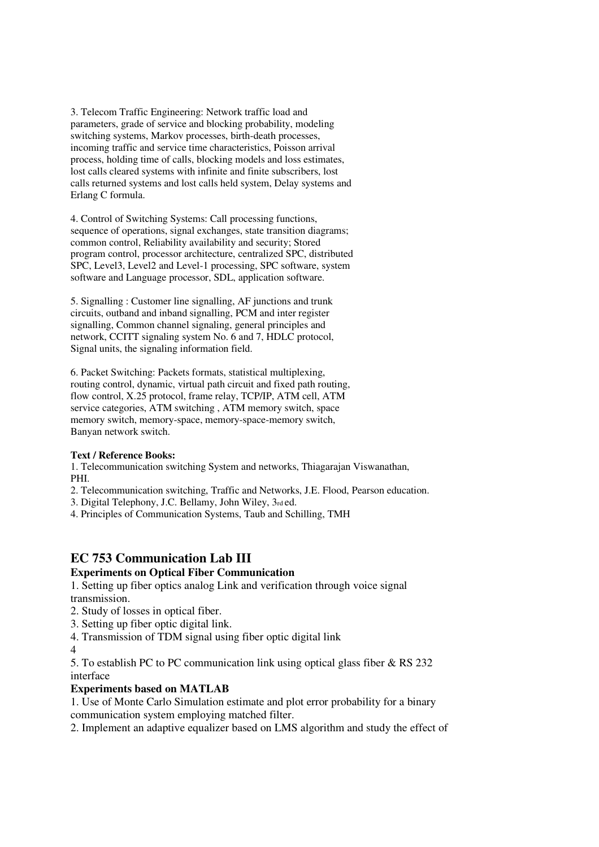3. Telecom Traffic Engineering: Network traffic load and parameters, grade of service and blocking probability, modeling switching systems, Markov processes, birth-death processes, incoming traffic and service time characteristics, Poisson arrival process, holding time of calls, blocking models and loss estimates, lost calls cleared systems with infinite and finite subscribers, lost calls returned systems and lost calls held system, Delay systems and Erlang C formula.

4. Control of Switching Systems: Call processing functions, sequence of operations, signal exchanges, state transition diagrams; common control, Reliability availability and security; Stored program control, processor architecture, centralized SPC, distributed SPC, Level3, Level2 and Level-1 processing, SPC software, system software and Language processor, SDL, application software.

5. Signalling : Customer line signalling, AF junctions and trunk circuits, outband and inband signalling, PCM and inter register signalling, Common channel signaling, general principles and network, CCITT signaling system No. 6 and 7, HDLC protocol, Signal units, the signaling information field.

6. Packet Switching: Packets formats, statistical multiplexing, routing control, dynamic, virtual path circuit and fixed path routing, flow control, X.25 protocol, frame relay, TCP/IP, ATM cell, ATM service categories, ATM switching , ATM memory switch, space memory switch, memory-space, memory-space-memory switch, Banyan network switch.

# **Text / Reference Books:**

1. Telecommunication switching System and networks, Thiagarajan Viswanathan, PHI.

- 2. Telecommunication switching, Traffic and Networks, J.E. Flood, Pearson education.
- 3. Digital Telephony, J.C. Bellamy, John Wiley, 3rd ed.
- 4. Principles of Communication Systems, Taub and Schilling, TMH

# **EC 753 Communication Lab III**

# **Experiments on Optical Fiber Communication**

1. Setting up fiber optics analog Link and verification through voice signal transmission.

- 2. Study of losses in optical fiber.
- 3. Setting up fiber optic digital link.

4. Transmission of TDM signal using fiber optic digital link

4

5. To establish PC to PC communication link using optical glass fiber & RS 232 interface

# **Experiments based on MATLAB**

1. Use of Monte Carlo Simulation estimate and plot error probability for a binary communication system employing matched filter.

2. Implement an adaptive equalizer based on LMS algorithm and study the effect of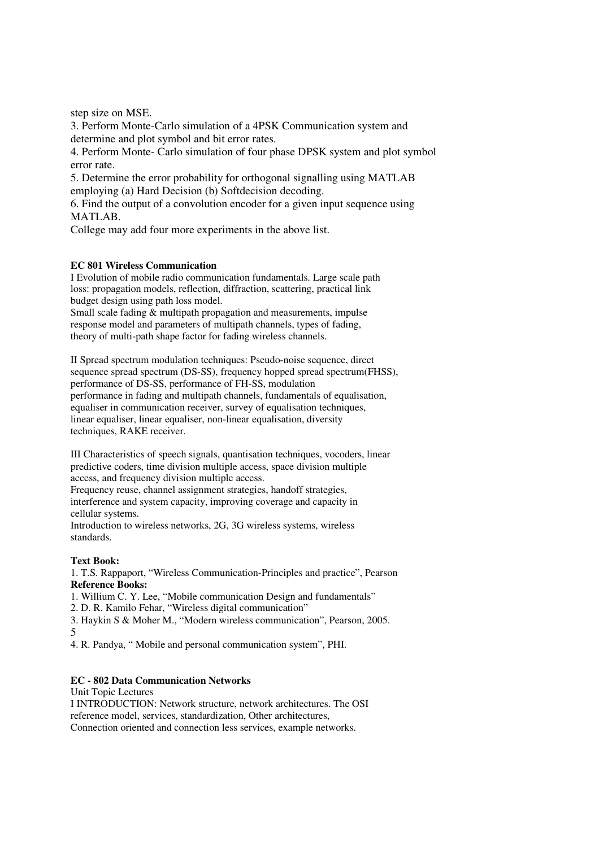step size on MSE.

3. Perform Monte-Carlo simulation of a 4PSK Communication system and determine and plot symbol and bit error rates.

4. Perform Monte- Carlo simulation of four phase DPSK system and plot symbol error rate.

5. Determine the error probability for orthogonal signalling using MATLAB employing (a) Hard Decision (b) Softdecision decoding.

6. Find the output of a convolution encoder for a given input sequence using MATLAB.

College may add four more experiments in the above list.

### **EC 801 Wireless Communication**

I Evolution of mobile radio communication fundamentals. Large scale path loss: propagation models, reflection, diffraction, scattering, practical link budget design using path loss model.

Small scale fading  $&$  multipath propagation and measurements, impulse response model and parameters of multipath channels, types of fading, theory of multi-path shape factor for fading wireless channels.

II Spread spectrum modulation techniques: Pseudo-noise sequence, direct sequence spread spectrum (DS-SS), frequency hopped spread spectrum(FHSS), performance of DS-SS, performance of FH-SS, modulation performance in fading and multipath channels, fundamentals of equalisation, equaliser in communication receiver, survey of equalisation techniques, linear equaliser, linear equaliser, non-linear equalisation, diversity techniques, RAKE receiver.

III Characteristics of speech signals, quantisation techniques, vocoders, linear predictive coders, time division multiple access, space division multiple access, and frequency division multiple access.

Frequency reuse, channel assignment strategies, handoff strategies, interference and system capacity, improving coverage and capacity in cellular systems.

Introduction to wireless networks, 2G, 3G wireless systems, wireless standards.

# **Text Book:**

1. T.S. Rappaport, "Wireless Communication-Principles and practice", Pearson **Reference Books:** 

1. Willium C. Y. Lee, "Mobile communication Design and fundamentals"

2. D. R. Kamilo Fehar, "Wireless digital communication"

3. Haykin S & Moher M., "Modern wireless communication", Pearson, 2005. 5

4. R. Pandya, " Mobile and personal communication system", PHI.

# **EC - 802 Data Communication Networks**

Unit Topic Lectures I INTRODUCTION: Network structure, network architectures. The OSI reference model, services, standardization, Other architectures, Connection oriented and connection less services, example networks.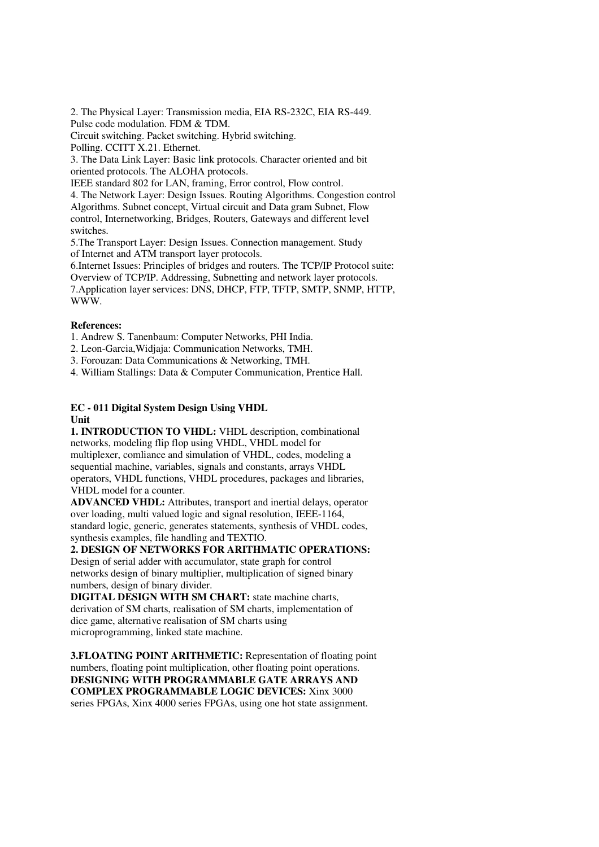2. The Physical Layer: Transmission media, EIA RS-232C, EIA RS-449. Pulse code modulation. FDM & TDM.

Circuit switching. Packet switching. Hybrid switching.

Polling. CCITT X.21. Ethernet.

3. The Data Link Layer: Basic link protocols. Character oriented and bit oriented protocols. The ALOHA protocols.

IEEE standard 802 for LAN, framing, Error control, Flow control.

4. The Network Layer: Design Issues. Routing Algorithms. Congestion control Algorithms. Subnet concept, Virtual circuit and Data gram Subnet, Flow control, Internetworking, Bridges, Routers, Gateways and different level switches.

5.The Transport Layer: Design Issues. Connection management. Study of Internet and ATM transport layer protocols.

6.Internet Issues: Principles of bridges and routers. The TCP/IP Protocol suite: Overview of TCP/IP. Addressing, Subnetting and network layer protocols. 7.Application layer services: DNS, DHCP, FTP, TFTP, SMTP, SNMP, HTTP, WWW.

### **References:**

1. Andrew S. Tanenbaum: Computer Networks, PHI India.

2. Leon-Garcia,Widjaja: Communication Networks, TMH.

3. Forouzan: Data Communications & Networking, TMH.

4. William Stallings: Data & Computer Communication, Prentice Hall.

### **EC - 011 Digital System Design Using VHDL Unit**

**1. INTRODUCTION TO VHDL:** VHDL description, combinational networks, modeling flip flop using VHDL, VHDL model for multiplexer, comliance and simulation of VHDL, codes, modeling a sequential machine, variables, signals and constants, arrays VHDL operators, VHDL functions, VHDL procedures, packages and libraries, VHDL model for a counter.

**ADVANCED VHDL:** Attributes, transport and inertial delays, operator over loading, multi valued logic and signal resolution, IEEE-1164, standard logic, generic, generates statements, synthesis of VHDL codes, synthesis examples, file handling and TEXTIO.

**2. DESIGN OF NETWORKS FOR ARITHMATIC OPERATIONS:**  Design of serial adder with accumulator, state graph for control networks design of binary multiplier, multiplication of signed binary numbers, design of binary divider.

**DIGITAL DESIGN WITH SM CHART:** state machine charts, derivation of SM charts, realisation of SM charts, implementation of dice game, alternative realisation of SM charts using microprogramming, linked state machine.

**3.FLOATING POINT ARITHMETIC:** Representation of floating point numbers, floating point multiplication, other floating point operations. **DESIGNING WITH PROGRAMMABLE GATE ARRAYS AND COMPLEX PROGRAMMABLE LOGIC DEVICES:** Xinx 3000 series FPGAs, Xinx 4000 series FPGAs, using one hot state assignment.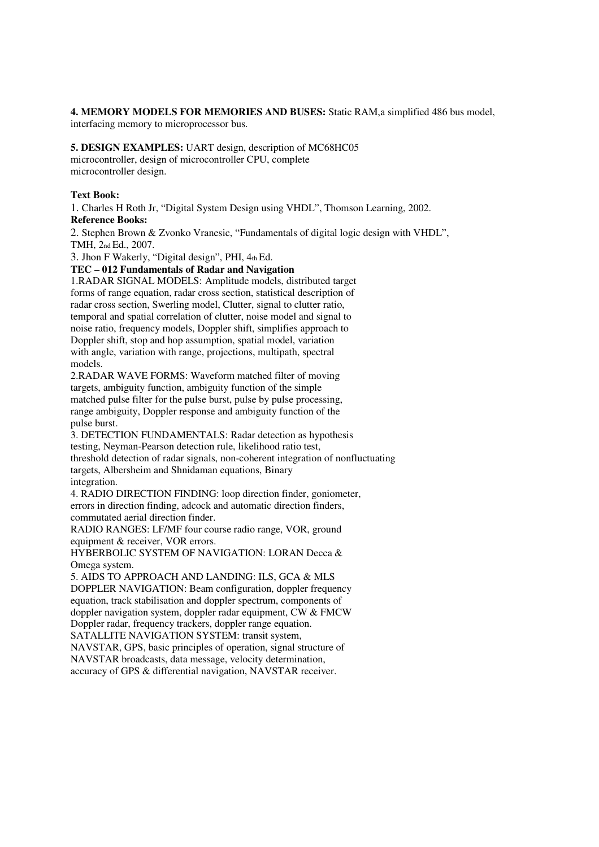# **4. MEMORY MODELS FOR MEMORIES AND BUSES:** Static RAM,a simplified 486 bus model,

interfacing memory to microprocessor bus.

# **5. DESIGN EXAMPLES:** UART design, description of MC68HC05

microcontroller, design of microcontroller CPU, complete microcontroller design.

# **Text Book:**

1. Charles H Roth Jr, "Digital System Design using VHDL", Thomson Learning, 2002.

# **Reference Books:**

2. Stephen Brown & Zvonko Vranesic, "Fundamentals of digital logic design with VHDL", TMH, 2nd Ed., 2007.

3. Jhon F Wakerly, "Digital design", PHI, 4th Ed.

# **TEC – 012 Fundamentals of Radar and Navigation**

1.RADAR SIGNAL MODELS: Amplitude models, distributed target forms of range equation, radar cross section, statistical description of radar cross section, Swerling model, Clutter, signal to clutter ratio, temporal and spatial correlation of clutter, noise model and signal to noise ratio, frequency models, Doppler shift, simplifies approach to Doppler shift, stop and hop assumption, spatial model, variation with angle, variation with range, projections, multipath, spectral models.

2.RADAR WAVE FORMS: Waveform matched filter of moving targets, ambiguity function, ambiguity function of the simple matched pulse filter for the pulse burst, pulse by pulse processing, range ambiguity, Doppler response and ambiguity function of the pulse burst.

3. DETECTION FUNDAMENTALS: Radar detection as hypothesis testing, Neyman-Pearson detection rule, likelihood ratio test, threshold detection of radar signals, non-coherent integration of nonfluctuating targets, Albersheim and Shnidaman equations, Binary integration.

4. RADIO DIRECTION FINDING: loop direction finder, goniometer, errors in direction finding, adcock and automatic direction finders, commutated aerial direction finder.

RADIO RANGES: LF/MF four course radio range, VOR, ground equipment & receiver, VOR errors.

HYBERBOLIC SYSTEM OF NAVIGATION: LORAN Decca & Omega system.

5. AIDS TO APPROACH AND LANDING: ILS, GCA & MLS DOPPLER NAVIGATION: Beam configuration, doppler frequency equation, track stabilisation and doppler spectrum, components of doppler navigation system, doppler radar equipment, CW & FMCW Doppler radar, frequency trackers, doppler range equation. SATALLITE NAVIGATION SYSTEM: transit system,

NAVSTAR, GPS, basic principles of operation, signal structure of NAVSTAR broadcasts, data message, velocity determination, accuracy of GPS & differential navigation, NAVSTAR receiver.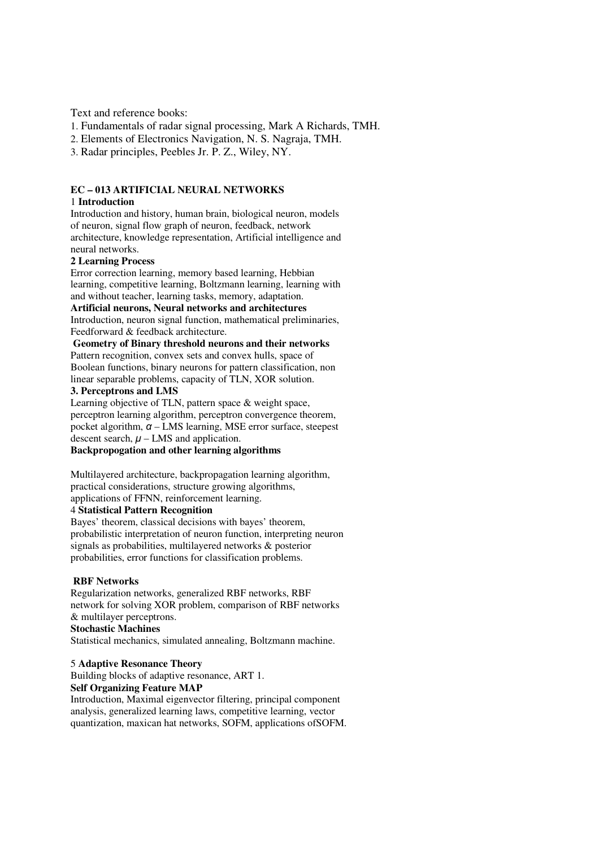Text and reference books:

- 1. Fundamentals of radar signal processing, Mark A Richards, TMH.
- 2. Elements of Electronics Navigation, N. S. Nagraja, TMH.
- 3. Radar principles, Peebles Jr. P. Z., Wiley, NY.

### **EC – 013 ARTIFICIAL NEURAL NETWORKS**

### 1 **Introduction**

Introduction and history, human brain, biological neuron, models of neuron, signal flow graph of neuron, feedback, network architecture, knowledge representation, Artificial intelligence and neural networks.

### **2 Learning Process**

Error correction learning, memory based learning, Hebbian learning, competitive learning, Boltzmann learning, learning with and without teacher, learning tasks, memory, adaptation.

### **Artificial neurons, Neural networks and architectures**

Introduction, neuron signal function, mathematical preliminaries, Feedforward & feedback architecture.

### **Geometry of Binary threshold neurons and their networks**

Pattern recognition, convex sets and convex hulls, space of Boolean functions, binary neurons for pattern classification, non linear separable problems, capacity of TLN, XOR solution.

# **3. Perceptrons and LMS**

Learning objective of TLN, pattern space & weight space, perceptron learning algorithm, perceptron convergence theorem, pocket algorithm,  $\alpha$  – LMS learning, MSE error surface, steepest descent search,  $\mu$  – LMS and application.

# **Backpropogation and other learning algorithms**

Multilayered architecture, backpropagation learning algorithm, practical considerations, structure growing algorithms, applications of FFNN, reinforcement learning.

### 4 **Statistical Pattern Recognition**

Bayes' theorem, classical decisions with bayes' theorem, probabilistic interpretation of neuron function, interpreting neuron signals as probabilities, multilayered networks & posterior probabilities, error functions for classification problems.

### **RBF Networks**

Regularization networks, generalized RBF networks, RBF network for solving XOR problem, comparison of RBF networks & multilayer perceptrons.

# **Stochastic Machines**

Statistical mechanics, simulated annealing, Boltzmann machine.

### 5 **Adaptive Resonance Theory**

Building blocks of adaptive resonance, ART 1. **Self Organizing Feature MAP** 

# Introduction, Maximal eigenvector filtering, principal component analysis, generalized learning laws, competitive learning, vector quantization, maxican hat networks, SOFM, applications ofSOFM.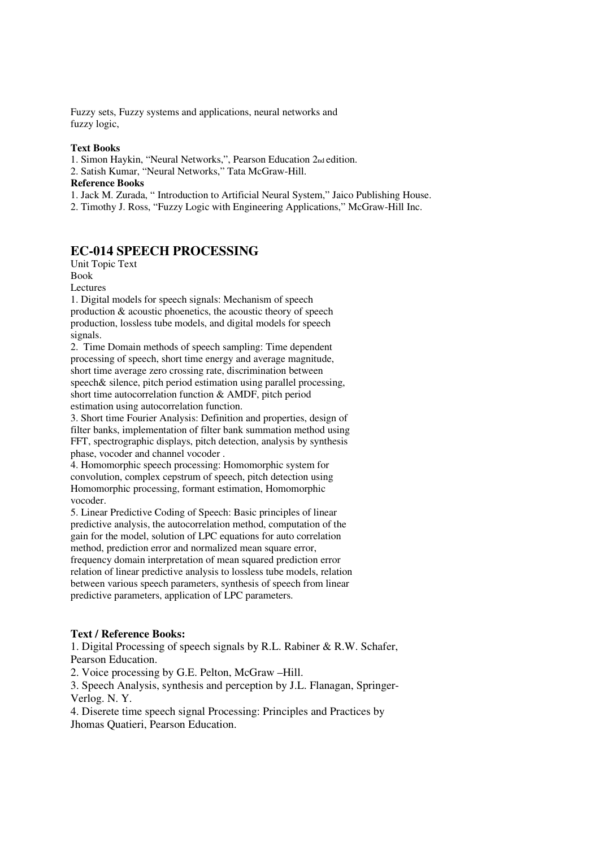Fuzzy sets, Fuzzy systems and applications, neural networks and fuzzy logic,

### **Text Books**

1. Simon Haykin, "Neural Networks,", Pearson Education 2nd edition. 2. Satish Kumar, "Neural Networks," Tata McGraw-Hill. **Reference Books**  1. Jack M. Zurada, " Introduction to Artificial Neural System," Jaico Publishing House. 2. Timothy J. Ross, "Fuzzy Logic with Engineering Applications," McGraw-Hill Inc.

# **EC-014 SPEECH PROCESSING**

Unit Topic Text Book Lectures

1. Digital models for speech signals: Mechanism of speech production & acoustic phoenetics, the acoustic theory of speech production, lossless tube models, and digital models for speech signals.

2. Time Domain methods of speech sampling: Time dependent processing of speech, short time energy and average magnitude, short time average zero crossing rate, discrimination between speech& silence, pitch period estimation using parallel processing, short time autocorrelation function & AMDF, pitch period estimation using autocorrelation function.

3. Short time Fourier Analysis: Definition and properties, design of filter banks, implementation of filter bank summation method using FFT, spectrographic displays, pitch detection, analysis by synthesis phase, vocoder and channel vocoder .

4. Homomorphic speech processing: Homomorphic system for convolution, complex cepstrum of speech, pitch detection using Homomorphic processing, formant estimation, Homomorphic vocoder.

5. Linear Predictive Coding of Speech: Basic principles of linear predictive analysis, the autocorrelation method, computation of the gain for the model, solution of LPC equations for auto correlation method, prediction error and normalized mean square error, frequency domain interpretation of mean squared prediction error relation of linear predictive analysis to lossless tube models, relation between various speech parameters, synthesis of speech from linear predictive parameters, application of LPC parameters.

## **Text / Reference Books:**

1. Digital Processing of speech signals by R.L. Rabiner & R.W. Schafer, Pearson Education.

2. Voice processing by G.E. Pelton, McGraw –Hill.

3. Speech Analysis, synthesis and perception by J.L. Flanagan, Springer-Verlog. N. Y.

4. Diserete time speech signal Processing: Principles and Practices by Jhomas Quatieri, Pearson Education.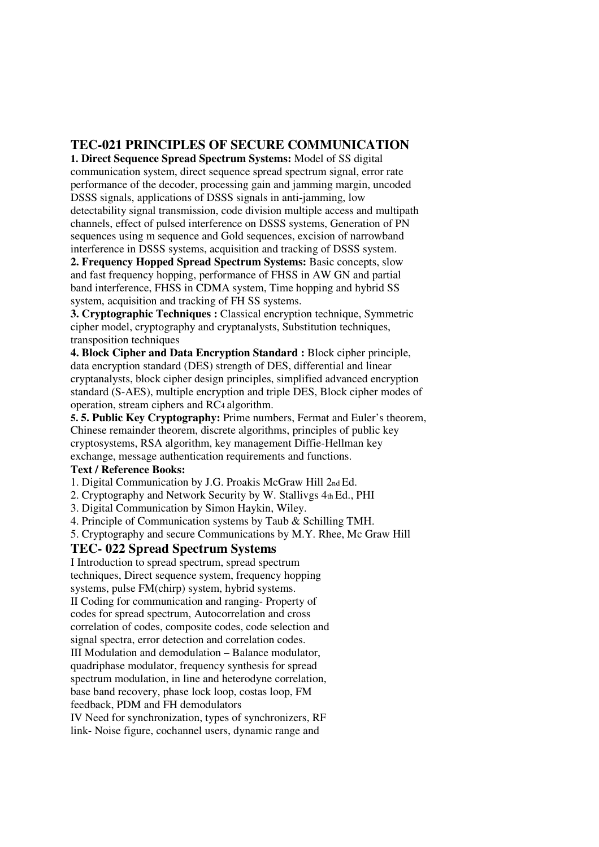# **TEC-021 PRINCIPLES OF SECURE COMMUNICATION**

**1. Direct Sequence Spread Spectrum Systems:** Model of SS digital communication system, direct sequence spread spectrum signal, error rate performance of the decoder, processing gain and jamming margin, uncoded DSSS signals, applications of DSSS signals in anti-jamming, low detectability signal transmission, code division multiple access and multipath channels, effect of pulsed interference on DSSS systems, Generation of PN sequences using m sequence and Gold sequences, excision of narrowband interference in DSSS systems, acquisition and tracking of DSSS system.

**2. Frequency Hopped Spread Spectrum Systems:** Basic concepts, slow and fast frequency hopping, performance of FHSS in AW GN and partial band interference, FHSS in CDMA system, Time hopping and hybrid SS system, acquisition and tracking of FH SS systems.

**3. Cryptographic Techniques :** Classical encryption technique, Symmetric cipher model, cryptography and cryptanalysts, Substitution techniques, transposition techniques

**4. Block Cipher and Data Encryption Standard :** Block cipher principle, data encryption standard (DES) strength of DES, differential and linear cryptanalysts, block cipher design principles, simplified advanced encryption standard (S-AES), multiple encryption and triple DES, Block cipher modes of operation, stream ciphers and RC4 algorithm.

**5. 5. Public Key Cryptography:** Prime numbers, Fermat and Euler's theorem, Chinese remainder theorem, discrete algorithms, principles of public key cryptosystems, RSA algorithm, key management Diffie-Hellman key exchange, message authentication requirements and functions.

# **Text / Reference Books:**

1. Digital Communication by J.G. Proakis McGraw Hill 2nd Ed.

2. Cryptography and Network Security by W. Stallivgs  $4<sub>th</sub> Ed., PHI$ 

3. Digital Communication by Simon Haykin, Wiley.

4. Principle of Communication systems by Taub & Schilling TMH.

5. Cryptography and secure Communications by M.Y. Rhee, Mc Graw Hill

# **TEC- 022 Spread Spectrum Systems**

I Introduction to spread spectrum, spread spectrum techniques, Direct sequence system, frequency hopping systems, pulse FM(chirp) system, hybrid systems. II Coding for communication and ranging- Property of codes for spread spectrum, Autocorrelation and cross correlation of codes, composite codes, code selection and signal spectra, error detection and correlation codes. III Modulation and demodulation – Balance modulator, quadriphase modulator, frequency synthesis for spread spectrum modulation, in line and heterodyne correlation, base band recovery, phase lock loop, costas loop, FM feedback, PDM and FH demodulators IV Need for synchronization, types of synchronizers, RF

link- Noise figure, cochannel users, dynamic range and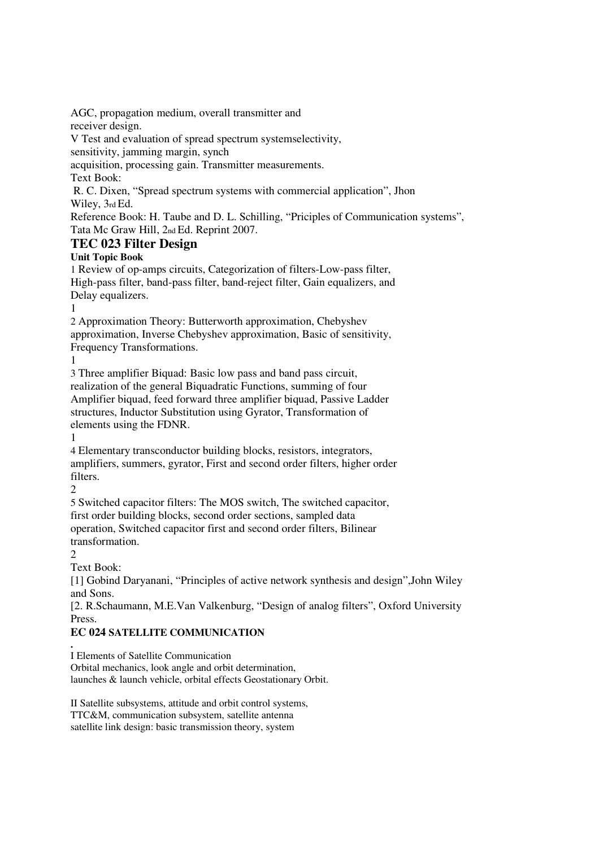AGC, propagation medium, overall transmitter and receiver design.

V Test and evaluation of spread spectrum systemselectivity,

sensitivity, jamming margin, synch

acquisition, processing gain. Transmitter measurements.

Text Book:

 R. C. Dixen, "Spread spectrum systems with commercial application", Jhon Wiley, 3rd Ed.

Reference Book: H. Taube and D. L. Schilling, "Priciples of Communication systems", Tata Mc Graw Hill, 2nd Ed. Reprint 2007.

# **TEC 023 Filter Design**

**Unit Topic Book** 

1 Review of op-amps circuits, Categorization of filters-Low-pass filter, High-pass filter, band-pass filter, band-reject filter, Gain equalizers, and Delay equalizers.

1

2 Approximation Theory: Butterworth approximation, Chebyshev approximation, Inverse Chebyshev approximation, Basic of sensitivity, Frequency Transformations.

1

3 Three amplifier Biquad: Basic low pass and band pass circuit, realization of the general Biquadratic Functions, summing of four Amplifier biquad, feed forward three amplifier biquad, Passive Ladder structures, Inductor Substitution using Gyrator, Transformation of elements using the FDNR.

1

4 Elementary transconductor building blocks, resistors, integrators, amplifiers, summers, gyrator, First and second order filters, higher order filters.

 $\mathfrak{D}$ 

5 Switched capacitor filters: The MOS switch, The switched capacitor, first order building blocks, second order sections, sampled data operation, Switched capacitor first and second order filters, Bilinear transformation.

 $\mathcal{L}$ 

Text Book:

[1] Gobind Daryanani, "Principles of active network synthesis and design",John Wiley and Sons.

[2. R.Schaumann, M.E.Van Valkenburg, "Design of analog filters", Oxford University Press.

# **EC 024 SATELLITE COMMUNICATION**

**.**  I Elements of Satellite Communication

Orbital mechanics, look angle and orbit determination, launches & launch vehicle, orbital effects Geostationary Orbit.

II Satellite subsystems, attitude and orbit control systems, TTC&M, communication subsystem, satellite antenna satellite link design: basic transmission theory, system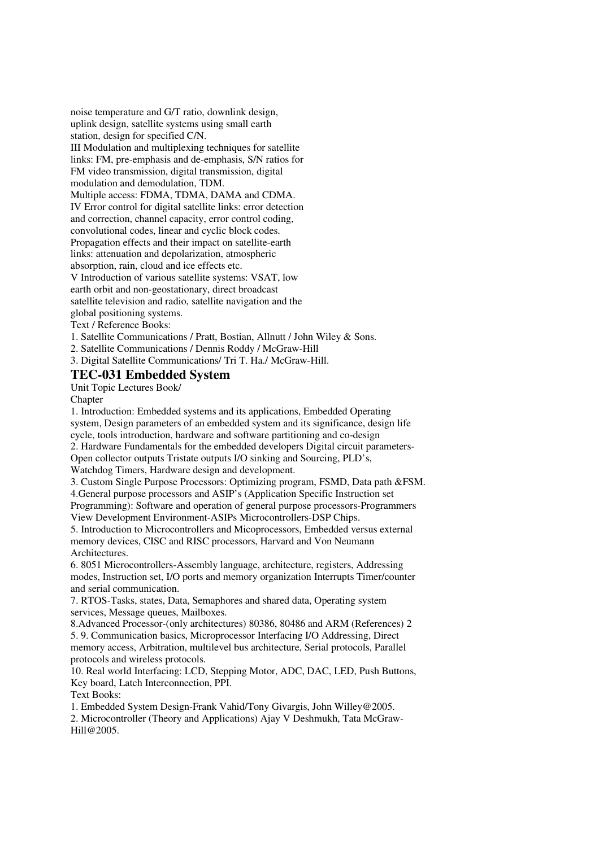noise temperature and G/T ratio, downlink design, uplink design, satellite systems using small earth station, design for specified C/N. III Modulation and multiplexing techniques for satellite links: FM, pre-emphasis and de-emphasis, S/N ratios for FM video transmission, digital transmission, digital modulation and demodulation, TDM. Multiple access: FDMA, TDMA, DAMA and CDMA. IV Error control for digital satellite links: error detection and correction, channel capacity, error control coding, convolutional codes, linear and cyclic block codes. Propagation effects and their impact on satellite-earth links: attenuation and depolarization, atmospheric absorption, rain, cloud and ice effects etc. V Introduction of various satellite systems: VSAT, low earth orbit and non-geostationary, direct broadcast satellite television and radio, satellite navigation and the global positioning systems.

Text / Reference Books:

1. Satellite Communications / Pratt, Bostian, Allnutt / John Wiley & Sons.

2. Satellite Communications / Dennis Roddy / McGraw-Hill

3. Digital Satellite Communications/ Tri T. Ha./ McGraw-Hill.

# **TEC-031 Embedded System**

Unit Topic Lectures Book/

Chapter

1. Introduction: Embedded systems and its applications, Embedded Operating system, Design parameters of an embedded system and its significance, design life cycle, tools introduction, hardware and software partitioning and co-design 2. Hardware Fundamentals for the embedded developers Digital circuit parameters-Open collector outputs Tristate outputs I/O sinking and Sourcing, PLD's, Watchdog Timers, Hardware design and development. 3. Custom Single Purpose Processors: Optimizing program, FSMD, Data path &FSM.

4.General purpose processors and ASIP's (Application Specific Instruction set Programming): Software and operation of general purpose processors-Programmers View Development Environment-ASIPs Microcontrollers-DSP Chips.

5. Introduction to Microcontrollers and Micoprocessors, Embedded versus external memory devices, CISC and RISC processors, Harvard and Von Neumann Architectures.

6. 8051 Microcontrollers-Assembly language, architecture, registers, Addressing modes, Instruction set, I/O ports and memory organization Interrupts Timer/counter and serial communication.

7. RTOS-Tasks, states, Data, Semaphores and shared data, Operating system services, Message queues, Mailboxes.

8.Advanced Processor-(only architectures) 80386, 80486 and ARM (References) 2 5. 9. Communication basics, Microprocessor Interfacing I/O Addressing, Direct memory access, Arbitration, multilevel bus architecture, Serial protocols, Parallel protocols and wireless protocols.

10. Real world Interfacing: LCD, Stepping Motor, ADC, DAC, LED, Push Buttons, Key board, Latch Interconnection, PPI.

Text Books:

1. Embedded System Design-Frank Vahid/Tony Givargis, John Willey@2005.

2. Microcontroller (Theory and Applications) Ajay V Deshmukh, Tata McGraw-Hill@2005.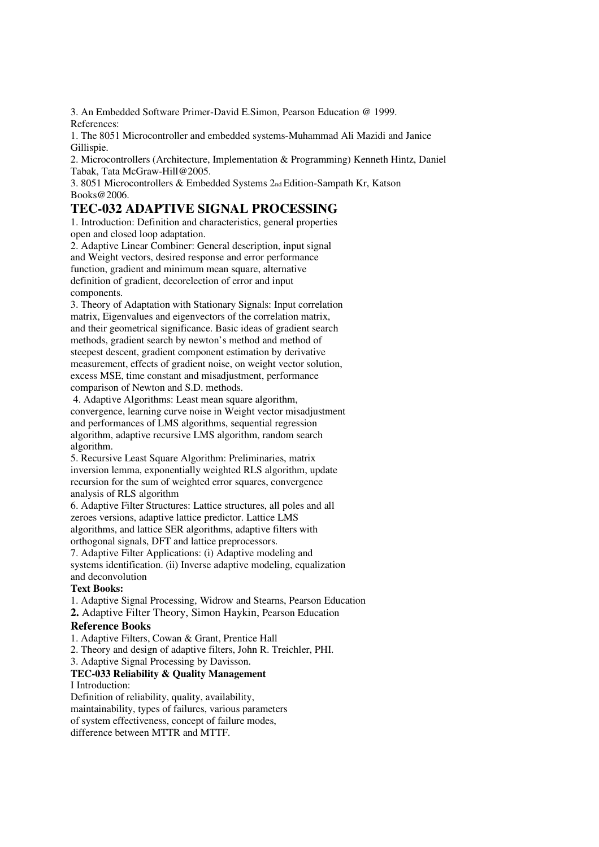3. An Embedded Software Primer-David E.Simon, Pearson Education @ 1999. References:

1. The 8051 Microcontroller and embedded systems-Muhammad Ali Mazidi and Janice Gillispie.

2. Microcontrollers (Architecture, Implementation & Programming) Kenneth Hintz, Daniel Tabak, Tata McGraw-Hill@2005.

3. 8051 Microcontrollers & Embedded Systems 2nd Edition-Sampath Kr, Katson Books@2006.

# **TEC-032 ADAPTIVE SIGNAL PROCESSING**

1. Introduction: Definition and characteristics, general properties open and closed loop adaptation.

2. Adaptive Linear Combiner: General description, input signal and Weight vectors, desired response and error performance function, gradient and minimum mean square, alternative definition of gradient, decorelection of error and input components.

3. Theory of Adaptation with Stationary Signals: Input correlation matrix, Eigenvalues and eigenvectors of the correlation matrix, and their geometrical significance. Basic ideas of gradient search methods, gradient search by newton's method and method of steepest descent, gradient component estimation by derivative measurement, effects of gradient noise, on weight vector solution, excess MSE, time constant and misadjustment, performance comparison of Newton and S.D. methods.

 4. Adaptive Algorithms: Least mean square algorithm, convergence, learning curve noise in Weight vector misadjustment and performances of LMS algorithms, sequential regression algorithm, adaptive recursive LMS algorithm, random search algorithm.

5. Recursive Least Square Algorithm: Preliminaries, matrix inversion lemma, exponentially weighted RLS algorithm, update recursion for the sum of weighted error squares, convergence analysis of RLS algorithm

6. Adaptive Filter Structures: Lattice structures, all poles and all zeroes versions, adaptive lattice predictor. Lattice LMS algorithms, and lattice SER algorithms, adaptive filters with orthogonal signals, DFT and lattice preprocessors.

7. Adaptive Filter Applications: (i) Adaptive modeling and systems identification. (ii) Inverse adaptive modeling, equalization and deconvolution

# **Text Books:**

- 1. Adaptive Signal Processing, Widrow and Stearns, Pearson Education
- **2.** Adaptive Filter Theory, Simon Haykin, Pearson Education

# **Reference Books**

1. Adaptive Filters, Cowan & Grant, Prentice Hall

2. Theory and design of adaptive filters, John R. Treichler, PHI.

3. Adaptive Signal Processing by Davisson.

# **TEC-033 Reliability & Quality Management**

# I Introduction:

Definition of reliability, quality, availability, maintainability, types of failures, various parameters of system effectiveness, concept of failure modes, difference between MTTR and MTTF.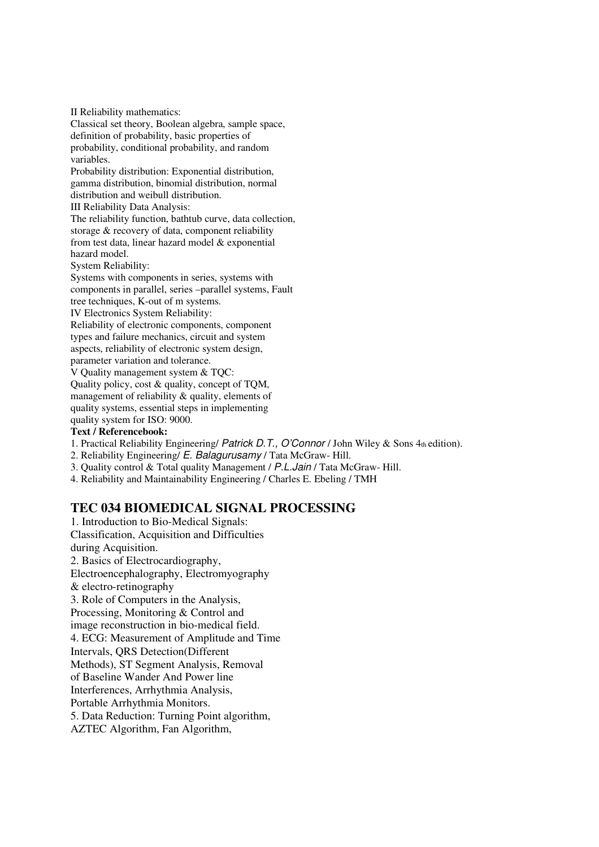II Reliability mathematics:

Classical set theory, Boolean algebra, sample space, definition of probability, basic properties of probability, conditional probability, and random variables.

Probability distribution: Exponential distribution, gamma distribution, binomial distribution, normal distribution and weibull distribution.

III Reliability Data Analysis:

The reliability function, bathtub curve, data collection, storage & recovery of data, component reliability from test data, linear hazard model & exponential hazard model.

System Reliability:

Systems with components in series, systems with components in parallel, series –parallel systems, Fault tree techniques, K-out of m systems.

IV Electronics System Reliability:

Reliability of electronic components, component types and failure mechanics, circuit and system aspects, reliability of electronic system design, parameter variation and tolerance.

V Quality management system & TQC: Quality policy, cost & quality, concept of TQM, management of reliability & quality, elements of quality systems, essential steps in implementing quality system for ISO: 9000.

# **Text / Referencebook:**

1. Practical Reliability Engineering/ Patrick D.T., O'Connor / John Wiley & Sons 4th edition).

2. Reliability Engineering/ E. Balagurusamy / Tata McGraw- Hill.

3. Quality control & Total quality Management / P.L.Jain / Tata McGraw- Hill.

4. Reliability and Maintainability Engineering / Charles E. Ebeling / TMH

# **TEC 034 BIOMEDICAL SIGNAL PROCESSING**

1. Introduction to Bio-Medical Signals: Classification, Acquisition and Difficulties during Acquisition. 2. Basics of Electrocardiography, Electroencephalography, Electromyography & electro-retinography 3. Role of Computers in the Analysis, Processing, Monitoring & Control and image reconstruction in bio-medical field. 4. ECG: Measurement of Amplitude and Time Intervals, QRS Detection(Different Methods), ST Segment Analysis, Removal of Baseline Wander And Power line Interferences, Arrhythmia Analysis, Portable Arrhythmia Monitors. 5. Data Reduction: Turning Point algorithm, AZTEC Algorithm, Fan Algorithm,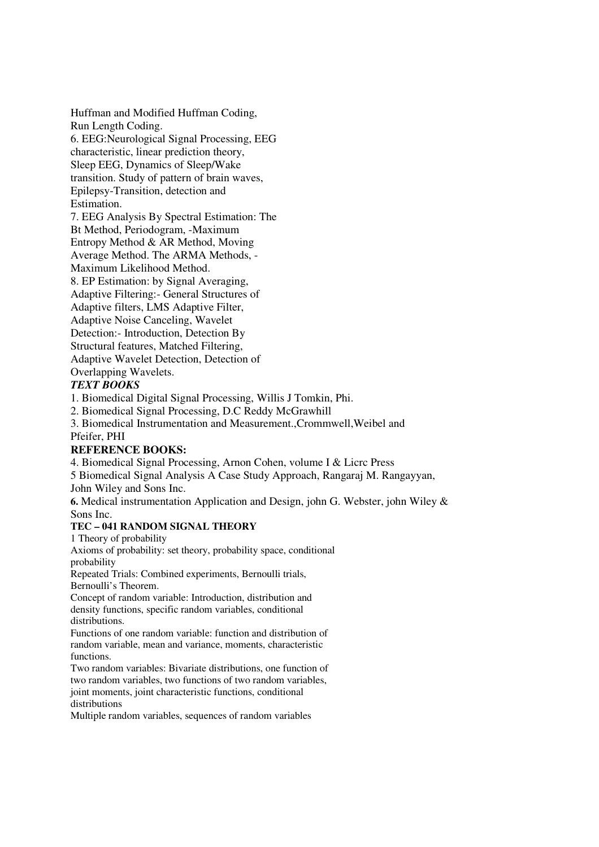Huffman and Modified Huffman Coding, Run Length Coding. 6. EEG:Neurological Signal Processing, EEG characteristic, linear prediction theory, Sleep EEG, Dynamics of Sleep/Wake transition. Study of pattern of brain waves, Epilepsy-Transition, detection and Estimation. 7. EEG Analysis By Spectral Estimation: The

Bt Method, Periodogram, -Maximum Entropy Method & AR Method, Moving Average Method. The ARMA Methods, - Maximum Likelihood Method. 8. EP Estimation: by Signal Averaging, Adaptive Filtering:- General Structures of Adaptive filters, LMS Adaptive Filter, Adaptive Noise Canceling, Wavelet Detection:- Introduction, Detection By Structural features, Matched Filtering, Adaptive Wavelet Detection, Detection of Overlapping Wavelets.

# *TEXT BOOKS*

1. Biomedical Digital Signal Processing, Willis J Tomkin, Phi.

2. Biomedical Signal Processing, D.C Reddy McGrawhill

3. Biomedical Instrumentation and Measurement.,Crommwell,Weibel and Pfeifer, PHI

# **REFERENCE BOOKS:**

4. Biomedical Signal Processing, Arnon Cohen, volume I & Licrc Press

5 Biomedical Signal Analysis A Case Study Approach, Rangaraj M. Rangayyan,

John Wiley and Sons Inc.

**6.** Medical instrumentation Application and Design, john G. Webster, john Wiley & Sons Inc.

# **TEC – 041 RANDOM SIGNAL THEORY**

1 Theory of probability

Axioms of probability: set theory, probability space, conditional probability

Repeated Trials: Combined experiments, Bernoulli trials, Bernoulli's Theorem.

Concept of random variable: Introduction, distribution and density functions, specific random variables, conditional distributions.

Functions of one random variable: function and distribution of random variable, mean and variance, moments, characteristic functions.

Two random variables: Bivariate distributions, one function of two random variables, two functions of two random variables, joint moments, joint characteristic functions, conditional distributions

Multiple random variables, sequences of random variables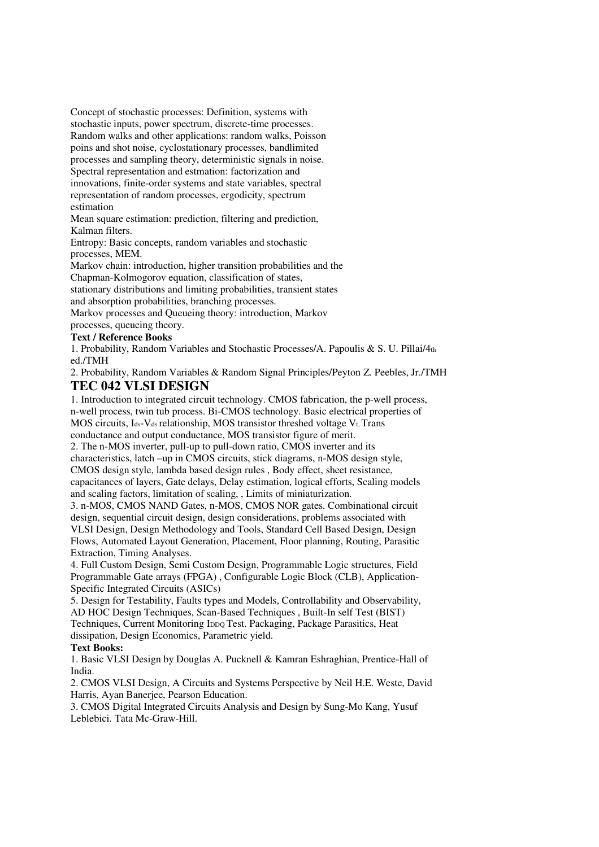Concept of stochastic processes: Definition, systems with stochastic inputs, power spectrum, discrete-time processes. Random walks and other applications: random walks, Poisson poins and shot noise, cyclostationary processes, bandlimited processes and sampling theory, deterministic signals in noise. Spectral representation and estmation: factorization and innovations, finite-order systems and state variables, spectral representation of random processes, ergodicity, spectrum estimation

Mean square estimation: prediction, filtering and prediction, Kalman filters.

Entropy: Basic concepts, random variables and stochastic processes, MEM.

Markov chain: introduction, higher transition probabilities and the Chapman-Kolmogorov equation, classification of states, stationary distributions and limiting probabilities, transient states and absorption probabilities, branching processes. Markov processes and Queueing theory: introduction, Markov processes, queueing theory.

# **Text / Reference Books**

1. Probability, Random Variables and Stochastic Processes/A. Papoulis & S. U. Pillai/4th ed./TMH

2. Probability, Random Variables & Random Signal Principles/Peyton Z. Peebles, Jr./TMH

# **TEC 042 VLSI DESIGN**

1. Introduction to integrated circuit technology. CMOS fabrication, the p-well process, n-well process, twin tub process. Bi-CMOS technology. Basic electrical properties of MOS circuits, Ids-V<sub>ds</sub> relationship, MOS transistor threshed voltage V<sub>t</sub>, Trans conductance and output conductance, MOS transistor figure of merit.

2. The n-MOS inverter, pull-up to pull-down ratio, CMOS inverter and its characteristics, latch –up in CMOS circuits, stick diagrams, n-MOS design style, CMOS design style, lambda based design rules , Body effect, sheet resistance, capacitances of layers, Gate delays, Delay estimation, logical efforts, Scaling models and scaling factors, limitation of scaling, , Limits of miniaturization.

3. n-MOS, CMOS NAND Gates, n-MOS, CMOS NOR gates. Combinational circuit design, sequential circuit design, design considerations, problems associated with VLSI Design, Design Methodology and Tools, Standard Cell Based Design, Design Flows, Automated Layout Generation, Placement, Floor planning, Routing, Parasitic Extraction, Timing Analyses.

4. Full Custom Design, Semi Custom Design, Programmable Logic structures, Field Programmable Gate arrays (FPGA) , Configurable Logic Block (CLB), Application-Specific Integrated Circuits (ASICs)

5. Design for Testability, Faults types and Models, Controllability and Observability, AD HOC Design Techniques, Scan-Based Techniques , Built-In self Test (BIST) Techniques, Current Monitoring IDDQ Test. Packaging, Package Parasitics, Heat dissipation, Design Economics, Parametric yield.

### **Text Books:**

1. Basic VLSI Design by Douglas A. Pucknell & Kamran Eshraghian, Prentice-Hall of India.

2. CMOS VLSI Design, A Circuits and Systems Perspective by Neil H.E. Weste, David Harris, Ayan Banerjee, Pearson Education.

3. CMOS Digital Integrated Circuits Analysis and Design by Sung-Mo Kang, Yusuf Leblebici. Tata Mc-Graw-Hill.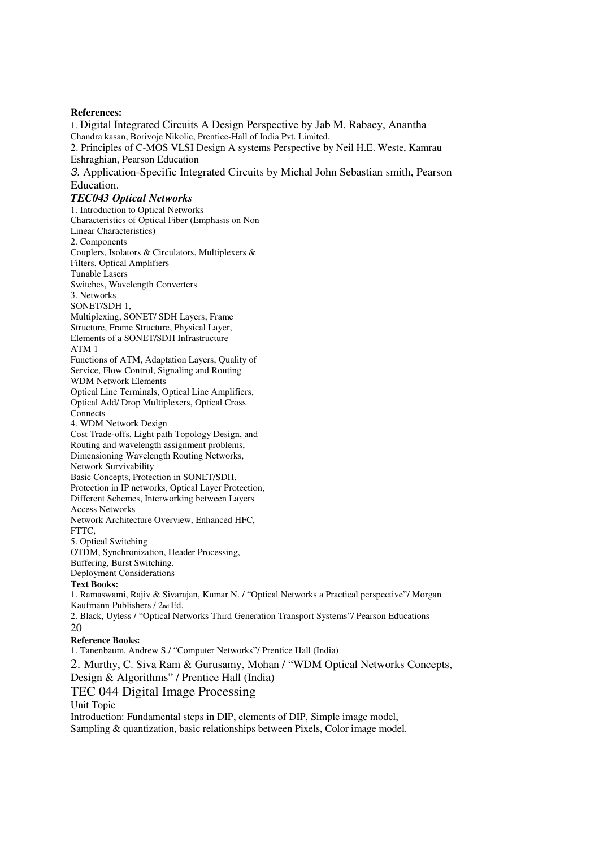### **References:**

1. Digital Integrated Circuits A Design Perspective by Jab M. Rabaey, Anantha Chandra kasan, Borivoje Nikolic, Prentice-Hall of India Pvt. Limited. 2. Principles of C-MOS VLSI Design A systems Perspective by Neil H.E. Weste, Kamrau Eshraghian, Pearson Education 3. Application-Specific Integrated Circuits by Michal John Sebastian smith, Pearson Education. *TEC043 Optical Networks*  1. Introduction to Optical Networks Characteristics of Optical Fiber (Emphasis on Non Linear Characteristics) 2. Components Couplers, Isolators & Circulators, Multiplexers & Filters, Optical Amplifiers Tunable Lasers Switches, Wavelength Converters 3. Networks SONET/SDH 1. Multiplexing, SONET/ SDH Layers, Frame Structure, Frame Structure, Physical Layer, Elements of a SONET/SDH Infrastructure ATM 1 Functions of ATM, Adaptation Layers, Quality of Service, Flow Control, Signaling and Routing WDM Network Elements Optical Line Terminals, Optical Line Amplifiers, Optical Add/ Drop Multiplexers, Optical Cross **Connects** 4. WDM Network Design Cost Trade-offs, Light path Topology Design, and Routing and wavelength assignment problems, Dimensioning Wavelength Routing Networks, Network Survivability Basic Concepts, Protection in SONET/SDH, Protection in IP networks, Optical Layer Protection, Different Schemes, Interworking between Layers Access Networks Network Architecture Overview, Enhanced HFC, FTTC, 5. Optical Switching OTDM, Synchronization, Header Processing, Buffering, Burst Switching. Deployment Considerations **Text Books:**  1. Ramaswami, Rajiv & Sivarajan, Kumar N. / "Optical Networks a Practical perspective"/ Morgan Kaufmann Publishers / 2nd Ed. 2. Black, Uyless / "Optical Networks Third Generation Transport Systems"/ Pearson Educations  $20$ **Reference Books:**  1. Tanenbaum. Andrew S./ "Computer Networks"/ Prentice Hall (India) 2. Murthy, C. Siva Ram & Gurusamy, Mohan / "WDM Optical Networks Concepts, Design & Algorithms" / Prentice Hall (India) TEC 044 Digital Image Processing Unit Topic Introduction: Fundamental steps in DIP, elements of DIP, Simple image model, Sampling & quantization, basic relationships between Pixels, Color image model.